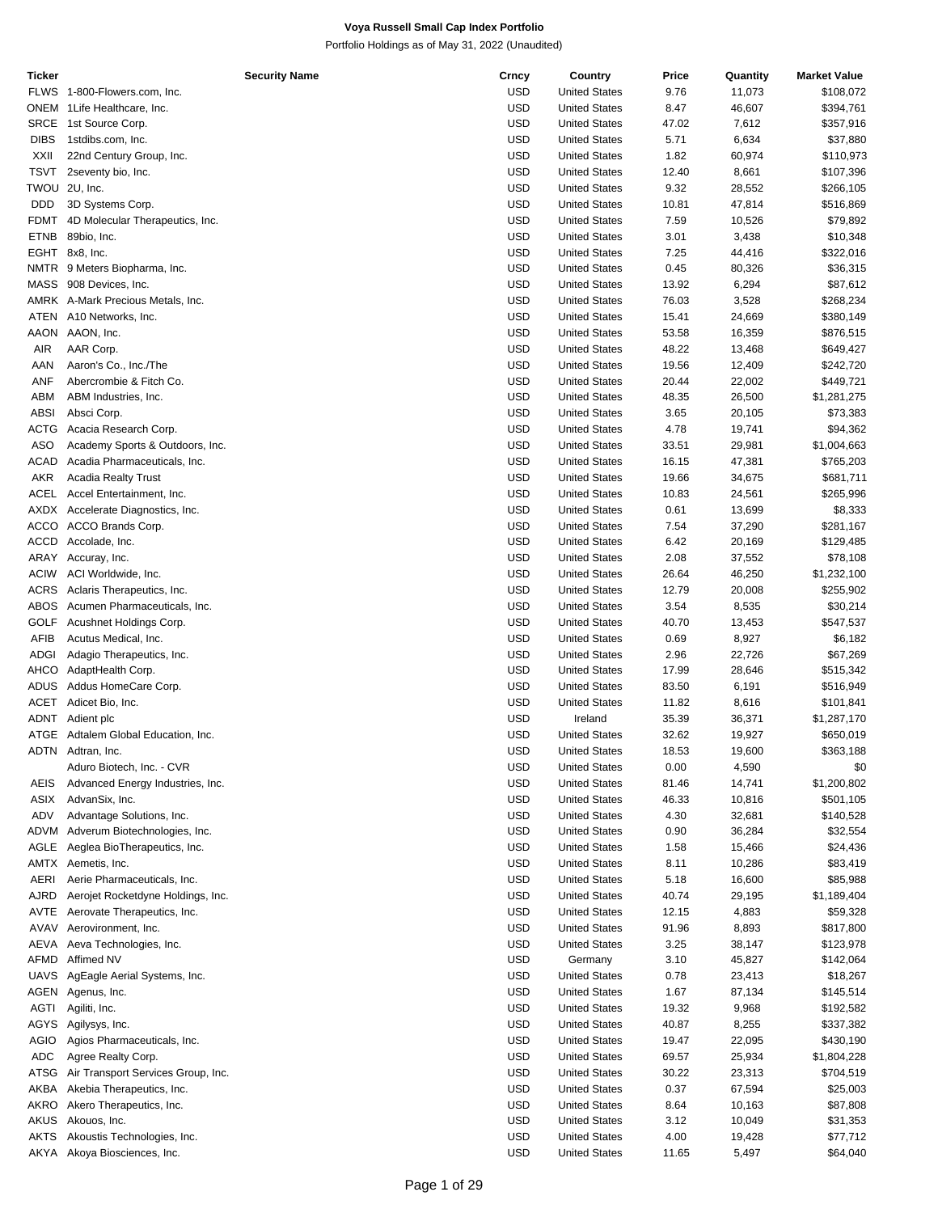| Ticker      | <b>Security Name</b>               | Crncy      | Country              | Price | Quantity | <b>Market Value</b> |
|-------------|------------------------------------|------------|----------------------|-------|----------|---------------------|
|             | FLWS 1-800-Flowers.com, Inc.       | USD        | <b>United States</b> | 9.76  | 11,073   | \$108,072           |
|             | ONEM 1 Life Healthcare, Inc.       | <b>USD</b> | <b>United States</b> | 8.47  | 46,607   | \$394,761           |
| SRCE        | 1st Source Corp.                   | <b>USD</b> | <b>United States</b> | 47.02 | 7,612    | \$357,916           |
| <b>DIBS</b> | 1stdibs.com, Inc.                  | <b>USD</b> | <b>United States</b> | 5.71  | 6,634    | \$37,880            |
| <b>XXII</b> | 22nd Century Group, Inc.           | <b>USD</b> |                      |       |          |                     |
|             |                                    |            | <b>United States</b> | 1.82  | 60,974   | \$110,973           |
| TSVT        | 2seventy bio, Inc.                 | <b>USD</b> | <b>United States</b> | 12.40 | 8,661    | \$107,396           |
| TWOU        | 2U, Inc.                           | <b>USD</b> | <b>United States</b> | 9.32  | 28,552   | \$266,105           |
| <b>DDD</b>  | 3D Systems Corp.                   | <b>USD</b> | <b>United States</b> | 10.81 | 47,814   | \$516,869           |
| <b>FDMT</b> | 4D Molecular Therapeutics, Inc.    | <b>USD</b> | <b>United States</b> | 7.59  | 10,526   | \$79,892            |
| <b>ETNB</b> | 89bio, Inc.                        | <b>USD</b> | <b>United States</b> | 3.01  | 3,438    | \$10,348            |
|             | EGHT 8x8, Inc.                     | <b>USD</b> | <b>United States</b> | 7.25  | 44,416   | \$322,016           |
|             |                                    |            |                      |       |          |                     |
|             | NMTR 9 Meters Biopharma, Inc.      | <b>USD</b> | <b>United States</b> | 0.45  | 80,326   | \$36,315            |
| MASS        | 908 Devices, Inc.                  | <b>USD</b> | <b>United States</b> | 13.92 | 6,294    | \$87,612            |
|             | AMRK A-Mark Precious Metals, Inc.  | <b>USD</b> | <b>United States</b> | 76.03 | 3,528    | \$268,234           |
| ATEN        | A10 Networks, Inc.                 | <b>USD</b> | <b>United States</b> | 15.41 | 24,669   | \$380,149           |
| AAON        | AAON, Inc.                         | <b>USD</b> | <b>United States</b> | 53.58 | 16,359   | \$876,515           |
| AIR         | AAR Corp.                          | <b>USD</b> | <b>United States</b> | 48.22 | 13,468   | \$649,427           |
|             |                                    |            |                      |       |          |                     |
| AAN         | Aaron's Co., Inc./The              | <b>USD</b> | <b>United States</b> | 19.56 | 12,409   | \$242,720           |
| <b>ANF</b>  | Abercrombie & Fitch Co.            | <b>USD</b> | <b>United States</b> | 20.44 | 22,002   | \$449,721           |
| ABM         | ABM Industries, Inc.               | <b>USD</b> | <b>United States</b> | 48.35 | 26,500   | \$1,281,275         |
| <b>ABSI</b> | Absci Corp.                        | <b>USD</b> | <b>United States</b> | 3.65  | 20,105   | \$73,383            |
| ACTG        | Acacia Research Corp.              | <b>USD</b> | <b>United States</b> | 4.78  | 19,741   | \$94,362            |
| ASO         | Academy Sports & Outdoors, Inc.    | <b>USD</b> | <b>United States</b> | 33.51 | 29,981   | \$1,004,663         |
| ACAD        | Acadia Pharmaceuticals, Inc.       | <b>USD</b> | <b>United States</b> | 16.15 | 47,381   | \$765,203           |
|             |                                    |            |                      |       |          |                     |
| <b>AKR</b>  | <b>Acadia Realty Trust</b>         | <b>USD</b> | <b>United States</b> | 19.66 | 34,675   | \$681,711           |
| ACEL        | Accel Entertainment, Inc.          | <b>USD</b> | <b>United States</b> | 10.83 | 24,561   | \$265,996           |
|             | AXDX Accelerate Diagnostics, Inc.  | <b>USD</b> | <b>United States</b> | 0.61  | 13,699   | \$8,333             |
|             | ACCO ACCO Brands Corp.             | <b>USD</b> | <b>United States</b> | 7.54  | 37,290   | \$281,167           |
| <b>ACCD</b> | Accolade, Inc.                     | <b>USD</b> | <b>United States</b> | 6.42  | 20,169   | \$129,485           |
|             | ARAY Accuray, Inc.                 | <b>USD</b> | <b>United States</b> | 2.08  | 37,552   | \$78,108            |
|             |                                    |            |                      |       |          |                     |
| <b>ACIW</b> | ACI Worldwide, Inc.                | <b>USD</b> | <b>United States</b> | 26.64 | 46,250   | \$1,232,100         |
| ACRS        | Aclaris Therapeutics, Inc.         | <b>USD</b> | <b>United States</b> | 12.79 | 20,008   | \$255,902           |
| ABOS        | Acumen Pharmaceuticals, Inc.       | <b>USD</b> | <b>United States</b> | 3.54  | 8,535    | \$30,214            |
| <b>GOLF</b> | Acushnet Holdings Corp.            | <b>USD</b> | <b>United States</b> | 40.70 | 13,453   | \$547,537           |
| AFIB        | Acutus Medical, Inc.               | <b>USD</b> | <b>United States</b> | 0.69  | 8,927    | \$6,182             |
| ADGI        | Adagio Therapeutics, Inc.          | <b>USD</b> | <b>United States</b> | 2.96  | 22,726   | \$67,269            |
| AHCO        | AdaptHealth Corp.                  | <b>USD</b> | <b>United States</b> |       |          |                     |
|             |                                    |            |                      | 17.99 | 28,646   | \$515,342           |
| <b>ADUS</b> | Addus HomeCare Corp.               | <b>USD</b> | <b>United States</b> | 83.50 | 6,191    | \$516,949           |
|             | ACET Adicet Bio, Inc.              | <b>USD</b> | <b>United States</b> | 11.82 | 8,616    | \$101,841           |
|             | ADNT Adient plc                    | <b>USD</b> | Ireland              | 35.39 | 36,371   | \$1,287,170         |
| ATGE        | Adtalem Global Education, Inc.     | <b>USD</b> | <b>United States</b> | 32.62 | 19,927   | \$650,019           |
|             | ADTN Adtran, Inc.                  | <b>USD</b> | <b>United States</b> | 18.53 | 19,600   | \$363,188           |
|             | Aduro Biotech, Inc. - CVR          | USD        | <b>United States</b> | 0.00  | 4,590    | \$0                 |
|             |                                    |            |                      |       |          |                     |
| AEIS        | Advanced Energy Industries, Inc.   | <b>USD</b> | <b>United States</b> | 81.46 | 14,741   | \$1,200,802         |
| ASIX        | AdvanSix, Inc.                     | USD        | <b>United States</b> | 46.33 | 10,816   | \$501,105           |
| ADV         | Advantage Solutions, Inc.          | <b>USD</b> | <b>United States</b> | 4.30  | 32,681   | \$140,528           |
| ADVM        | Adverum Biotechnologies, Inc.      | USD        | <b>United States</b> | 0.90  | 36,284   | \$32,554            |
| AGLE        | Aeglea BioTherapeutics, Inc.       | USD        | <b>United States</b> | 1.58  | 15,466   | \$24,436            |
| AMTX        | Aemetis, Inc.                      | USD        | <b>United States</b> | 8.11  | 10,286   | \$83,419            |
| AERI        | Aerie Pharmaceuticals, Inc.        | <b>USD</b> | <b>United States</b> | 5.18  | 16,600   | \$85,988            |
|             |                                    |            |                      |       |          |                     |
| AJRD        | Aerojet Rocketdyne Holdings, Inc.  | <b>USD</b> | <b>United States</b> | 40.74 | 29,195   | \$1,189,404         |
| AVTE        | Aerovate Therapeutics, Inc.        | <b>USD</b> | <b>United States</b> | 12.15 | 4,883    | \$59,328            |
| AVAV        | Aerovironment, Inc.                | USD        | <b>United States</b> | 91.96 | 8,893    | \$817,800           |
| AEVA        | Aeva Technologies, Inc.            | USD        | <b>United States</b> | 3.25  | 38,147   | \$123,978           |
| AFMD        | Affimed NV                         | USD        | Germany              | 3.10  | 45,827   | \$142,064           |
| <b>UAVS</b> | AgEagle Aerial Systems, Inc.       | USD        | <b>United States</b> | 0.78  | 23,413   | \$18,267            |
|             |                                    |            |                      |       |          |                     |
| AGEN        | Agenus, Inc.                       | USD        | <b>United States</b> | 1.67  | 87,134   | \$145,514           |
| AGTI        | Agiliti, Inc.                      | <b>USD</b> | <b>United States</b> | 19.32 | 9,968    | \$192,582           |
| AGYS        | Agilysys, Inc.                     | USD        | <b>United States</b> | 40.87 | 8,255    | \$337,382           |
| <b>AGIO</b> | Agios Pharmaceuticals, Inc.        | USD        | <b>United States</b> | 19.47 | 22,095   | \$430,190           |
| ADC         | Agree Realty Corp.                 | USD        | <b>United States</b> | 69.57 | 25,934   | \$1,804,228         |
| ATSG        | Air Transport Services Group, Inc. | <b>USD</b> | <b>United States</b> | 30.22 | 23,313   | \$704,519           |
|             |                                    |            |                      |       |          |                     |
| AKBA        | Akebia Therapeutics, Inc.          | USD        | <b>United States</b> | 0.37  | 67,594   | \$25,003            |
| AKRO        | Akero Therapeutics, Inc.           | USD        | <b>United States</b> | 8.64  | 10,163   | \$87,808            |
| AKUS        | Akouos, Inc.                       | USD        | <b>United States</b> | 3.12  | 10,049   | \$31,353            |
| <b>AKTS</b> | Akoustis Technologies, Inc.        | <b>USD</b> | <b>United States</b> | 4.00  | 19,428   | \$77,712            |
| AKYA        | Akoya Biosciences, Inc.            | <b>USD</b> | <b>United States</b> | 11.65 | 5,497    | \$64,040            |
|             |                                    |            |                      |       |          |                     |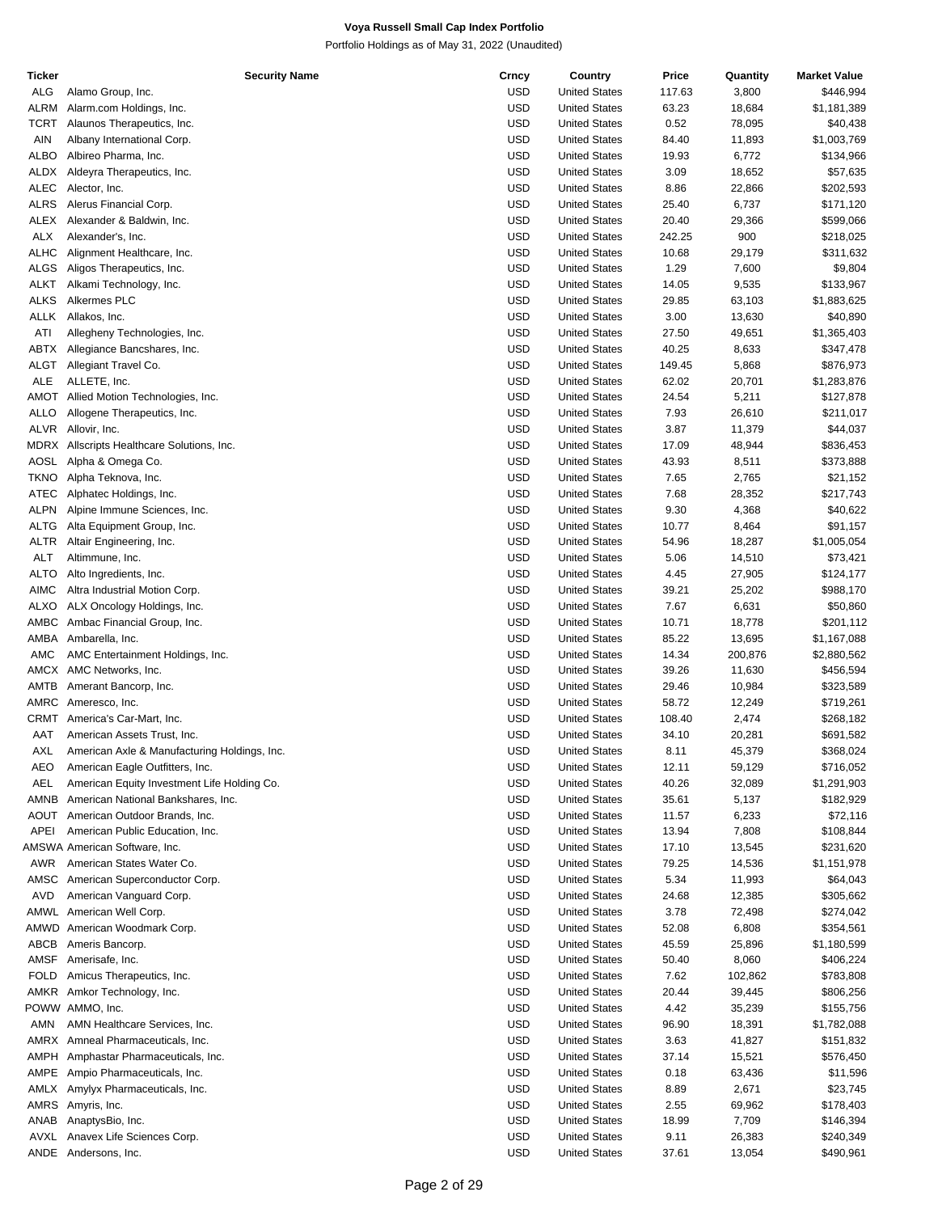| Ticker      | <b>Security Name</b>                         | Crncy      | Country              | Price  | Quantity | <b>Market Value</b> |
|-------------|----------------------------------------------|------------|----------------------|--------|----------|---------------------|
| ALG         | Alamo Group, Inc.                            | USD        | <b>United States</b> | 117.63 | 3,800    | \$446,994           |
| ALRM        | Alarm.com Holdings, Inc.                     | USD        | <b>United States</b> | 63.23  | 18,684   | \$1,181,389         |
| <b>TCRT</b> | Alaunos Therapeutics, Inc.                   | USD        | <b>United States</b> | 0.52   | 78,095   | \$40,438            |
| AIN         | Albany International Corp.                   | USD        | <b>United States</b> | 84.40  | 11,893   | \$1,003,769         |
| ALBO        | Albireo Pharma, Inc.                         | USD        | <b>United States</b> | 19.93  | 6,772    | \$134,966           |
|             |                                              |            | <b>United States</b> |        | 18,652   |                     |
| ALDX        | Aldeyra Therapeutics, Inc.                   | USD        |                      | 3.09   |          | \$57,635            |
| ALEC        | Alector, Inc.                                | USD        | <b>United States</b> | 8.86   | 22,866   | \$202,593           |
| <b>ALRS</b> | Alerus Financial Corp.                       | <b>USD</b> | <b>United States</b> | 25.40  | 6,737    | \$171,120           |
| ALEX        | Alexander & Baldwin, Inc.                    | USD        | <b>United States</b> | 20.40  | 29,366   | \$599,066           |
| <b>ALX</b>  | Alexander's, Inc.                            | USD        | <b>United States</b> | 242.25 | 900      | \$218,025           |
| <b>ALHC</b> | Alignment Healthcare, Inc.                   | USD        | <b>United States</b> | 10.68  | 29,179   | \$311,632           |
| ALGS        | Aligos Therapeutics, Inc.                    | USD        | <b>United States</b> | 1.29   | 7,600    | \$9,804             |
| ALKT        | Alkami Technology, Inc.                      | USD        | <b>United States</b> | 14.05  | 9,535    | \$133,967           |
| <b>ALKS</b> | Alkermes PLC                                 | USD        | <b>United States</b> | 29.85  | 63,103   | \$1,883,625         |
|             |                                              |            |                      |        |          |                     |
| ALLK        | Allakos, Inc.                                | <b>USD</b> | <b>United States</b> | 3.00   | 13,630   | \$40,890            |
| ATI         | Allegheny Technologies, Inc.                 | <b>USD</b> | <b>United States</b> | 27.50  | 49,651   | \$1,365,403         |
| ABTX        | Allegiance Bancshares, Inc.                  | USD        | <b>United States</b> | 40.25  | 8,633    | \$347,478           |
| ALGT        | Allegiant Travel Co.                         | USD        | <b>United States</b> | 149.45 | 5,868    | \$876,973           |
| <b>ALE</b>  | ALLETE, Inc.                                 | USD        | <b>United States</b> | 62.02  | 20,701   | \$1,283,876         |
| AMOT        | Allied Motion Technologies, Inc.             | USD        | <b>United States</b> | 24.54  | 5,211    | \$127,878           |
| <b>ALLO</b> | Allogene Therapeutics, Inc.                  | USD        | <b>United States</b> | 7.93   | 26,610   | \$211,017           |
| <b>ALVR</b> | Allovir, Inc.                                | USD        | <b>United States</b> | 3.87   | 11,379   | \$44,037            |
|             |                                              |            |                      |        |          |                     |
|             | MDRX Allscripts Healthcare Solutions, Inc.   | <b>USD</b> | <b>United States</b> | 17.09  | 48,944   | \$836,453           |
| AOSL        | Alpha & Omega Co.                            | <b>USD</b> | <b>United States</b> | 43.93  | 8,511    | \$373,888           |
| <b>TKNO</b> | Alpha Teknova, Inc.                          | USD        | <b>United States</b> | 7.65   | 2,765    | \$21,152            |
| ATEC        | Alphatec Holdings, Inc.                      | USD        | <b>United States</b> | 7.68   | 28,352   | \$217,743           |
| ALPN        | Alpine Immune Sciences, Inc.                 | USD        | <b>United States</b> | 9.30   | 4,368    | \$40,622            |
| ALTG        | Alta Equipment Group, Inc.                   | <b>USD</b> | <b>United States</b> | 10.77  | 8,464    | \$91,157            |
| ALTR        | Altair Engineering, Inc.                     | USD        | <b>United States</b> | 54.96  | 18,287   | \$1,005,054         |
| <b>ALT</b>  | Altimmune, Inc.                              | USD        | <b>United States</b> | 5.06   | 14,510   | \$73,421            |
|             |                                              |            |                      |        |          |                     |
| <b>ALTO</b> | Alto Ingredients, Inc.                       | USD        | <b>United States</b> | 4.45   | 27,905   | \$124,177           |
| AIMC        | Altra Industrial Motion Corp.                | <b>USD</b> | <b>United States</b> | 39.21  | 25,202   | \$988,170           |
| ALXO        | ALX Oncology Holdings, Inc.                  | USD        | <b>United States</b> | 7.67   | 6,631    | \$50,860            |
| AMBC        | Ambac Financial Group, Inc.                  | USD        | <b>United States</b> | 10.71  | 18,778   | \$201,112           |
| AMBA        | Ambarella, Inc.                              | USD        | <b>United States</b> | 85.22  | 13,695   | \$1,167,088         |
| AMC         | AMC Entertainment Holdings, Inc.             | <b>USD</b> | <b>United States</b> | 14.34  | 200,876  | \$2,880,562         |
| AMCX        | AMC Networks, Inc.                           | USD        | <b>United States</b> | 39.26  | 11,630   | \$456,594           |
| AMTB        | Amerant Bancorp, Inc.                        | USD        | <b>United States</b> | 29.46  | 10,984   | \$323,589           |
|             | AMRC Ameresco, Inc.                          | USD        | <b>United States</b> | 58.72  | 12,249   | \$719,261           |
|             |                                              |            |                      |        |          |                     |
|             | CRMT America's Car-Mart, Inc.                | USD        | <b>United States</b> | 108.40 | 2,474    | \$268,182           |
| AAT         | American Assets Trust, Inc.                  | USD        | <b>United States</b> | 34.10  | 20,281   | \$691,582           |
| AXL         | American Axle & Manufacturing Holdings, Inc. | <b>USD</b> | <b>United States</b> | 8.11   | 45,379   | \$368,024           |
| AEO         | American Eagle Outfitters, Inc.              | USD        | <b>United States</b> | 12.11  | 59,129   | \$716,052           |
| AEL         | American Equity Investment Life Holding Co.  | USD        | <b>United States</b> | 40.26  | 32,089   | \$1,291,903         |
| AMNB        | American National Bankshares, Inc.           | USD        | <b>United States</b> | 35.61  | 5,137    | \$182,929           |
| AOUT        | American Outdoor Brands, Inc.                | USD        | <b>United States</b> | 11.57  | 6,233    | \$72,116            |
| APEI        | American Public Education, Inc.              | USD        | <b>United States</b> | 13.94  | 7,808    | \$108,844           |
|             | AMSWA American Software, Inc.                | USD        | <b>United States</b> | 17.10  | 13,545   | \$231,620           |
|             |                                              |            |                      |        |          |                     |
| AWR         | American States Water Co.                    | USD        | <b>United States</b> | 79.25  | 14,536   | \$1,151,978         |
| AMSC        | American Superconductor Corp.                | USD        | <b>United States</b> | 5.34   | 11,993   | \$64,043            |
| AVD         | American Vanguard Corp.                      | USD        | <b>United States</b> | 24.68  | 12,385   | \$305,662           |
|             | AMWL American Well Corp.                     | USD        | <b>United States</b> | 3.78   | 72,498   | \$274,042           |
| AMWD        | American Woodmark Corp.                      | USD        | <b>United States</b> | 52.08  | 6,808    | \$354,561           |
| ABCB        | Ameris Bancorp.                              | USD        | <b>United States</b> | 45.59  | 25,896   | \$1,180,599         |
| AMSF        | Amerisafe, Inc.                              | USD        | <b>United States</b> | 50.40  | 8,060    | \$406,224           |
| <b>FOLD</b> | Amicus Therapeutics, Inc.                    | USD        | <b>United States</b> | 7.62   | 102,862  | \$783,808           |
|             |                                              |            |                      |        |          |                     |
| AMKR        | Amkor Technology, Inc.                       | USD        | <b>United States</b> | 20.44  | 39,445   | \$806,256           |
|             | POWW AMMO, Inc.                              | USD        | <b>United States</b> | 4.42   | 35,239   | \$155,756           |
| AMN         | AMN Healthcare Services, Inc.                | USD        | <b>United States</b> | 96.90  | 18,391   | \$1,782,088         |
| AMRX        | Amneal Pharmaceuticals, Inc.                 | USD        | <b>United States</b> | 3.63   | 41,827   | \$151,832           |
| AMPH        | Amphastar Pharmaceuticals, Inc.              | USD        | <b>United States</b> | 37.14  | 15,521   | \$576,450           |
|             | AMPE Ampio Pharmaceuticals, Inc.             | USD        | <b>United States</b> | 0.18   | 63,436   | \$11,596            |
|             | AMLX Amylyx Pharmaceuticals, Inc.            | USD        | <b>United States</b> | 8.89   | 2,671    | \$23,745            |
| AMRS        | Amyris, Inc.                                 | USD        | <b>United States</b> | 2.55   | 69,962   | \$178,403           |
|             |                                              |            |                      |        |          |                     |
| ANAB        | AnaptysBio, Inc.                             | USD        | <b>United States</b> | 18.99  | 7,709    | \$146,394           |
| AVXL        | Anavex Life Sciences Corp.                   | USD        | <b>United States</b> | 9.11   | 26,383   | \$240,349           |
|             | ANDE Andersons, Inc.                         | <b>USD</b> | <b>United States</b> | 37.61  | 13,054   | \$490,961           |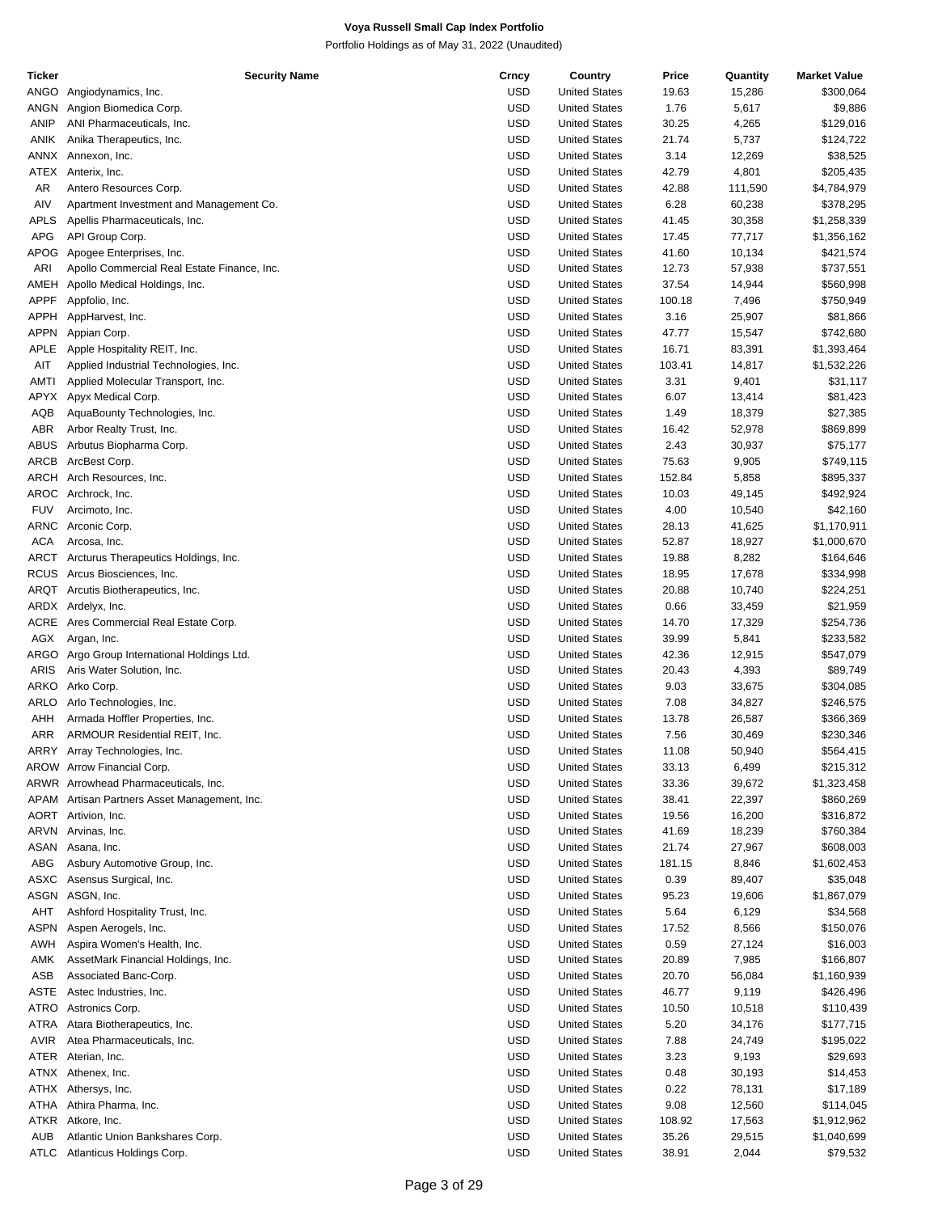| Ticker      | <b>Security Name</b>                         | Crncy      | Country              | Price  | Quantity | <b>Market Value</b> |
|-------------|----------------------------------------------|------------|----------------------|--------|----------|---------------------|
| ANGO        | Angiodynamics, Inc.                          | <b>USD</b> | <b>United States</b> | 19.63  | 15,286   | \$300,064           |
| ANGN        | Angion Biomedica Corp.                       | <b>USD</b> | <b>United States</b> | 1.76   | 5,617    | \$9,886             |
| ANIP        | ANI Pharmaceuticals, Inc.                    | <b>USD</b> | <b>United States</b> | 30.25  | 4,265    | \$129,016           |
| ANIK        | Anika Therapeutics, Inc.                     | <b>USD</b> | <b>United States</b> | 21.74  | 5,737    | \$124,722           |
|             |                                              |            |                      |        |          |                     |
| ANNX        | Annexon, Inc.                                | USD        | <b>United States</b> | 3.14   | 12,269   | \$38,525            |
| ATEX        | Anterix, Inc.                                | <b>USD</b> | <b>United States</b> | 42.79  | 4,801    | \$205,435           |
| AR          | Antero Resources Corp.                       | <b>USD</b> | <b>United States</b> | 42.88  | 111,590  | \$4,784,979         |
| AIV         | Apartment Investment and Management Co.      | <b>USD</b> | <b>United States</b> | 6.28   | 60,238   | \$378,295           |
| <b>APLS</b> | Apellis Pharmaceuticals, Inc.                | <b>USD</b> | <b>United States</b> | 41.45  | 30,358   | \$1,258,339         |
| <b>APG</b>  | API Group Corp.                              | <b>USD</b> | <b>United States</b> | 17.45  | 77,717   | \$1,356,162         |
| APOG        | Apogee Enterprises, Inc.                     | <b>USD</b> | <b>United States</b> | 41.60  | 10,134   | \$421,574           |
|             |                                              |            |                      |        |          |                     |
| ARI         | Apollo Commercial Real Estate Finance, Inc.  | <b>USD</b> | <b>United States</b> | 12.73  | 57,938   | \$737,551           |
| AMEH        | Apollo Medical Holdings, Inc.                | USD        | <b>United States</b> | 37.54  | 14,944   | \$560,998           |
| <b>APPF</b> | Appfolio, Inc.                               | <b>USD</b> | <b>United States</b> | 100.18 | 7,496    | \$750,949           |
| <b>APPH</b> | AppHarvest, Inc.                             | <b>USD</b> | <b>United States</b> | 3.16   | 25,907   | \$81,866            |
| <b>APPN</b> | Appian Corp.                                 | <b>USD</b> | <b>United States</b> | 47.77  | 15,547   | \$742,680           |
| APLE        | Apple Hospitality REIT, Inc.                 | USD        | <b>United States</b> | 16.71  | 83,391   | \$1,393,464         |
| AIT         |                                              | <b>USD</b> | <b>United States</b> | 103.41 |          | \$1,532,226         |
|             | Applied Industrial Technologies, Inc.        |            |                      |        | 14,817   |                     |
| AMTI        | Applied Molecular Transport, Inc.            | <b>USD</b> | <b>United States</b> | 3.31   | 9,401    | \$31,117            |
| APYX        | Apyx Medical Corp.                           | <b>USD</b> | <b>United States</b> | 6.07   | 13,414   | \$81,423            |
| AQB         | AquaBounty Technologies, Inc.                | USD        | <b>United States</b> | 1.49   | 18,379   | \$27,385            |
| ABR         | Arbor Realty Trust, Inc.                     | <b>USD</b> | <b>United States</b> | 16.42  | 52,978   | \$869,899           |
| <b>ABUS</b> | Arbutus Biopharma Corp.                      | <b>USD</b> | <b>United States</b> | 2.43   | 30,937   | \$75,177            |
| ARCB        | ArcBest Corp.                                | <b>USD</b> | <b>United States</b> | 75.63  | 9,905    | \$749,115           |
|             |                                              |            |                      |        |          |                     |
|             | ARCH Arch Resources, Inc.                    | <b>USD</b> | <b>United States</b> | 152.84 | 5,858    | \$895,337           |
| AROC        | Archrock, Inc.                               | <b>USD</b> | <b>United States</b> | 10.03  | 49,145   | \$492,924           |
| <b>FUV</b>  | Arcimoto, Inc.                               | <b>USD</b> | <b>United States</b> | 4.00   | 10,540   | \$42,160            |
| ARNC        | Arconic Corp.                                | <b>USD</b> | <b>United States</b> | 28.13  | 41,625   | \$1,170,911         |
| ACA         | Arcosa, Inc.                                 | <b>USD</b> | <b>United States</b> | 52.87  | 18,927   | \$1,000,670         |
| ARCT        | Arcturus Therapeutics Holdings, Inc.         | <b>USD</b> | <b>United States</b> | 19.88  | 8,282    | \$164,646           |
|             | RCUS Arcus Biosciences, Inc.                 | <b>USD</b> | <b>United States</b> | 18.95  | 17,678   | \$334,998           |
|             |                                              |            |                      |        |          |                     |
|             | ARQT Arcutis Biotherapeutics, Inc.           | <b>USD</b> | <b>United States</b> | 20.88  | 10,740   | \$224,251           |
|             | ARDX Ardelyx, Inc.                           | <b>USD</b> | <b>United States</b> | 0.66   | 33,459   | \$21,959            |
| ACRE        | Ares Commercial Real Estate Corp.            | <b>USD</b> | <b>United States</b> | 14.70  | 17,329   | \$254,736           |
| AGX         | Argan, Inc.                                  | <b>USD</b> | <b>United States</b> | 39.99  | 5,841    | \$233,582           |
| ARGO        | Argo Group International Holdings Ltd.       | <b>USD</b> | <b>United States</b> | 42.36  | 12,915   | \$547,079           |
| <b>ARIS</b> | Aris Water Solution, Inc.                    | <b>USD</b> | <b>United States</b> | 20.43  | 4,393    | \$89,749            |
| ARKO        |                                              | <b>USD</b> | <b>United States</b> | 9.03   |          |                     |
|             | Arko Corp.                                   |            |                      |        | 33,675   | \$304,085           |
| ARLO        | Arlo Technologies, Inc.                      | <b>USD</b> | <b>United States</b> | 7.08   | 34,827   | \$246,575           |
| AHH         | Armada Hoffler Properties, Inc.              | USD        | <b>United States</b> | 13.78  | 26,587   | \$366,369           |
| ARR         | ARMOUR Residential REIT, Inc.                | USD        | <b>United States</b> | 7.56   | 30,469   | \$230,346           |
|             | ARRY Array Technologies, Inc.                | <b>USD</b> | <b>United States</b> | 11.08  | 50,940   | \$564,415           |
|             | AROW Arrow Financial Corp.                   | USD        | <b>United States</b> | 33.13  | 6,499    | \$215,312           |
|             | ARWR Arrowhead Pharmaceuticals, Inc.         | USD        | <b>United States</b> | 33.36  | 39,672   | \$1,323,458         |
|             | APAM Artisan Partners Asset Management, Inc. | <b>USD</b> | <b>United States</b> | 38.41  |          | \$860,269           |
|             |                                              |            |                      |        | 22,397   |                     |
|             | AORT Artivion, Inc.                          | <b>USD</b> | <b>United States</b> | 19.56  | 16,200   | \$316,872           |
|             | ARVN Arvinas, Inc.                           | <b>USD</b> | <b>United States</b> | 41.69  | 18,239   | \$760,384           |
| ASAN        | Asana, Inc.                                  | USD        | <b>United States</b> | 21.74  | 27,967   | \$608,003           |
| ABG         | Asbury Automotive Group, Inc.                | <b>USD</b> | <b>United States</b> | 181.15 | 8,846    | \$1,602,453         |
| ASXC        | Asensus Surgical, Inc.                       | USD        | <b>United States</b> | 0.39   | 89,407   | \$35,048            |
| ASGN        | ASGN, Inc.                                   | <b>USD</b> | <b>United States</b> | 95.23  | 19,606   | \$1,867,079         |
|             |                                              | USD        |                      |        |          |                     |
| AHT         | Ashford Hospitality Trust, Inc.              |            | <b>United States</b> | 5.64   | 6,129    | \$34,568            |
| <b>ASPN</b> | Aspen Aerogels, Inc.                         | <b>USD</b> | <b>United States</b> | 17.52  | 8,566    | \$150,076           |
| AWH         | Aspira Women's Health, Inc.                  | USD        | <b>United States</b> | 0.59   | 27,124   | \$16,003            |
| AMK         | AssetMark Financial Holdings, Inc.           | <b>USD</b> | <b>United States</b> | 20.89  | 7,985    | \$166,807           |
| ASB         | Associated Banc-Corp.                        | USD        | <b>United States</b> | 20.70  | 56,084   | \$1,160,939         |
| ASTE        | Astec Industries, Inc.                       | <b>USD</b> | <b>United States</b> | 46.77  | 9,119    | \$426,496           |
| ATRO        | Astronics Corp.                              | USD        | <b>United States</b> | 10.50  | 10,518   |                     |
|             |                                              |            |                      |        |          | \$110,439           |
| ATRA        | Atara Biotherapeutics, Inc.                  | <b>USD</b> | <b>United States</b> | 5.20   | 34,176   | \$177,715           |
| AVIR        | Atea Pharmaceuticals, Inc.                   | USD        | <b>United States</b> | 7.88   | 24,749   | \$195,022           |
| ATER        | Aterian, Inc.                                | <b>USD</b> | <b>United States</b> | 3.23   | 9,193    | \$29,693            |
| ATNX        | Athenex, Inc.                                | USD        | <b>United States</b> | 0.48   | 30,193   | \$14,453            |
| ATHX        | Athersys, Inc.                               | <b>USD</b> | <b>United States</b> | 0.22   | 78,131   | \$17,189            |
| ATHA        | Athira Pharma, Inc.                          | USD        | <b>United States</b> | 9.08   | 12,560   | \$114,045           |
| ATKR        | Atkore, Inc.                                 | <b>USD</b> | <b>United States</b> | 108.92 | 17,563   | \$1,912,962         |
|             |                                              |            |                      |        |          |                     |
| <b>AUB</b>  | Atlantic Union Bankshares Corp.              | <b>USD</b> | <b>United States</b> | 35.26  | 29,515   | \$1,040,699         |
| ATLC        | Atlanticus Holdings Corp.                    | <b>USD</b> | <b>United States</b> | 38.91  | 2,044    | \$79,532            |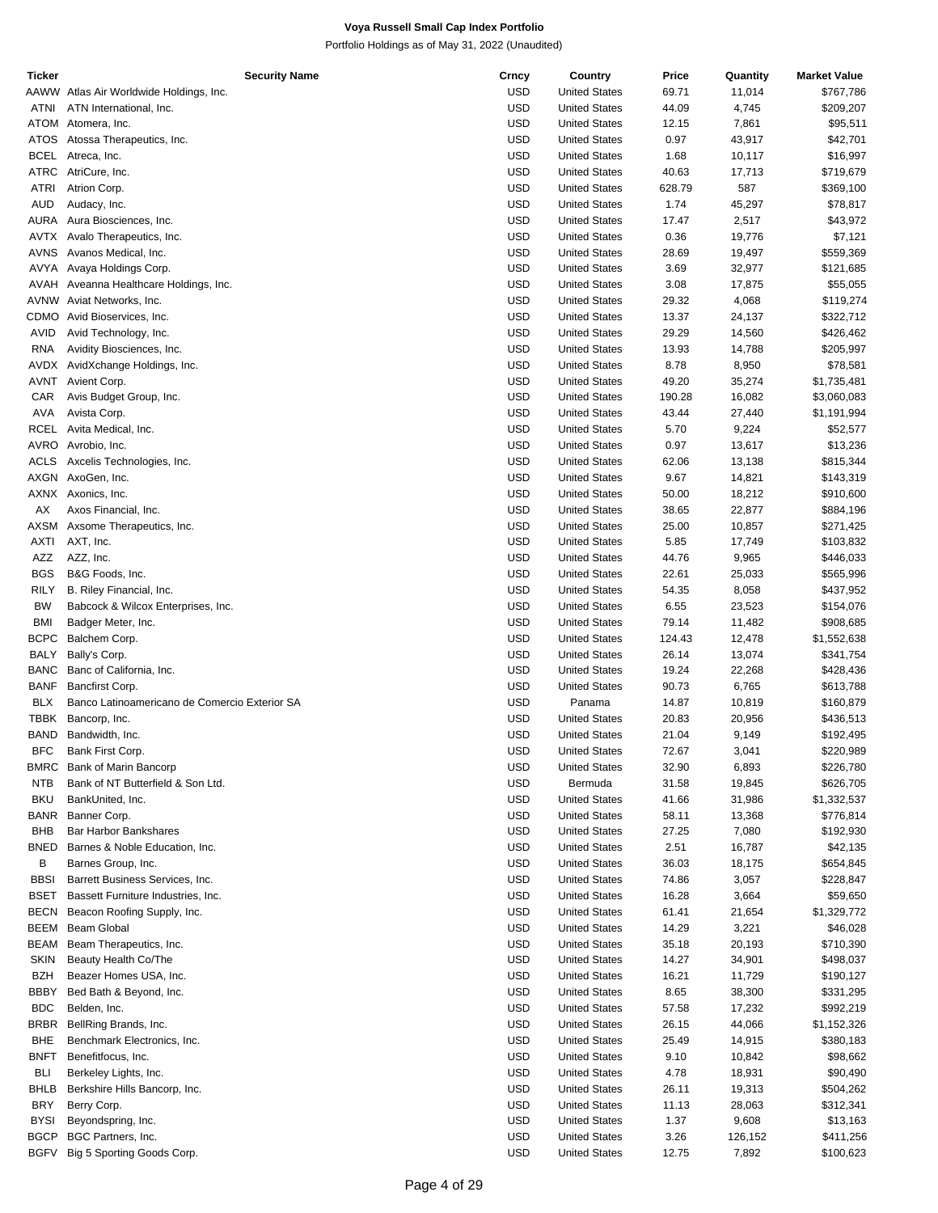| Ticker      | <b>Security Name</b>                          | Crncy      | Country              | Price  | Quantity | <b>Market Value</b> |
|-------------|-----------------------------------------------|------------|----------------------|--------|----------|---------------------|
|             | AAWW Atlas Air Worldwide Holdings, Inc.       | <b>USD</b> | <b>United States</b> | 69.71  | 11,014   | \$767,786           |
| ATNI        | ATN International, Inc.                       | <b>USD</b> | <b>United States</b> | 44.09  | 4,745    | \$209,207           |
| <b>ATOM</b> | Atomera, Inc.                                 | <b>USD</b> | <b>United States</b> | 12.15  | 7,861    | \$95,511            |
|             | ATOS Atossa Therapeutics, Inc.                | <b>USD</b> | <b>United States</b> | 0.97   | 43,917   | \$42,701            |
| <b>BCEL</b> | Atreca, Inc.                                  | <b>USD</b> | <b>United States</b> | 1.68   | 10,117   | \$16,997            |
|             | ATRC AtriCure, Inc.                           | <b>USD</b> | <b>United States</b> | 40.63  | 17,713   | \$719,679           |
| <b>ATRI</b> | Atrion Corp.                                  | <b>USD</b> | <b>United States</b> | 628.79 | 587      | \$369,100           |
| <b>AUD</b>  | Audacy, Inc.                                  | <b>USD</b> | <b>United States</b> | 1.74   | 45,297   | \$78,817            |
|             |                                               |            |                      |        |          |                     |
| <b>AURA</b> | Aura Biosciences, Inc.                        | <b>USD</b> | <b>United States</b> | 17.47  | 2,517    | \$43,972            |
| AVTX        | Avalo Therapeutics, Inc.                      | <b>USD</b> | <b>United States</b> | 0.36   | 19,776   | \$7,121             |
| AVNS        | Avanos Medical, Inc.                          | <b>USD</b> | <b>United States</b> | 28.69  | 19,497   | \$559,369           |
|             | AVYA Avaya Holdings Corp.                     | <b>USD</b> | <b>United States</b> | 3.69   | 32,977   | \$121,685           |
| AVAH        | Aveanna Healthcare Holdings, Inc.             | <b>USD</b> | <b>United States</b> | 3.08   | 17,875   | \$55,055            |
|             | AVNW Aviat Networks, Inc.                     | <b>USD</b> | <b>United States</b> | 29.32  | 4,068    | \$119,274           |
| CDMO        | Avid Bioservices, Inc.                        | <b>USD</b> | <b>United States</b> | 13.37  | 24,137   | \$322,712           |
| AVID        | Avid Technology, Inc.                         | <b>USD</b> | <b>United States</b> | 29.29  | 14,560   | \$426,462           |
| <b>RNA</b>  | Avidity Biosciences, Inc.                     | <b>USD</b> | <b>United States</b> | 13.93  | 14,788   | \$205,997           |
|             | AVDX AvidXchange Holdings, Inc.               | <b>USD</b> | <b>United States</b> | 8.78   | 8,950    | \$78,581            |
| AVNT        | Avient Corp.                                  | <b>USD</b> | <b>United States</b> | 49.20  | 35,274   | \$1,735,481         |
|             |                                               |            |                      |        |          |                     |
| CAR         | Avis Budget Group, Inc.                       | <b>USD</b> | <b>United States</b> | 190.28 | 16,082   | \$3,060,083         |
| AVA         | Avista Corp.                                  | <b>USD</b> | <b>United States</b> | 43.44  | 27,440   | \$1,191,994         |
| <b>RCEL</b> | Avita Medical, Inc.                           | <b>USD</b> | <b>United States</b> | 5.70   | 9,224    | \$52,577            |
|             | AVRO Avrobio, Inc.                            | <b>USD</b> | <b>United States</b> | 0.97   | 13,617   | \$13,236            |
| ACLS        | Axcelis Technologies, Inc.                    | <b>USD</b> | <b>United States</b> | 62.06  | 13,138   | \$815,344           |
|             | AXGN AxoGen, Inc.                             | <b>USD</b> | <b>United States</b> | 9.67   | 14,821   | \$143,319           |
|             | AXNX Axonics, Inc.                            | <b>USD</b> | <b>United States</b> | 50.00  | 18,212   | \$910,600           |
| АX          | Axos Financial, Inc.                          | <b>USD</b> | <b>United States</b> | 38.65  | 22,877   | \$884,196           |
| AXSM        | Axsome Therapeutics, Inc.                     | <b>USD</b> | <b>United States</b> | 25.00  | 10,857   | \$271,425           |
| AXTI        | AXT, Inc.                                     | <b>USD</b> | <b>United States</b> | 5.85   | 17,749   | \$103,832           |
| AZZ         | AZZ, Inc.                                     | <b>USD</b> |                      |        |          |                     |
|             |                                               |            | <b>United States</b> | 44.76  | 9,965    | \$446,033           |
| <b>BGS</b>  | B&G Foods, Inc.                               | <b>USD</b> | <b>United States</b> | 22.61  | 25,033   | \$565,996           |
| <b>RILY</b> | B. Riley Financial, Inc.                      | <b>USD</b> | <b>United States</b> | 54.35  | 8,058    | \$437,952           |
| <b>BW</b>   | Babcock & Wilcox Enterprises, Inc.            | <b>USD</b> | <b>United States</b> | 6.55   | 23,523   | \$154,076           |
| <b>BMI</b>  | Badger Meter, Inc.                            | <b>USD</b> | <b>United States</b> | 79.14  | 11,482   | \$908,685           |
| <b>BCPC</b> | Balchem Corp.                                 | <b>USD</b> | <b>United States</b> | 124.43 | 12,478   | \$1,552,638         |
| <b>BALY</b> | Bally's Corp.                                 | <b>USD</b> | <b>United States</b> | 26.14  | 13,074   | \$341,754           |
| <b>BANC</b> | Banc of California, Inc.                      | <b>USD</b> | <b>United States</b> | 19.24  | 22,268   | \$428,436           |
| <b>BANF</b> | Bancfirst Corp.                               | <b>USD</b> | <b>United States</b> | 90.73  | 6,765    | \$613,788           |
| <b>BLX</b>  | Banco Latinoamericano de Comercio Exterior SA | <b>USD</b> | Panama               | 14.87  | 10,819   | \$160,879           |
| TBBK        | Bancorp, Inc.                                 | <b>USD</b> | <b>United States</b> | 20.83  | 20,956   | \$436,513           |
| <b>BAND</b> | Bandwidth, Inc.                               | <b>USD</b> | <b>United States</b> | 21.04  |          |                     |
|             |                                               |            |                      |        | 9,149    | \$192,495           |
| <b>BFC</b>  | Bank First Corp.                              | <b>USD</b> | <b>United States</b> | 72.67  | 3,041    | \$220,989           |
|             | BMRC Bank of Marin Bancorp                    | <b>USD</b> | <b>United States</b> | 32.90  | 6,893    | \$226,780           |
| NTB         | Bank of NT Butterfield & Son Ltd.             | <b>USD</b> | Bermuda              | 31.58  | 19,845   | \$626,705           |
| <b>BKU</b>  | BankUnited, Inc.                              | USD        | <b>United States</b> | 41.66  | 31,986   | \$1,332,537         |
| <b>BANR</b> | Banner Corp.                                  | <b>USD</b> | <b>United States</b> | 58.11  | 13,368   | \$776,814           |
| BHB         | <b>Bar Harbor Bankshares</b>                  | <b>USD</b> | <b>United States</b> | 27.25  | 7,080    | \$192,930           |
| <b>BNED</b> | Barnes & Noble Education, Inc.                | <b>USD</b> | <b>United States</b> | 2.51   | 16,787   | \$42,135            |
| B           | Barnes Group, Inc.                            | USD        | <b>United States</b> | 36.03  | 18,175   | \$654,845           |
| <b>BBSI</b> | Barrett Business Services, Inc.               | <b>USD</b> | <b>United States</b> | 74.86  | 3,057    | \$228,847           |
| BSET        | Bassett Furniture Industries, Inc.            | <b>USD</b> | <b>United States</b> | 16.28  | 3,664    | \$59,650            |
| <b>BECN</b> | Beacon Roofing Supply, Inc.                   | <b>USD</b> | <b>United States</b> | 61.41  | 21,654   | \$1,329,772         |
| <b>BEEM</b> | <b>Beam Global</b>                            | USD        | <b>United States</b> | 14.29  | 3,221    |                     |
|             |                                               |            |                      |        |          | \$46,028            |
| <b>BEAM</b> | Beam Therapeutics, Inc.                       | <b>USD</b> | <b>United States</b> | 35.18  | 20,193   | \$710,390           |
| <b>SKIN</b> | Beauty Health Co/The                          | <b>USD</b> | <b>United States</b> | 14.27  | 34,901   | \$498,037           |
| <b>BZH</b>  | Beazer Homes USA, Inc.                        | <b>USD</b> | <b>United States</b> | 16.21  | 11,729   | \$190,127           |
| BBBY        | Bed Bath & Beyond, Inc.                       | USD        | <b>United States</b> | 8.65   | 38,300   | \$331,295           |
| <b>BDC</b>  | Belden, Inc.                                  | <b>USD</b> | <b>United States</b> | 57.58  | 17,232   | \$992,219           |
| <b>BRBR</b> | BellRing Brands, Inc.                         | <b>USD</b> | <b>United States</b> | 26.15  | 44,066   | \$1,152,326         |
| BHE         | Benchmark Electronics, Inc.                   | <b>USD</b> | <b>United States</b> | 25.49  | 14,915   | \$380,183           |
| BNFT        | Benefitfocus, Inc.                            | USD        | <b>United States</b> | 9.10   | 10,842   | \$98,662            |
| <b>BLI</b>  | Berkeley Lights, Inc.                         | <b>USD</b> | <b>United States</b> | 4.78   | 18,931   | \$90,490            |
| BHLB        | Berkshire Hills Bancorp, Inc.                 | <b>USD</b> | <b>United States</b> | 26.11  | 19,313   | \$504,262           |
| <b>BRY</b>  |                                               | <b>USD</b> | <b>United States</b> |        |          |                     |
|             | Berry Corp.                                   |            |                      | 11.13  | 28,063   | \$312,341           |
| <b>BYSI</b> | Beyondspring, Inc.                            | USD        | <b>United States</b> | 1.37   | 9,608    | \$13,163            |
| <b>BGCP</b> | BGC Partners, Inc.                            | <b>USD</b> | <b>United States</b> | 3.26   | 126,152  | \$411,256           |
| <b>BGFV</b> | Big 5 Sporting Goods Corp.                    | <b>USD</b> | <b>United States</b> | 12.75  | 7,892    | \$100,623           |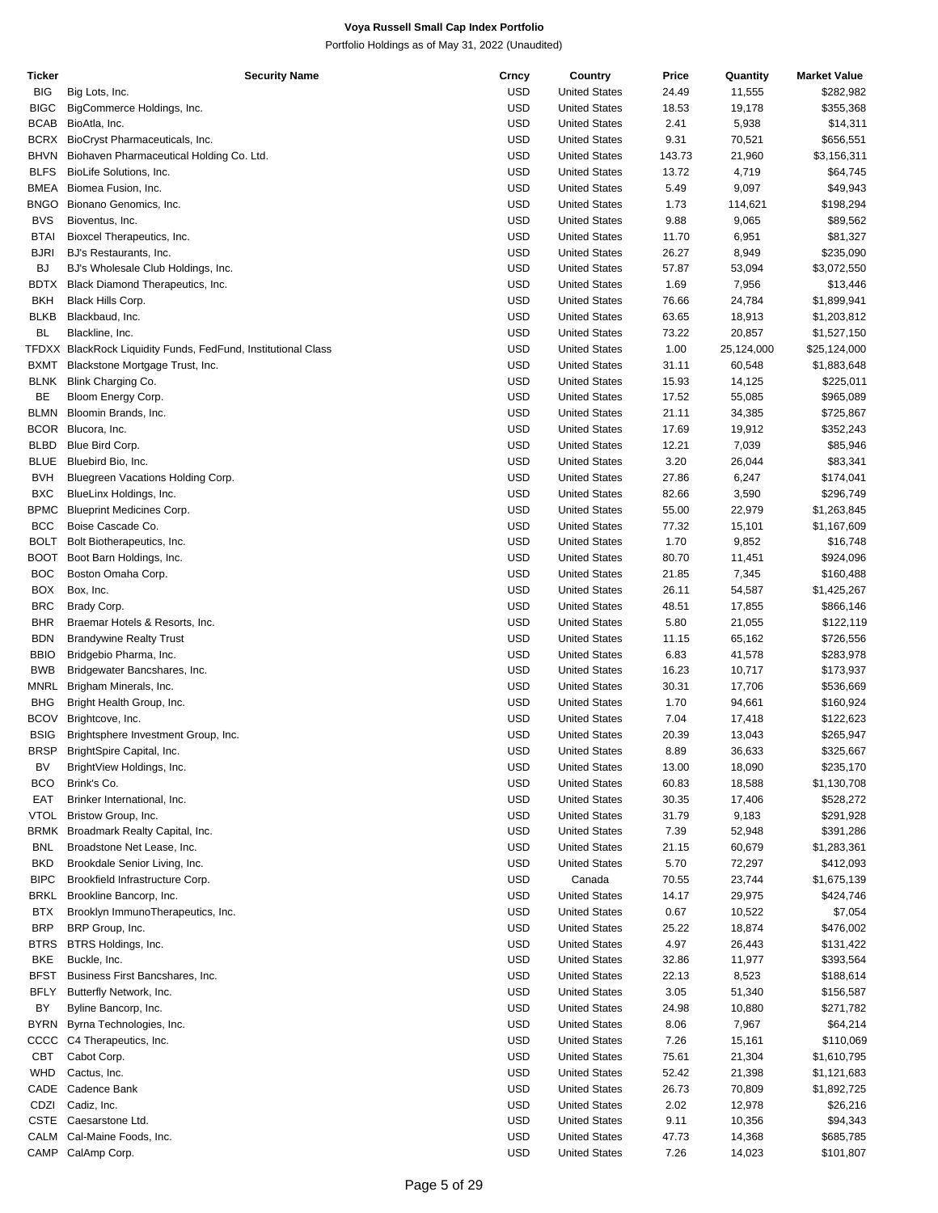| Ticker      | <b>Security Name</b>                                          | Crncy      | Country              | Price  | Quantity   | <b>Market Value</b> |
|-------------|---------------------------------------------------------------|------------|----------------------|--------|------------|---------------------|
| <b>BIG</b>  | Big Lots, Inc.                                                | <b>USD</b> | <b>United States</b> | 24.49  | 11,555     | \$282,982           |
| <b>BIGC</b> | BigCommerce Holdings, Inc.                                    | <b>USD</b> | <b>United States</b> | 18.53  | 19,178     | \$355,368           |
| <b>BCAB</b> | BioAtla, Inc.                                                 | <b>USD</b> | <b>United States</b> | 2.41   | 5,938      | \$14,311            |
|             |                                                               |            |                      |        |            |                     |
| <b>BCRX</b> | BioCryst Pharmaceuticals, Inc.                                | <b>USD</b> | <b>United States</b> | 9.31   | 70,521     | \$656,551           |
| <b>BHVN</b> | Biohaven Pharmaceutical Holding Co. Ltd.                      | <b>USD</b> | <b>United States</b> | 143.73 | 21,960     | \$3,156,311         |
| <b>BLFS</b> | BioLife Solutions, Inc.                                       | <b>USD</b> | <b>United States</b> | 13.72  | 4,719      | \$64,745            |
| <b>BMEA</b> | Biomea Fusion, Inc.                                           | USD        | <b>United States</b> | 5.49   | 9,097      | \$49,943            |
| <b>BNGO</b> | Bionano Genomics, Inc.                                        | <b>USD</b> | <b>United States</b> | 1.73   | 114,621    | \$198,294           |
| <b>BVS</b>  | Bioventus, Inc.                                               | USD        | <b>United States</b> | 9.88   | 9,065      | \$89,562            |
|             |                                                               | <b>USD</b> | <b>United States</b> |        |            |                     |
| <b>BTAI</b> | Bioxcel Therapeutics, Inc.                                    |            |                      | 11.70  | 6,951      | \$81,327            |
| <b>BJRI</b> | BJ's Restaurants, Inc.                                        | <b>USD</b> | <b>United States</b> | 26.27  | 8,949      | \$235,090           |
| <b>BJ</b>   | BJ's Wholesale Club Holdings, Inc.                            | <b>USD</b> | <b>United States</b> | 57.87  | 53,094     | \$3,072,550         |
| BDTX        | Black Diamond Therapeutics, Inc.                              | <b>USD</b> | <b>United States</b> | 1.69   | 7,956      | \$13,446            |
| <b>BKH</b>  | Black Hills Corp.                                             | <b>USD</b> | <b>United States</b> | 76.66  | 24,784     | \$1,899,941         |
| <b>BLKB</b> | Blackbaud, Inc.                                               | USD        | <b>United States</b> | 63.65  | 18,913     | \$1,203,812         |
| <b>BL</b>   |                                                               | <b>USD</b> | <b>United States</b> |        |            |                     |
|             | Blackline, Inc.                                               |            |                      | 73.22  | 20,857     | \$1,527,150         |
|             | TFDXX BlackRock Liquidity Funds, FedFund, Institutional Class | USD        | <b>United States</b> | 1.00   | 25,124,000 | \$25,124,000        |
| <b>BXMT</b> | Blackstone Mortgage Trust, Inc.                               | <b>USD</b> | <b>United States</b> | 31.11  | 60,548     | \$1,883,648         |
| <b>BLNK</b> | Blink Charging Co.                                            | <b>USD</b> | <b>United States</b> | 15.93  | 14,125     | \$225,011           |
| BE          | Bloom Energy Corp.                                            | <b>USD</b> | <b>United States</b> | 17.52  | 55,085     | \$965,089           |
| <b>BLMN</b> | Bloomin Brands, Inc.                                          | <b>USD</b> | <b>United States</b> | 21.11  | 34,385     | \$725,867           |
| <b>BCOR</b> |                                                               | <b>USD</b> | <b>United States</b> |        |            |                     |
|             | Blucora, Inc.                                                 |            |                      | 17.69  | 19,912     | \$352,243           |
| <b>BLBD</b> | Blue Bird Corp.                                               | USD        | <b>United States</b> | 12.21  | 7,039      | \$85,946            |
| BLUE        | Bluebird Bio, Inc.                                            | <b>USD</b> | <b>United States</b> | 3.20   | 26,044     | \$83,341            |
| <b>BVH</b>  | Bluegreen Vacations Holding Corp.                             | USD        | <b>United States</b> | 27.86  | 6,247      | \$174,041           |
| <b>BXC</b>  | BlueLinx Holdings, Inc.                                       | <b>USD</b> | <b>United States</b> | 82.66  | 3,590      | \$296,749           |
| <b>BPMC</b> | <b>Blueprint Medicines Corp.</b>                              | <b>USD</b> | <b>United States</b> | 55.00  | 22,979     | \$1,263,845         |
| <b>BCC</b>  | Boise Cascade Co.                                             | <b>USD</b> | <b>United States</b> | 77.32  |            |                     |
|             |                                                               |            |                      |        | 15,101     | \$1,167,609         |
| <b>BOLT</b> | Bolt Biotherapeutics, Inc.                                    | <b>USD</b> | <b>United States</b> | 1.70   | 9,852      | \$16,748            |
| <b>BOOT</b> | Boot Barn Holdings, Inc.                                      | <b>USD</b> | <b>United States</b> | 80.70  | 11,451     | \$924,096           |
| <b>BOC</b>  | Boston Omaha Corp.                                            | USD        | <b>United States</b> | 21.85  | 7,345      | \$160,488           |
| BOX         | Box, Inc.                                                     | <b>USD</b> | <b>United States</b> | 26.11  | 54,587     | \$1,425,267         |
| <b>BRC</b>  | Brady Corp.                                                   | USD        | <b>United States</b> | 48.51  | 17,855     | \$866,146           |
| <b>BHR</b>  | Braemar Hotels & Resorts, Inc.                                | <b>USD</b> | <b>United States</b> | 5.80   | 21,055     | \$122,119           |
|             |                                                               |            |                      |        |            |                     |
| <b>BDN</b>  | <b>Brandywine Realty Trust</b>                                | <b>USD</b> | <b>United States</b> | 11.15  | 65,162     | \$726,556           |
| <b>BBIO</b> | Bridgebio Pharma, Inc.                                        | <b>USD</b> | <b>United States</b> | 6.83   | 41,578     | \$283,978           |
| <b>BWB</b>  | Bridgewater Bancshares, Inc.                                  | <b>USD</b> | <b>United States</b> | 16.23  | 10,717     | \$173,937           |
| <b>MNRL</b> | Brigham Minerals, Inc.                                        | <b>USD</b> | <b>United States</b> | 30.31  | 17,706     | \$536,669           |
| <b>BHG</b>  | Bright Health Group, Inc.                                     | USD        | <b>United States</b> | 1.70   | 94,661     | \$160,924           |
| <b>BCOV</b> | Brightcove, Inc.                                              | USD        | <b>United States</b> | 7.04   |            | \$122,623           |
|             |                                                               |            |                      |        | 17,418     |                     |
| <b>BSIG</b> | Brightsphere Investment Group, Inc.                           | USD        | <b>United States</b> | 20.39  | 13,043     | \$265,947           |
| <b>BRSP</b> | BrightSpire Capital, Inc.                                     | <b>USD</b> | <b>United States</b> | 8.89   | 36,633     | \$325,667           |
| BV          | BrightView Holdings, Inc.                                     | <b>USD</b> | <b>United States</b> | 13.00  | 18,090     | \$235,170           |
| <b>BCO</b>  | Brink's Co.                                                   | USD        | <b>United States</b> | 60.83  | 18,588     | \$1,130,708         |
| EAT         | Brinker International, Inc.                                   | USD        | <b>United States</b> | 30.35  | 17,406     | \$528,272           |
| <b>VTOL</b> | Bristow Group, Inc.                                           | USD        | <b>United States</b> | 31.79  | 9,183      | \$291,928           |
|             |                                                               |            |                      |        |            |                     |
| <b>BRMK</b> | Broadmark Realty Capital, Inc.                                | USD        | <b>United States</b> | 7.39   | 52,948     | \$391,286           |
| <b>BNL</b>  | Broadstone Net Lease, Inc.                                    | USD        | <b>United States</b> | 21.15  | 60,679     | \$1,283,361         |
| <b>BKD</b>  | Brookdale Senior Living, Inc.                                 | USD        | <b>United States</b> | 5.70   | 72,297     | \$412,093           |
| <b>BIPC</b> | Brookfield Infrastructure Corp.                               | USD        | Canada               | 70.55  | 23,744     | \$1,675,139         |
| BRKL        | Brookline Bancorp, Inc.                                       | USD        | <b>United States</b> | 14.17  | 29,975     | \$424,746           |
| <b>BTX</b>  | Brooklyn ImmunoTherapeutics, Inc.                             | USD        | <b>United States</b> | 0.67   | 10,522     | \$7,054             |
|             |                                                               |            |                      |        |            |                     |
| <b>BRP</b>  | BRP Group, Inc.                                               | USD        | <b>United States</b> | 25.22  | 18,874     | \$476,002           |
| BTRS        | BTRS Holdings, Inc.                                           | USD        | <b>United States</b> | 4.97   | 26,443     | \$131,422           |
| <b>BKE</b>  | Buckle, Inc.                                                  | USD        | <b>United States</b> | 32.86  | 11,977     | \$393,564           |
| <b>BFST</b> | Business First Bancshares, Inc.                               | USD        | <b>United States</b> | 22.13  | 8,523      | \$188,614           |
| <b>BFLY</b> | Butterfly Network, Inc.                                       | USD        | <b>United States</b> | 3.05   | 51,340     | \$156,587           |
| BY          | Byline Bancorp, Inc.                                          | USD        | <b>United States</b> | 24.98  | 10,880     | \$271,782           |
|             |                                                               |            |                      |        |            |                     |
| <b>BYRN</b> | Byrna Technologies, Inc.                                      | USD        | <b>United States</b> | 8.06   | 7,967      | \$64,214            |
|             | CCCC C4 Therapeutics, Inc.                                    | USD        | <b>United States</b> | 7.26   | 15,161     | \$110,069           |
| CBT         | Cabot Corp.                                                   | USD        | <b>United States</b> | 75.61  | 21,304     | \$1,610,795         |
| <b>WHD</b>  | Cactus, Inc.                                                  | USD        | <b>United States</b> | 52.42  | 21,398     | \$1,121,683         |
|             | CADE Cadence Bank                                             | USD        | <b>United States</b> | 26.73  | 70,809     | \$1,892,725         |
| CDZI        | Cadiz, Inc.                                                   | USD        | <b>United States</b> | 2.02   | 12,978     | \$26,216            |
|             |                                                               |            |                      |        |            |                     |
| <b>CSTE</b> | Caesarstone Ltd.                                              | USD        | <b>United States</b> | 9.11   | 10,356     | \$94,343            |
| CALM        | Cal-Maine Foods, Inc.                                         | USD        | <b>United States</b> | 47.73  | 14,368     | \$685,785           |
| CAMP        | CalAmp Corp.                                                  | USD        | <b>United States</b> | 7.26   | 14,023     | \$101,807           |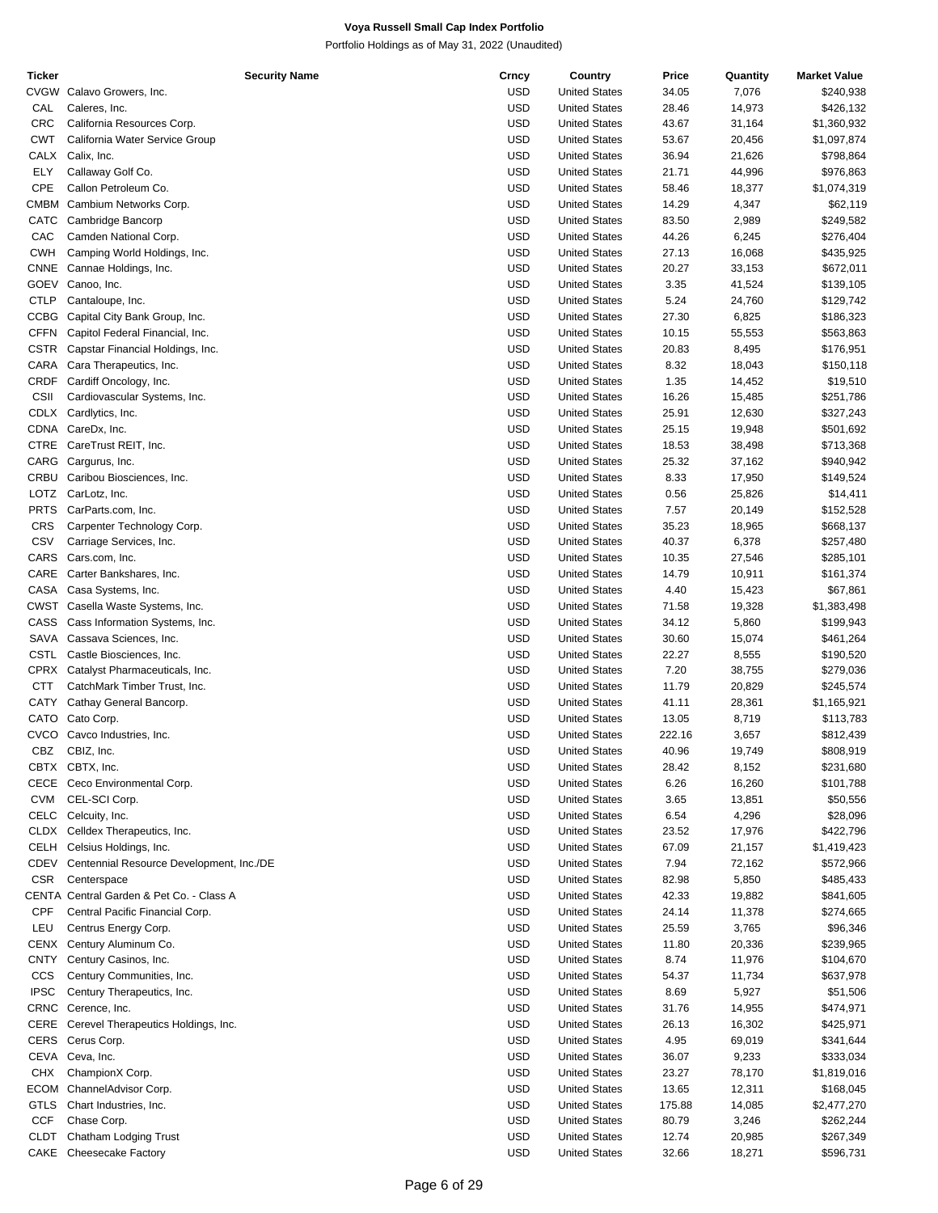| Ticker      | <b>Security Name</b>                     | Crncy      | Country              | Price  | Quantity | <b>Market Value</b> |
|-------------|------------------------------------------|------------|----------------------|--------|----------|---------------------|
| CVGW        | Calavo Growers, Inc.                     | <b>USD</b> | <b>United States</b> | 34.05  | 7,076    | \$240,938           |
| CAL         | Caleres, Inc.                            | <b>USD</b> | <b>United States</b> | 28.46  | 14,973   | \$426,132           |
| <b>CRC</b>  | California Resources Corp.               | <b>USD</b> | <b>United States</b> | 43.67  | 31,164   | \$1,360,932         |
| CWT         | California Water Service Group           | <b>USD</b> | <b>United States</b> | 53.67  | 20,456   | \$1,097,874         |
| CALX        | Calix, Inc.                              | <b>USD</b> | <b>United States</b> | 36.94  | 21,626   | \$798,864           |
| ELY         | Callaway Golf Co.                        | <b>USD</b> | <b>United States</b> | 21.71  | 44,996   | \$976,863           |
| <b>CPE</b>  | Callon Petroleum Co.                     | <b>USD</b> | <b>United States</b> | 58.46  | 18,377   | \$1,074,319         |
| <b>CMBM</b> | Cambium Networks Corp.                   | <b>USD</b> | <b>United States</b> | 14.29  | 4,347    | \$62,119            |
| CATC        |                                          | <b>USD</b> | <b>United States</b> |        |          |                     |
|             | Cambridge Bancorp                        |            |                      | 83.50  | 2,989    | \$249,582           |
| CAC         | Camden National Corp.                    | <b>USD</b> | <b>United States</b> | 44.26  | 6,245    | \$276,404           |
| <b>CWH</b>  | Camping World Holdings, Inc.             | <b>USD</b> | <b>United States</b> | 27.13  | 16,068   | \$435,925           |
| CNNE        | Cannae Holdings, Inc.                    | <b>USD</b> | <b>United States</b> | 20.27  | 33,153   | \$672,011           |
| GOEV        | Canoo, Inc.                              | <b>USD</b> | <b>United States</b> | 3.35   | 41,524   | \$139,105           |
| <b>CTLP</b> | Cantaloupe, Inc.                         | <b>USD</b> | <b>United States</b> | 5.24   | 24,760   | \$129,742           |
| <b>CCBG</b> | Capital City Bank Group, Inc.            | <b>USD</b> | <b>United States</b> | 27.30  | 6,825    | \$186,323           |
| CFFN        | Capitol Federal Financial, Inc.          | <b>USD</b> | <b>United States</b> | 10.15  | 55,553   | \$563,863           |
| CSTR        | Capstar Financial Holdings, Inc.         | <b>USD</b> | <b>United States</b> | 20.83  | 8,495    | \$176,951           |
| CARA        | Cara Therapeutics, Inc.                  | <b>USD</b> | <b>United States</b> | 8.32   | 18,043   | \$150,118           |
| CRDF        | Cardiff Oncology, Inc.                   | <b>USD</b> | <b>United States</b> | 1.35   | 14,452   | \$19,510            |
| CSII        | Cardiovascular Systems, Inc.             | <b>USD</b> | <b>United States</b> | 16.26  | 15,485   | \$251,786           |
| CDLX        | Cardlytics, Inc.                         | <b>USD</b> | <b>United States</b> | 25.91  |          |                     |
|             |                                          |            |                      |        | 12,630   | \$327,243           |
|             | CDNA CareDx, Inc.                        | <b>USD</b> | <b>United States</b> | 25.15  | 19,948   | \$501,692           |
|             | CTRE CareTrust REIT, Inc.                | <b>USD</b> | <b>United States</b> | 18.53  | 38,498   | \$713,368           |
|             | CARG Cargurus, Inc.                      | <b>USD</b> | <b>United States</b> | 25.32  | 37,162   | \$940,942           |
| CRBU        | Caribou Biosciences, Inc.                | <b>USD</b> | <b>United States</b> | 8.33   | 17,950   | \$149,524           |
| LOTZ        | CarLotz, Inc.                            | <b>USD</b> | <b>United States</b> | 0.56   | 25,826   | \$14,411            |
| <b>PRTS</b> | CarParts.com, Inc.                       | <b>USD</b> | <b>United States</b> | 7.57   | 20,149   | \$152,528           |
| CRS         | Carpenter Technology Corp.               | <b>USD</b> | <b>United States</b> | 35.23  | 18,965   | \$668,137           |
| CSV         | Carriage Services, Inc.                  | <b>USD</b> | <b>United States</b> | 40.37  | 6,378    | \$257,480           |
| CARS        | Cars.com, Inc.                           | <b>USD</b> | <b>United States</b> | 10.35  | 27,546   | \$285,101           |
| CARE        | Carter Bankshares, Inc.                  | <b>USD</b> | <b>United States</b> | 14.79  | 10,911   | \$161,374           |
| CASA        | Casa Systems, Inc.                       | <b>USD</b> | <b>United States</b> | 4.40   | 15,423   | \$67,861            |
|             | CWST Casella Waste Systems, Inc.         | <b>USD</b> | <b>United States</b> | 71.58  | 19,328   | \$1,383,498         |
| CASS        |                                          | <b>USD</b> |                      |        |          |                     |
|             | Cass Information Systems, Inc.           |            | <b>United States</b> | 34.12  | 5,860    | \$199,943           |
|             | SAVA Cassava Sciences, Inc.              | <b>USD</b> | <b>United States</b> | 30.60  | 15,074   | \$461,264           |
|             | CSTL Castle Biosciences, Inc.            | <b>USD</b> | <b>United States</b> | 22.27  | 8,555    | \$190,520           |
|             | CPRX Catalyst Pharmaceuticals, Inc.      | <b>USD</b> | <b>United States</b> | 7.20   | 38,755   | \$279,036           |
| <b>CTT</b>  | CatchMark Timber Trust, Inc.             | <b>USD</b> | <b>United States</b> | 11.79  | 20,829   | \$245,574           |
| CATY        | Cathay General Bancorp.                  | <b>USD</b> | <b>United States</b> | 41.11  | 28,361   | \$1,165,921         |
|             | CATO Cato Corp.                          | <b>USD</b> | <b>United States</b> | 13.05  | 8,719    | \$113,783           |
| CVCO        | Cavco Industries, Inc.                   | USD        | <b>United States</b> | 222.16 | 3,657    | \$812,439           |
| CBZ         | CBIZ, Inc.                               | <b>USD</b> | <b>United States</b> | 40.96  | 19,749   | \$808,919           |
|             | CBTX CBTX, Inc.                          | <b>USD</b> | <b>United States</b> | 28.42  | 8,152    | \$231,680           |
|             | CECE Ceco Environmental Corp.            | <b>USD</b> | <b>United States</b> | 6.26   | 16,260   | \$101,788           |
| <b>CVM</b>  | CEL-SCI Corp.                            | USD        | <b>United States</b> | 3.65   | 13,851   | \$50,556            |
| CELC        | Celcuity, Inc.                           | <b>USD</b> | <b>United States</b> | 6.54   | 4,296    | \$28,096            |
|             |                                          |            |                      |        |          |                     |
| CLDX        | Celldex Therapeutics, Inc.               | <b>USD</b> | <b>United States</b> | 23.52  | 17,976   | \$422,796           |
| CELH        | Celsius Holdings, Inc.                   | <b>USD</b> | <b>United States</b> | 67.09  | 21,157   | \$1,419,423         |
| CDEV        | Centennial Resource Development, Inc./DE | USD        | <b>United States</b> | 7.94   | 72,162   | \$572,966           |
| <b>CSR</b>  | Centerspace                              | <b>USD</b> | <b>United States</b> | 82.98  | 5,850    | \$485,433           |
|             | CENTA Central Garden & Pet Co. - Class A | <b>USD</b> | <b>United States</b> | 42.33  | 19,882   | \$841,605           |
| CPF         | Central Pacific Financial Corp.          | <b>USD</b> | <b>United States</b> | 24.14  | 11,378   | \$274,665           |
| LEU         | Centrus Energy Corp.                     | USD        | <b>United States</b> | 25.59  | 3,765    | \$96,346            |
| CENX        | Century Aluminum Co.                     | <b>USD</b> | <b>United States</b> | 11.80  | 20,336   | \$239,965           |
| CNTY        | Century Casinos, Inc.                    | USD        | <b>United States</b> | 8.74   | 11,976   | \$104,670           |
| <b>CCS</b>  | Century Communities, Inc.                | <b>USD</b> | <b>United States</b> | 54.37  | 11,734   | \$637,978           |
| <b>IPSC</b> | Century Therapeutics, Inc.               | USD        | <b>United States</b> | 8.69   | 5,927    | \$51,506            |
| <b>CRNC</b> | Cerence, Inc.                            | <b>USD</b> | <b>United States</b> | 31.76  | 14,955   | \$474,971           |
|             |                                          |            |                      |        |          |                     |
|             | CERE Cerevel Therapeutics Holdings, Inc. | <b>USD</b> | <b>United States</b> | 26.13  | 16,302   | \$425,971           |
|             | CERS Cerus Corp.                         | <b>USD</b> | <b>United States</b> | 4.95   | 69,019   | \$341,644           |
|             | CEVA Ceva, Inc.                          | USD        | <b>United States</b> | 36.07  | 9,233    | \$333,034           |
| CHX         | ChampionX Corp.                          | <b>USD</b> | <b>United States</b> | 23.27  | 78,170   | \$1,819,016         |
| ECOM        | ChannelAdvisor Corp.                     | <b>USD</b> | <b>United States</b> | 13.65  | 12,311   | \$168,045           |
| GTLS        | Chart Industries, Inc.                   | <b>USD</b> | <b>United States</b> | 175.88 | 14,085   | \$2,477,270         |
| <b>CCF</b>  | Chase Corp.                              | USD        | <b>United States</b> | 80.79  | 3,246    | \$262,244           |
| CLDT        | Chatham Lodging Trust                    | <b>USD</b> | <b>United States</b> | 12.74  | 20,985   | \$267,349           |
|             | CAKE Cheesecake Factory                  | <b>USD</b> | <b>United States</b> | 32.66  | 18,271   | \$596,731           |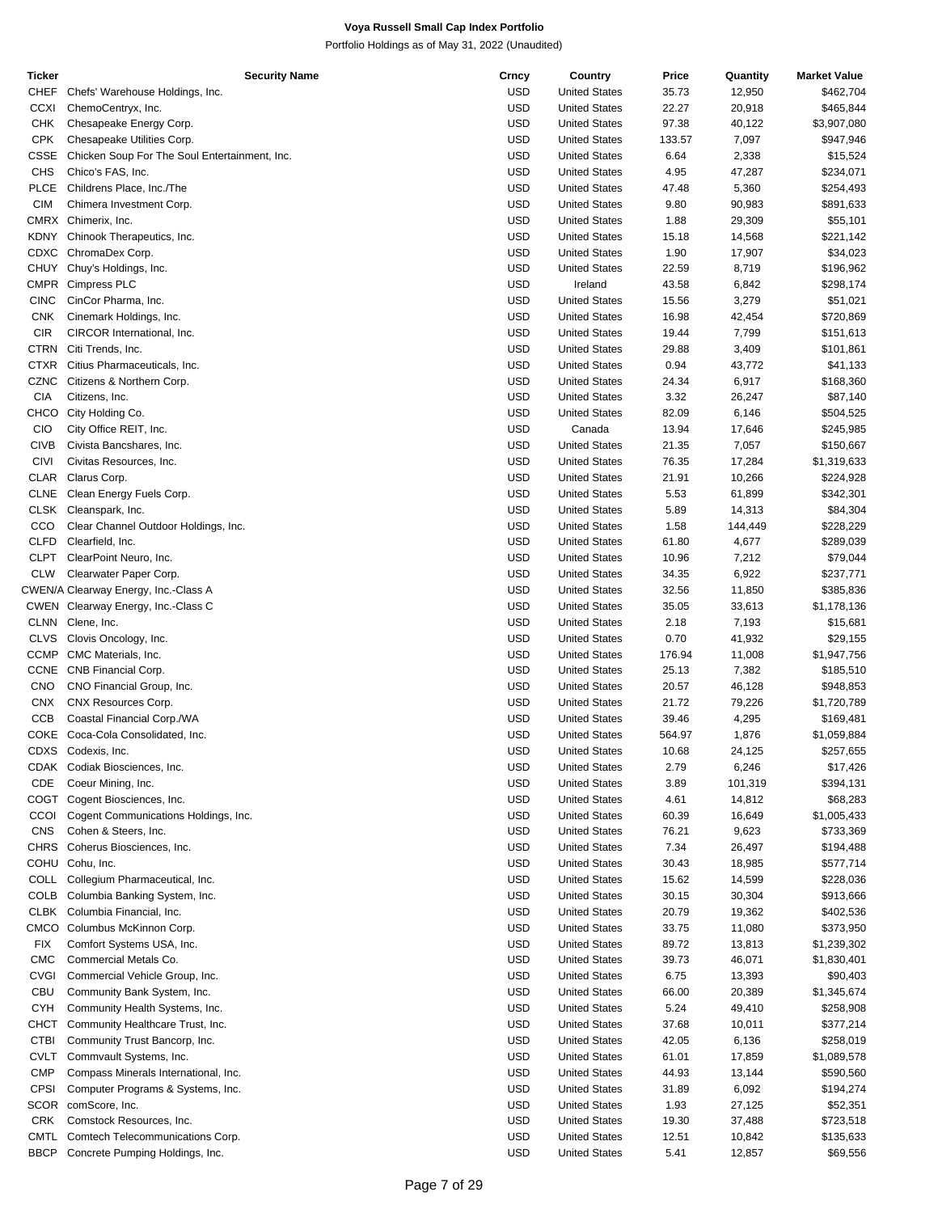| Ticker      | <b>Security Name</b>                          | Crncy      | Country              | Price  | Quantity | <b>Market Value</b> |
|-------------|-----------------------------------------------|------------|----------------------|--------|----------|---------------------|
| <b>CHEF</b> | Chefs' Warehouse Holdings, Inc.               | <b>USD</b> | <b>United States</b> | 35.73  | 12,950   | \$462,704           |
| <b>CCXI</b> | ChemoCentryx, Inc.                            | <b>USD</b> | <b>United States</b> | 22.27  | 20,918   | \$465,844           |
| <b>CHK</b>  | Chesapeake Energy Corp.                       | <b>USD</b> | <b>United States</b> | 97.38  | 40,122   | \$3,907,080         |
| <b>CPK</b>  | Chesapeake Utilities Corp.                    | <b>USD</b> | <b>United States</b> | 133.57 | 7,097    | \$947,946           |
|             |                                               |            |                      |        |          |                     |
| CSSE        | Chicken Soup For The Soul Entertainment, Inc. | <b>USD</b> | <b>United States</b> | 6.64   | 2,338    | \$15,524            |
| <b>CHS</b>  | Chico's FAS, Inc.                             | <b>USD</b> | <b>United States</b> | 4.95   | 47,287   | \$234,071           |
| <b>PLCE</b> | Childrens Place, Inc./The                     | <b>USD</b> | <b>United States</b> | 47.48  | 5,360    | \$254,493           |
| <b>CIM</b>  | Chimera Investment Corp.                      | <b>USD</b> | <b>United States</b> | 9.80   | 90,983   | \$891,633           |
|             | CMRX Chimerix, Inc.                           | <b>USD</b> | <b>United States</b> | 1.88   | 29,309   | \$55,101            |
| KDNY        | Chinook Therapeutics, Inc.                    | <b>USD</b> | <b>United States</b> | 15.18  | 14,568   | \$221,142           |
| CDXC        | ChromaDex Corp.                               | <b>USD</b> | <b>United States</b> | 1.90   | 17,907   | \$34,023            |
|             | CHUY Chuy's Holdings, Inc.                    | <b>USD</b> | <b>United States</b> | 22.59  | 8,719    | \$196,962           |
| <b>CMPR</b> |                                               | <b>USD</b> | Ireland              |        |          |                     |
|             | Cimpress PLC                                  |            |                      | 43.58  | 6,842    | \$298,174           |
| <b>CINC</b> | CinCor Pharma, Inc.                           | <b>USD</b> | <b>United States</b> | 15.56  | 3,279    | \$51,021            |
| <b>CNK</b>  | Cinemark Holdings, Inc.                       | <b>USD</b> | <b>United States</b> | 16.98  | 42,454   | \$720,869           |
| <b>CIR</b>  | CIRCOR International, Inc.                    | <b>USD</b> | <b>United States</b> | 19.44  | 7,799    | \$151,613           |
| <b>CTRN</b> | Citi Trends, Inc.                             | <b>USD</b> | <b>United States</b> | 29.88  | 3,409    | \$101,861           |
| <b>CTXR</b> | Citius Pharmaceuticals, Inc.                  | <b>USD</b> | <b>United States</b> | 0.94   | 43,772   | \$41,133            |
| <b>CZNC</b> | Citizens & Northern Corp.                     | <b>USD</b> | <b>United States</b> | 24.34  | 6,917    | \$168,360           |
| <b>CIA</b>  | Citizens, Inc.                                | <b>USD</b> | <b>United States</b> | 3.32   | 26,247   | \$87,140            |
| <b>CHCO</b> | City Holding Co.                              | <b>USD</b> | <b>United States</b> | 82.09  | 6,146    | \$504,525           |
|             |                                               |            |                      |        |          |                     |
| <b>CIO</b>  | City Office REIT, Inc.                        | <b>USD</b> | Canada               | 13.94  | 17,646   | \$245,985           |
| <b>CIVB</b> | Civista Bancshares, Inc.                      | <b>USD</b> | <b>United States</b> | 21.35  | 7,057    | \$150,667           |
| <b>CIVI</b> | Civitas Resources, Inc.                       | <b>USD</b> | <b>United States</b> | 76.35  | 17,284   | \$1,319,633         |
| <b>CLAR</b> | Clarus Corp.                                  | <b>USD</b> | <b>United States</b> | 21.91  | 10,266   | \$224,928           |
| <b>CLNE</b> | Clean Energy Fuels Corp.                      | <b>USD</b> | <b>United States</b> | 5.53   | 61,899   | \$342,301           |
|             | CLSK Cleanspark, Inc.                         | <b>USD</b> | <b>United States</b> | 5.89   | 14,313   | \$84,304            |
| CCO         | Clear Channel Outdoor Holdings, Inc.          | <b>USD</b> | <b>United States</b> | 1.58   | 144,449  | \$228,229           |
| <b>CLFD</b> | Clearfield, Inc.                              | <b>USD</b> | <b>United States</b> | 61.80  | 4,677    | \$289,039           |
| <b>CLPT</b> |                                               |            |                      |        |          |                     |
|             | ClearPoint Neuro, Inc.                        | <b>USD</b> | <b>United States</b> | 10.96  | 7,212    | \$79,044            |
| <b>CLW</b>  | Clearwater Paper Corp.                        | <b>USD</b> | <b>United States</b> | 34.35  | 6,922    | \$237,771           |
|             | CWEN/A Clearway Energy, Inc.-Class A          | <b>USD</b> | <b>United States</b> | 32.56  | 11,850   | \$385,836           |
|             | CWEN Clearway Energy, Inc.-Class C            | <b>USD</b> | <b>United States</b> | 35.05  | 33,613   | \$1,178,136         |
|             | CLNN Clene, Inc.                              | <b>USD</b> | <b>United States</b> | 2.18   | 7,193    | \$15,681            |
| <b>CLVS</b> | Clovis Oncology, Inc.                         | <b>USD</b> | <b>United States</b> | 0.70   | 41,932   | \$29,155            |
| <b>CCMP</b> | CMC Materials, Inc.                           | <b>USD</b> | <b>United States</b> | 176.94 | 11,008   | \$1,947,756         |
|             | CCNE CNB Financial Corp.                      | <b>USD</b> | <b>United States</b> | 25.13  | 7,382    | \$185,510           |
| <b>CNO</b>  | CNO Financial Group, Inc.                     | <b>USD</b> | <b>United States</b> | 20.57  | 46,128   | \$948,853           |
|             |                                               |            |                      |        |          |                     |
| <b>CNX</b>  | CNX Resources Corp.                           | <b>USD</b> | <b>United States</b> | 21.72  | 79,226   | \$1,720,789         |
| CCB         | Coastal Financial Corp./WA                    | <b>USD</b> | <b>United States</b> | 39.46  | 4,295    | \$169,481           |
| COKE        | Coca-Cola Consolidated, Inc.                  | <b>USD</b> | <b>United States</b> | 564.97 | 1,876    | \$1,059,884         |
|             | CDXS Codexis, Inc.                            | <b>USD</b> | <b>United States</b> | 10.68  | 24,125   | \$257,655           |
|             | CDAK Codiak Biosciences, Inc.                 | <b>USD</b> | <b>United States</b> | 2.79   | 6,246    | \$17,426            |
| CDE         | Coeur Mining, Inc.                            | <b>USD</b> | <b>United States</b> | 3.89   | 101,319  | \$394,131           |
| COGT        | Cogent Biosciences, Inc.                      | <b>USD</b> | <b>United States</b> | 4.61   | 14,812   | \$68,283            |
| CCOI        | Cogent Communications Holdings, Inc.          | <b>USD</b> | <b>United States</b> | 60.39  | 16,649   | \$1,005,433         |
| CNS         | Cohen & Steers, Inc.                          | <b>USD</b> | <b>United States</b> | 76.21  | 9,623    | \$733,369           |
|             |                                               |            |                      |        |          |                     |
|             | CHRS Coherus Biosciences, Inc.                | USD        | <b>United States</b> | 7.34   | 26,497   | \$194,488           |
|             | COHU Cohu, Inc.                               | <b>USD</b> | <b>United States</b> | 30.43  | 18,985   | \$577,714           |
| COLL        | Collegium Pharmaceutical, Inc.                | <b>USD</b> | <b>United States</b> | 15.62  | 14,599   | \$228,036           |
| <b>COLB</b> | Columbia Banking System, Inc.                 | <b>USD</b> | <b>United States</b> | 30.15  | 30,304   | \$913,666           |
|             | CLBK Columbia Financial, Inc.                 | <b>USD</b> | <b>United States</b> | 20.79  | 19,362   | \$402,536           |
| CMCO        | Columbus McKinnon Corp.                       | <b>USD</b> | <b>United States</b> | 33.75  | 11,080   | \$373,950           |
| <b>FIX</b>  | Comfort Systems USA, Inc.                     | <b>USD</b> | <b>United States</b> | 89.72  | 13,813   | \$1,239,302         |
| <b>CMC</b>  | Commercial Metals Co.                         | <b>USD</b> | <b>United States</b> | 39.73  | 46,071   | \$1,830,401         |
| <b>CVGI</b> | Commercial Vehicle Group, Inc.                | <b>USD</b> | <b>United States</b> | 6.75   | 13,393   | \$90,403            |
|             |                                               |            |                      |        |          |                     |
| CBU         | Community Bank System, Inc.                   | <b>USD</b> | <b>United States</b> | 66.00  | 20,389   | \$1,345,674         |
| <b>CYH</b>  | Community Health Systems, Inc.                | <b>USD</b> | <b>United States</b> | 5.24   | 49,410   | \$258,908           |
| CHCT        | Community Healthcare Trust, Inc.              | <b>USD</b> | <b>United States</b> | 37.68  | 10,011   | \$377,214           |
| <b>CTBI</b> | Community Trust Bancorp, Inc.                 | <b>USD</b> | <b>United States</b> | 42.05  | 6,136    | \$258,019           |
| <b>CVLT</b> | Commvault Systems, Inc.                       | <b>USD</b> | <b>United States</b> | 61.01  | 17,859   | \$1,089,578         |
| <b>CMP</b>  | Compass Minerals International, Inc.          | <b>USD</b> | <b>United States</b> | 44.93  | 13,144   | \$590,560           |
| <b>CPSI</b> | Computer Programs & Systems, Inc.             | <b>USD</b> | <b>United States</b> | 31.89  | 6,092    | \$194,274           |
|             | SCOR comScore, Inc.                           | USD        | <b>United States</b> | 1.93   | 27,125   | \$52,351            |
|             |                                               |            |                      |        |          |                     |
| <b>CRK</b>  | Comstock Resources, Inc.                      | <b>USD</b> | <b>United States</b> | 19.30  | 37,488   | \$723,518           |
| CMTL        | Comtech Telecommunications Corp.              | <b>USD</b> | <b>United States</b> | 12.51  | 10,842   | \$135,633           |
| BBCP        | Concrete Pumping Holdings, Inc.               | <b>USD</b> | <b>United States</b> | 5.41   | 12,857   | \$69,556            |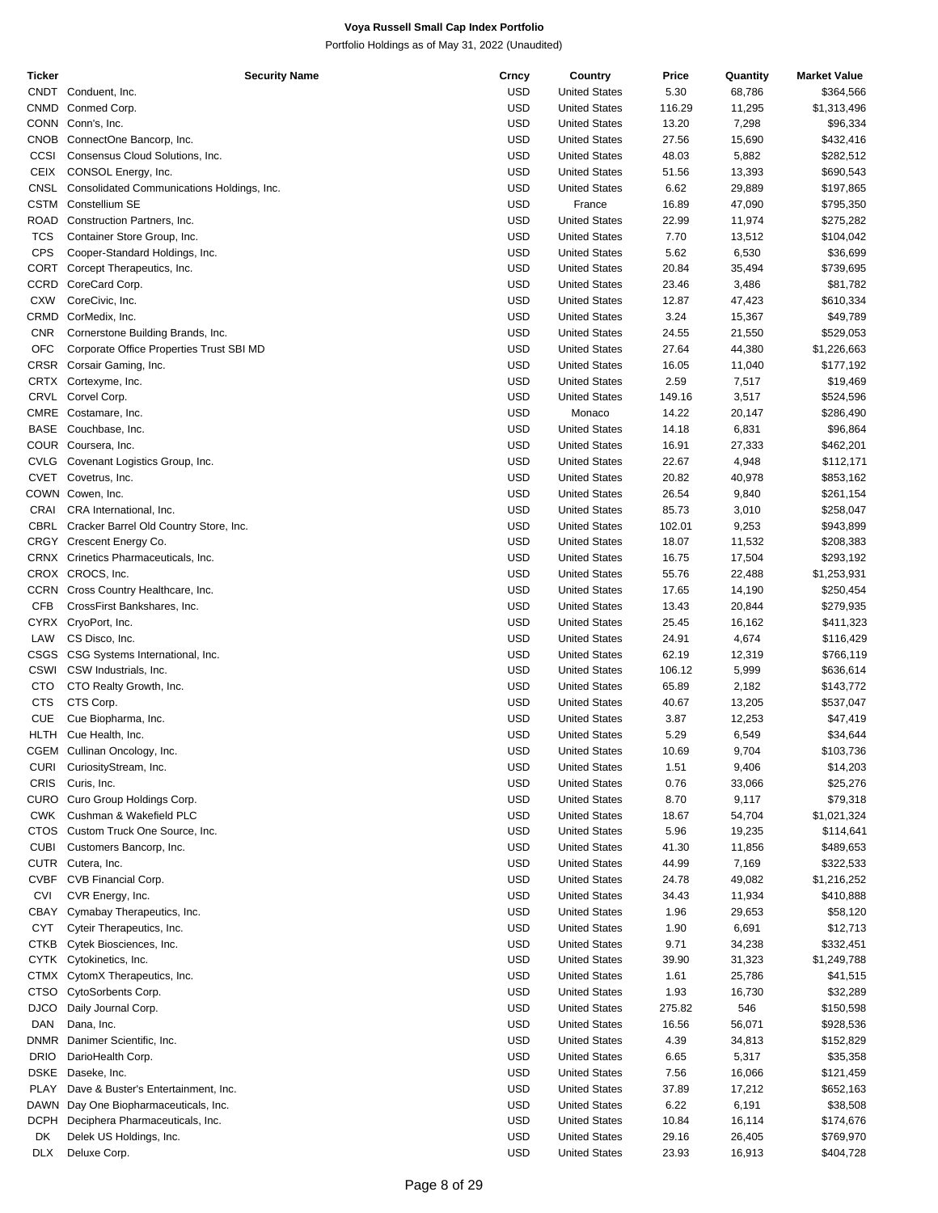| Ticker      | <b>Security Name</b>                       | Crncy      | Country              | Price  | Quantity | <b>Market Value</b> |
|-------------|--------------------------------------------|------------|----------------------|--------|----------|---------------------|
|             | CNDT Conduent, Inc.                        | <b>USD</b> | <b>United States</b> | 5.30   | 68,786   | \$364,566           |
|             | CNMD Conmed Corp.                          | <b>USD</b> | <b>United States</b> | 116.29 | 11,295   | \$1,313,496         |
|             |                                            |            |                      |        |          |                     |
|             | CONN Conn's, Inc.                          | <b>USD</b> | <b>United States</b> | 13.20  | 7,298    | \$96,334            |
| CNOB        | ConnectOne Bancorp, Inc.                   | <b>USD</b> | <b>United States</b> | 27.56  | 15,690   | \$432,416           |
| CCSI        | Consensus Cloud Solutions, Inc.            | <b>USD</b> | <b>United States</b> | 48.03  | 5,882    | \$282,512           |
| <b>CEIX</b> | CONSOL Energy, Inc.                        | <b>USD</b> | <b>United States</b> | 51.56  | 13,393   | \$690,543           |
| <b>CNSL</b> |                                            | <b>USD</b> |                      |        |          |                     |
|             | Consolidated Communications Holdings, Inc. |            | <b>United States</b> | 6.62   | 29,889   | \$197,865           |
| <b>CSTM</b> | Constellium SE                             | <b>USD</b> | France               | 16.89  | 47,090   | \$795,350           |
| ROAD        | Construction Partners, Inc.                | <b>USD</b> | <b>United States</b> | 22.99  | 11,974   | \$275,282           |
| <b>TCS</b>  | Container Store Group, Inc.                | <b>USD</b> | <b>United States</b> | 7.70   | 13,512   | \$104,042           |
| <b>CPS</b>  | Cooper-Standard Holdings, Inc.             | <b>USD</b> | <b>United States</b> | 5.62   | 6,530    | \$36,699            |
|             |                                            |            |                      |        |          |                     |
|             | CORT Corcept Therapeutics, Inc.            | <b>USD</b> | <b>United States</b> | 20.84  | 35,494   | \$739,695           |
| CCRD        | CoreCard Corp.                             | <b>USD</b> | <b>United States</b> | 23.46  | 3,486    | \$81,782            |
| <b>CXW</b>  | CoreCivic, Inc.                            | <b>USD</b> | <b>United States</b> | 12.87  | 47,423   | \$610,334           |
| CRMD        | CorMedix, Inc.                             | <b>USD</b> | <b>United States</b> | 3.24   | 15,367   | \$49,789            |
|             |                                            | <b>USD</b> |                      |        |          |                     |
| <b>CNR</b>  | Cornerstone Building Brands, Inc.          |            | <b>United States</b> | 24.55  | 21,550   | \$529,053           |
| <b>OFC</b>  | Corporate Office Properties Trust SBI MD   | <b>USD</b> | <b>United States</b> | 27.64  | 44,380   | \$1,226,663         |
|             | CRSR Corsair Gaming, Inc.                  | <b>USD</b> | <b>United States</b> | 16.05  | 11,040   | \$177,192           |
|             | CRTX Cortexyme, Inc.                       | <b>USD</b> | <b>United States</b> | 2.59   | 7,517    | \$19,469            |
|             | CRVL Corvel Corp.                          | <b>USD</b> | <b>United States</b> | 149.16 | 3,517    | \$524,596           |
|             |                                            |            |                      |        |          |                     |
| <b>CMRE</b> | Costamare, Inc.                            | <b>USD</b> | Monaco               | 14.22  | 20,147   | \$286,490           |
| <b>BASE</b> | Couchbase, Inc.                            | <b>USD</b> | <b>United States</b> | 14.18  | 6,831    | \$96,864            |
|             | COUR Coursera, Inc.                        | <b>USD</b> | <b>United States</b> | 16.91  | 27,333   | \$462,201           |
|             | CVLG Covenant Logistics Group, Inc.        | <b>USD</b> | <b>United States</b> | 22.67  | 4,948    | \$112,171           |
|             |                                            |            |                      |        |          |                     |
| <b>CVET</b> | Covetrus, Inc.                             | <b>USD</b> | <b>United States</b> | 20.82  | 40,978   | \$853,162           |
|             | COWN Cowen, Inc.                           | <b>USD</b> | <b>United States</b> | 26.54  | 9,840    | \$261,154           |
| CRAI        | CRA International, Inc.                    | <b>USD</b> | <b>United States</b> | 85.73  | 3,010    | \$258,047           |
| CBRL        | Cracker Barrel Old Country Store, Inc.     | <b>USD</b> | <b>United States</b> | 102.01 | 9,253    | \$943,899           |
|             |                                            |            |                      |        |          |                     |
|             | CRGY Crescent Energy Co.                   | <b>USD</b> | <b>United States</b> | 18.07  | 11,532   | \$208,383           |
|             | CRNX Crinetics Pharmaceuticals, Inc.       | <b>USD</b> | <b>United States</b> | 16.75  | 17,504   | \$293,192           |
|             | CROX CROCS, Inc.                           | <b>USD</b> | <b>United States</b> | 55.76  | 22,488   | \$1,253,931         |
|             | CCRN Cross Country Healthcare, Inc.        | <b>USD</b> | <b>United States</b> | 17.65  | 14,190   | \$250,454           |
| <b>CFB</b>  |                                            | <b>USD</b> |                      |        |          |                     |
|             | CrossFirst Bankshares, Inc.                |            | <b>United States</b> | 13.43  | 20,844   | \$279,935           |
|             | CYRX CryoPort, Inc.                        | <b>USD</b> | <b>United States</b> | 25.45  | 16,162   | \$411,323           |
| LAW         | CS Disco, Inc.                             | <b>USD</b> | <b>United States</b> | 24.91  | 4,674    | \$116,429           |
| CSGS        | CSG Systems International, Inc.            | <b>USD</b> | <b>United States</b> | 62.19  | 12,319   | \$766,119           |
| <b>CSWI</b> | CSW Industrials, Inc.                      | <b>USD</b> | <b>United States</b> | 106.12 | 5,999    | \$636,614           |
|             |                                            |            |                      |        |          |                     |
| <b>CTO</b>  | CTO Realty Growth, Inc.                    | <b>USD</b> | <b>United States</b> | 65.89  | 2,182    | \$143,772           |
| <b>CTS</b>  | CTS Corp.                                  | <b>USD</b> | <b>United States</b> | 40.67  | 13,205   | \$537,047           |
| <b>CUE</b>  | Cue Biopharma, Inc.                        | <b>USD</b> | <b>United States</b> | 3.87   | 12,253   | \$47,419            |
| <b>HLTH</b> | Cue Health, Inc.                           | <b>USD</b> | <b>United States</b> | 5.29   | 6,549    | \$34,644            |
|             |                                            |            |                      |        |          |                     |
|             | CGEM Cullinan Oncology, Inc.               | <b>USD</b> | <b>United States</b> | 10.69  | 9,704    | \$103,736           |
| <b>CURI</b> | CuriosityStream, Inc.                      | <b>USD</b> | <b>United States</b> | 1.51   | 9,406    | \$14,203            |
| <b>CRIS</b> | Curis, Inc.                                | <b>USD</b> | <b>United States</b> | 0.76   | 33,066   | \$25,276            |
| CURO        | Curo Group Holdings Corp.                  | <b>USD</b> | <b>United States</b> | 8.70   | 9,117    | \$79,318            |
| <b>CWK</b>  | Cushman & Wakefield PLC                    | <b>USD</b> | <b>United States</b> | 18.67  |          |                     |
|             |                                            |            |                      |        | 54,704   | \$1,021,324         |
| <b>CTOS</b> | Custom Truck One Source, Inc.              | <b>USD</b> | <b>United States</b> | 5.96   | 19,235   | \$114,641           |
| <b>CUBI</b> | Customers Bancorp, Inc.                    | <b>USD</b> | <b>United States</b> | 41.30  | 11,856   | \$489,653           |
| <b>CUTR</b> | Cutera, Inc.                               | <b>USD</b> | <b>United States</b> | 44.99  | 7,169    | \$322,533           |
| <b>CVBF</b> | CVB Financial Corp.                        | <b>USD</b> | <b>United States</b> | 24.78  | 49,082   | \$1,216,252         |
|             |                                            |            |                      |        |          |                     |
| <b>CVI</b>  | CVR Energy, Inc.                           | <b>USD</b> | <b>United States</b> | 34.43  | 11,934   | \$410,888           |
| CBAY        | Cymabay Therapeutics, Inc.                 | <b>USD</b> | <b>United States</b> | 1.96   | 29,653   | \$58,120            |
| <b>CYT</b>  | Cyteir Therapeutics, Inc.                  | <b>USD</b> | <b>United States</b> | 1.90   | 6,691    | \$12,713            |
| <b>CTKB</b> | Cytek Biosciences, Inc.                    | <b>USD</b> | <b>United States</b> | 9.71   | 34,238   | \$332,451           |
|             |                                            |            |                      |        |          |                     |
| <b>CYTK</b> | Cytokinetics, Inc.                         | <b>USD</b> | <b>United States</b> | 39.90  | 31,323   | \$1,249,788         |
|             | CTMX CytomX Therapeutics, Inc.             | <b>USD</b> | <b>United States</b> | 1.61   | 25,786   | \$41,515            |
| <b>CTSO</b> | CytoSorbents Corp.                         | <b>USD</b> | <b>United States</b> | 1.93   | 16,730   | \$32,289            |
| <b>DJCO</b> | Daily Journal Corp.                        | <b>USD</b> | <b>United States</b> | 275.82 | 546      | \$150,598           |
|             |                                            |            |                      |        |          |                     |
| <b>DAN</b>  | Dana, Inc.                                 | <b>USD</b> | <b>United States</b> | 16.56  | 56,071   | \$928,536           |
| DNMR        | Danimer Scientific, Inc.                   | <b>USD</b> | <b>United States</b> | 4.39   | 34,813   | \$152,829           |
| <b>DRIO</b> | DarioHealth Corp.                          | <b>USD</b> | <b>United States</b> | 6.65   | 5,317    | \$35,358            |
| <b>DSKE</b> | Daseke, Inc.                               | <b>USD</b> | <b>United States</b> | 7.56   | 16,066   | \$121,459           |
| PLAY        | Dave & Buster's Entertainment, Inc.        | <b>USD</b> | <b>United States</b> | 37.89  | 17,212   | \$652,163           |
|             |                                            |            |                      |        |          |                     |
| <b>DAWN</b> | Day One Biopharmaceuticals, Inc.           | <b>USD</b> | <b>United States</b> | 6.22   | 6,191    | \$38,508            |
| <b>DCPH</b> | Deciphera Pharmaceuticals, Inc.            | <b>USD</b> | <b>United States</b> | 10.84  | 16,114   | \$174,676           |
| DK          | Delek US Holdings, Inc.                    | <b>USD</b> | <b>United States</b> | 29.16  | 26,405   | \$769,970           |
| <b>DLX</b>  | Deluxe Corp.                               | <b>USD</b> | <b>United States</b> | 23.93  | 16,913   | \$404,728           |
|             |                                            |            |                      |        |          |                     |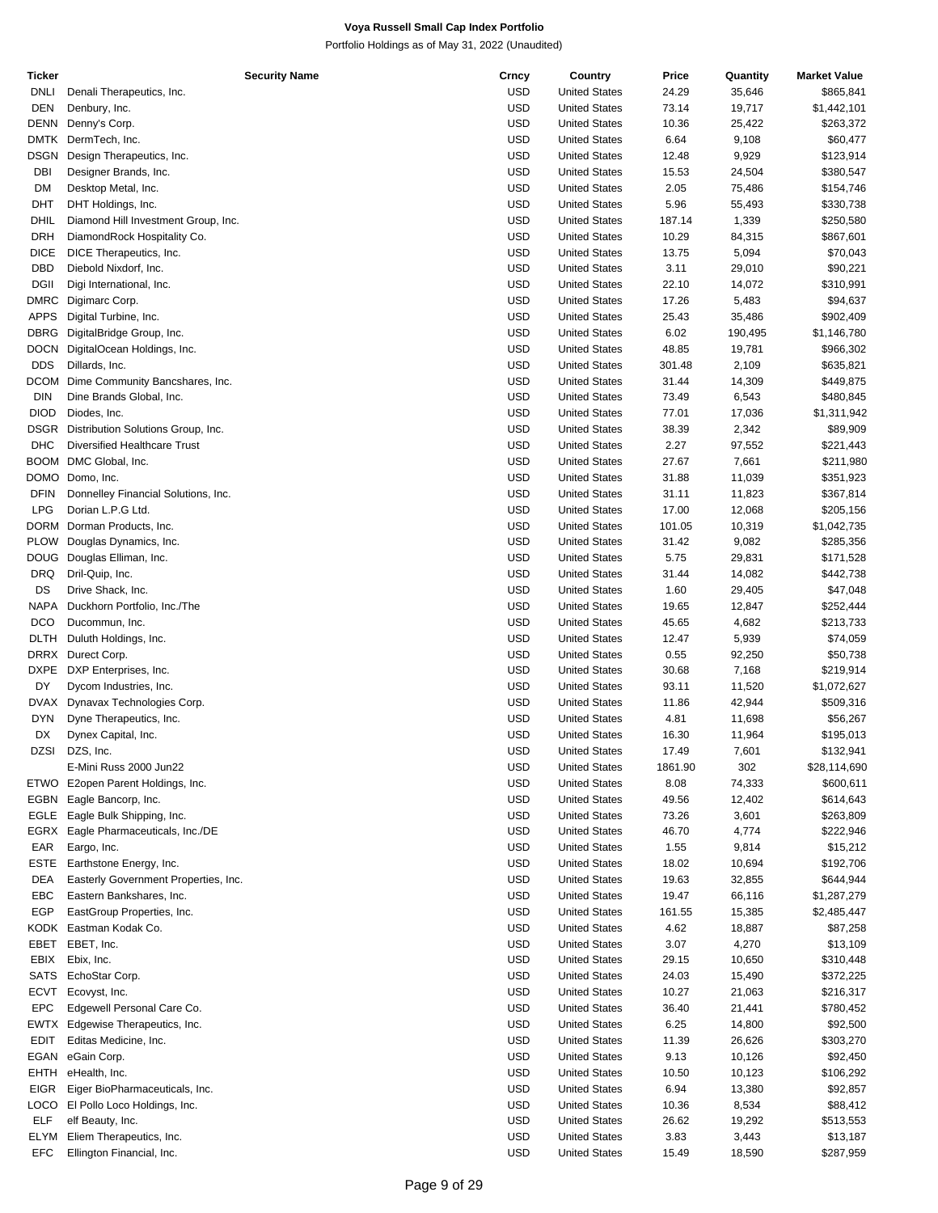| Ticker      | <b>Security Name</b>                 | Crncy      | Country              | Price   | Quantity | <b>Market Value</b> |
|-------------|--------------------------------------|------------|----------------------|---------|----------|---------------------|
| <b>DNLI</b> | Denali Therapeutics, Inc.            | <b>USD</b> | <b>United States</b> | 24.29   | 35,646   | \$865,841           |
| <b>DEN</b>  | Denbury, Inc.                        | <b>USD</b> | <b>United States</b> | 73.14   | 19,717   | \$1,442,101         |
| <b>DENN</b> | Denny's Corp.                        | <b>USD</b> | <b>United States</b> | 10.36   | 25,422   | \$263,372           |
| <b>DMTK</b> | DermTech, Inc.                       | <b>USD</b> | <b>United States</b> | 6.64    | 9,108    | \$60,477            |
| DSGN        | Design Therapeutics, Inc.            | <b>USD</b> | <b>United States</b> | 12.48   | 9,929    | \$123,914           |
| DBI         | Designer Brands, Inc.                | <b>USD</b> | <b>United States</b> | 15.53   | 24,504   | \$380,547           |
| <b>DM</b>   | Desktop Metal, Inc.                  | <b>USD</b> | <b>United States</b> | 2.05    | 75,486   | \$154,746           |
| <b>DHT</b>  | DHT Holdings, Inc.                   | USD        | <b>United States</b> | 5.96    | 55,493   | \$330,738           |
| DHIL        |                                      | <b>USD</b> |                      |         |          |                     |
|             | Diamond Hill Investment Group, Inc.  |            | <b>United States</b> | 187.14  | 1,339    | \$250,580           |
| <b>DRH</b>  | DiamondRock Hospitality Co.          | <b>USD</b> | <b>United States</b> | 10.29   | 84,315   | \$867,601           |
| <b>DICE</b> | DICE Therapeutics, Inc.              | <b>USD</b> | <b>United States</b> | 13.75   | 5,094    | \$70,043            |
| DBD         | Diebold Nixdorf, Inc.                | USD        | <b>United States</b> | 3.11    | 29,010   | \$90,221            |
| <b>DGII</b> | Digi International, Inc.             | <b>USD</b> | <b>United States</b> | 22.10   | 14,072   | \$310,991           |
| DMRC        | Digimarc Corp.                       | USD        | <b>United States</b> | 17.26   | 5,483    | \$94,637            |
| <b>APPS</b> | Digital Turbine, Inc.                | <b>USD</b> | <b>United States</b> | 25.43   | 35,486   | \$902,409           |
| DBRG        | DigitalBridge Group, Inc.            | USD        | <b>United States</b> | 6.02    | 190,495  | \$1,146,780         |
| <b>DOCN</b> | DigitalOcean Holdings, Inc.          | <b>USD</b> | <b>United States</b> | 48.85   | 19,781   | \$966,302           |
| <b>DDS</b>  | Dillards, Inc.                       | USD        | <b>United States</b> | 301.48  | 2,109    | \$635,821           |
| DCOM        | Dime Community Bancshares, Inc.      | <b>USD</b> | <b>United States</b> | 31.44   | 14,309   | \$449,875           |
| <b>DIN</b>  | Dine Brands Global, Inc.             | <b>USD</b> | <b>United States</b> | 73.49   | 6,543    | \$480,845           |
| <b>DIOD</b> | Diodes, Inc.                         | <b>USD</b> | <b>United States</b> | 77.01   | 17,036   | \$1,311,942         |
| DSGR        |                                      | USD        |                      |         |          |                     |
|             | Distribution Solutions Group, Inc.   |            | <b>United States</b> | 38.39   | 2,342    | \$89,909            |
| <b>DHC</b>  | <b>Diversified Healthcare Trust</b>  | <b>USD</b> | <b>United States</b> | 2.27    | 97,552   | \$221,443           |
| <b>BOOM</b> | DMC Global, Inc.                     | USD        | <b>United States</b> | 27.67   | 7,661    | \$211,980           |
| DOMO        | Domo, Inc.                           | <b>USD</b> | <b>United States</b> | 31.88   | 11,039   | \$351,923           |
| <b>DFIN</b> | Donnelley Financial Solutions, Inc.  | USD        | <b>United States</b> | 31.11   | 11,823   | \$367,814           |
| <b>LPG</b>  | Dorian L.P.G Ltd.                    | <b>USD</b> | <b>United States</b> | 17.00   | 12,068   | \$205,156           |
| DORM        | Dorman Products, Inc.                | <b>USD</b> | <b>United States</b> | 101.05  | 10,319   | \$1,042,735         |
| <b>PLOW</b> | Douglas Dynamics, Inc.               | <b>USD</b> | <b>United States</b> | 31.42   | 9,082    | \$285,356           |
| DOUG        | Douglas Elliman, Inc.                | USD        | <b>United States</b> | 5.75    | 29,831   | \$171,528           |
| <b>DRQ</b>  | Dril-Quip, Inc.                      | <b>USD</b> | <b>United States</b> | 31.44   | 14,082   | \$442,738           |
| DS          | Drive Shack, Inc.                    | USD        | <b>United States</b> | 1.60    | 29,405   | \$47,048            |
| <b>NAPA</b> | Duckhorn Portfolio, Inc./The         | <b>USD</b> | <b>United States</b> | 19.65   | 12,847   | \$252,444           |
| DCO         | Ducommun, Inc.                       | USD        | <b>United States</b> | 45.65   | 4,682    | \$213,733           |
|             |                                      | <b>USD</b> |                      |         |          |                     |
| <b>DLTH</b> | Duluth Holdings, Inc.                |            | <b>United States</b> | 12.47   | 5,939    | \$74,059            |
| <b>DRRX</b> | Durect Corp.                         | <b>USD</b> | <b>United States</b> | 0.55    | 92,250   | \$50,738            |
| <b>DXPE</b> | DXP Enterprises, Inc.                | <b>USD</b> | <b>United States</b> | 30.68   | 7,168    | \$219,914           |
| DY          | Dycom Industries, Inc.               | USD        | <b>United States</b> | 93.11   | 11,520   | \$1,072,627         |
| <b>DVAX</b> | Dynavax Technologies Corp.           | <b>USD</b> | <b>United States</b> | 11.86   | 42,944   | \$509,316           |
| <b>DYN</b>  | Dyne Therapeutics, Inc.              | USD        | <b>United States</b> | 4.81    | 11,698   | \$56,267            |
| DX          | Dynex Capital, Inc.                  | USD        | <b>United States</b> | 16.30   | 11,964   | \$195,013           |
| <b>DZSI</b> | DZS, Inc.                            | <b>USD</b> | <b>United States</b> | 17.49   | 7,601    | \$132,941           |
|             | E-Mini Russ 2000 Jun22               | USD        | <b>United States</b> | 1861.90 | 302      | \$28,114,690        |
| ETWO        | E2open Parent Holdings, Inc.         | <b>USD</b> | <b>United States</b> | 8.08    | 74,333   | \$600,611           |
| EGBN        | Eagle Bancorp, Inc.                  | <b>USD</b> | <b>United States</b> | 49.56   | 12,402   | \$614,643           |
| EGLE        | Eagle Bulk Shipping, Inc.            | <b>USD</b> | <b>United States</b> | 73.26   | 3,601    | \$263,809           |
| EGRX        | Eagle Pharmaceuticals, Inc./DE       | <b>USD</b> | <b>United States</b> | 46.70   | 4,774    | \$222,946           |
|             |                                      |            |                      |         |          |                     |
| EAR         | Eargo, Inc.                          | <b>USD</b> | <b>United States</b> | 1.55    | 9,814    | \$15,212            |
| <b>ESTE</b> | Earthstone Energy, Inc.              | <b>USD</b> | <b>United States</b> | 18.02   | 10,694   | \$192,706           |
| DEA         | Easterly Government Properties, Inc. | <b>USD</b> | <b>United States</b> | 19.63   | 32,855   | \$644,944           |
| EBC         | Eastern Bankshares, Inc.             | <b>USD</b> | <b>United States</b> | 19.47   | 66,116   | \$1,287,279         |
| EGP         | EastGroup Properties, Inc.           | <b>USD</b> | <b>United States</b> | 161.55  | 15,385   | \$2,485,447         |
|             | KODK Eastman Kodak Co.               | <b>USD</b> | <b>United States</b> | 4.62    | 18,887   | \$87,258            |
| EBET        | EBET, Inc.                           | <b>USD</b> | <b>United States</b> | 3.07    | 4,270    | \$13,109            |
| EBIX        | Ebix, Inc.                           | <b>USD</b> | <b>United States</b> | 29.15   | 10,650   | \$310,448           |
| <b>SATS</b> | EchoStar Corp.                       | <b>USD</b> | <b>United States</b> | 24.03   | 15,490   | \$372,225           |
| <b>ECVT</b> | Ecovyst, Inc.                        | <b>USD</b> | <b>United States</b> | 10.27   | 21,063   | \$216,317           |
| <b>EPC</b>  | Edgewell Personal Care Co.           | <b>USD</b> | <b>United States</b> | 36.40   | 21,441   | \$780,452           |
|             | EWTX Edgewise Therapeutics, Inc.     | <b>USD</b> | <b>United States</b> | 6.25    | 14,800   | \$92,500            |
|             |                                      |            |                      |         |          |                     |
| <b>EDIT</b> | Editas Medicine, Inc.                | <b>USD</b> | <b>United States</b> | 11.39   | 26,626   | \$303,270           |
| EGAN        | eGain Corp.                          | <b>USD</b> | <b>United States</b> | 9.13    | 10,126   | \$92,450            |
| EHTH        | eHealth, Inc.                        | <b>USD</b> | <b>United States</b> | 10.50   | 10,123   | \$106,292           |
| <b>EIGR</b> | Eiger BioPharmaceuticals, Inc.       | <b>USD</b> | <b>United States</b> | 6.94    | 13,380   | \$92,857            |
| LOCO        | El Pollo Loco Holdings, Inc.         | <b>USD</b> | <b>United States</b> | 10.36   | 8,534    | \$88,412            |
| <b>ELF</b>  | elf Beauty, Inc.                     | <b>USD</b> | <b>United States</b> | 26.62   | 19,292   | \$513,553           |
| <b>ELYM</b> | Eliem Therapeutics, Inc.             | <b>USD</b> | <b>United States</b> | 3.83    | 3,443    | \$13,187            |
| <b>EFC</b>  | Ellington Financial, Inc.            | <b>USD</b> | <b>United States</b> | 15.49   | 18,590   | \$287,959           |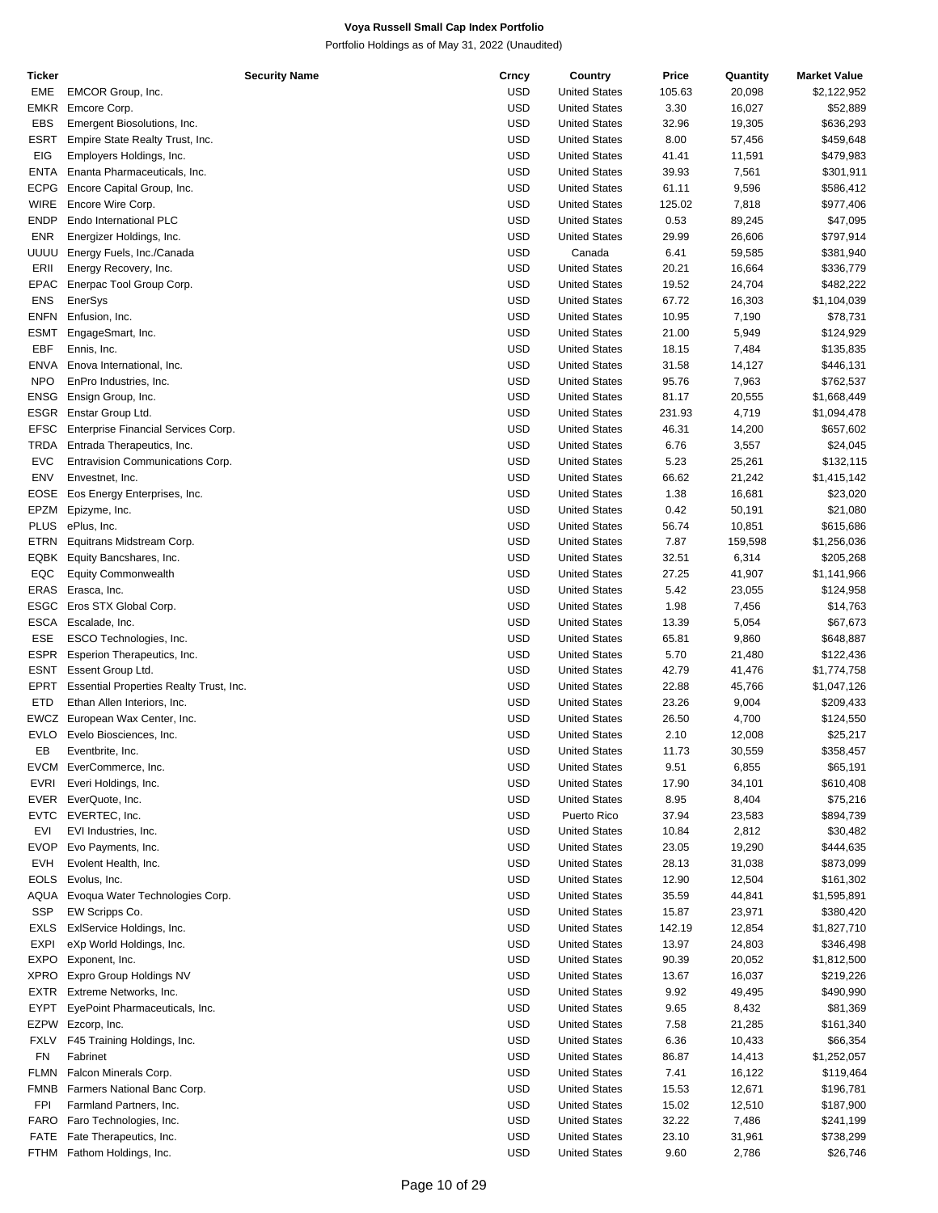| Ticker      | <b>Security Name</b>                           | Crncy      | Country              | Price  | Quantity | <b>Market Value</b> |
|-------------|------------------------------------------------|------------|----------------------|--------|----------|---------------------|
| EME         | EMCOR Group, Inc.                              | <b>USD</b> | <b>United States</b> | 105.63 | 20,098   | \$2,122,952         |
| <b>EMKR</b> | Emcore Corp.                                   | <b>USD</b> | <b>United States</b> | 3.30   | 16,027   | \$52,889            |
| <b>EBS</b>  | Emergent Biosolutions, Inc.                    | <b>USD</b> | <b>United States</b> | 32.96  | 19,305   | \$636,293           |
| <b>ESRT</b> | Empire State Realty Trust, Inc.                | <b>USD</b> | <b>United States</b> | 8.00   | 57,456   | \$459,648           |
|             |                                                |            |                      |        |          |                     |
| <b>EIG</b>  | Employers Holdings, Inc.                       | <b>USD</b> | <b>United States</b> | 41.41  | 11,591   | \$479,983           |
| <b>ENTA</b> | Enanta Pharmaceuticals, Inc.                   | <b>USD</b> | <b>United States</b> | 39.93  | 7,561    | \$301,911           |
| <b>ECPG</b> | Encore Capital Group, Inc.                     | <b>USD</b> | <b>United States</b> | 61.11  | 9,596    | \$586,412           |
| <b>WIRE</b> | Encore Wire Corp.                              | <b>USD</b> | <b>United States</b> | 125.02 | 7,818    | \$977,406           |
| <b>ENDP</b> | Endo International PLC                         | <b>USD</b> | <b>United States</b> | 0.53   | 89,245   | \$47,095            |
| <b>ENR</b>  | Energizer Holdings, Inc.                       | <b>USD</b> | <b>United States</b> | 29.99  | 26,606   | \$797,914           |
| uuuu        | Energy Fuels, Inc./Canada                      | <b>USD</b> | Canada               | 6.41   | 59,585   | \$381,940           |
|             |                                                |            |                      |        |          |                     |
| ERII        | Energy Recovery, Inc.                          | <b>USD</b> | <b>United States</b> | 20.21  | 16,664   | \$336,779           |
| <b>EPAC</b> | Enerpac Tool Group Corp.                       | <b>USD</b> | <b>United States</b> | 19.52  | 24,704   | \$482,222           |
| <b>ENS</b>  | EnerSys                                        | <b>USD</b> | <b>United States</b> | 67.72  | 16,303   | \$1,104,039         |
| <b>ENFN</b> | Enfusion, Inc.                                 | <b>USD</b> | <b>United States</b> | 10.95  | 7,190    | \$78,731            |
| <b>ESMT</b> | EngageSmart, Inc.                              | <b>USD</b> | <b>United States</b> | 21.00  | 5,949    | \$124,929           |
| EBF         | Ennis, Inc.                                    | <b>USD</b> | <b>United States</b> | 18.15  | 7,484    | \$135,835           |
| <b>ENVA</b> | Enova International, Inc.                      | <b>USD</b> | <b>United States</b> | 31.58  | 14,127   | \$446,131           |
| <b>NPO</b>  | EnPro Industries, Inc.                         | <b>USD</b> | <b>United States</b> | 95.76  | 7,963    | \$762,537           |
|             |                                                |            |                      |        |          |                     |
| ENSG        | Ensign Group, Inc.                             | <b>USD</b> | <b>United States</b> | 81.17  | 20,555   | \$1,668,449         |
| ESGR        | Enstar Group Ltd.                              | <b>USD</b> | <b>United States</b> | 231.93 | 4,719    | \$1,094,478         |
| <b>EFSC</b> | Enterprise Financial Services Corp.            | <b>USD</b> | <b>United States</b> | 46.31  | 14,200   | \$657,602           |
| TRDA        | Entrada Therapeutics, Inc.                     | <b>USD</b> | <b>United States</b> | 6.76   | 3,557    | \$24,045            |
| <b>EVC</b>  | Entravision Communications Corp.               | <b>USD</b> | <b>United States</b> | 5.23   | 25,261   | \$132,115           |
| ENV         | Envestnet, Inc.                                | <b>USD</b> | <b>United States</b> | 66.62  | 21,242   | \$1,415,142         |
| EOSE        | Eos Energy Enterprises, Inc.                   | <b>USD</b> | <b>United States</b> | 1.38   | 16,681   | \$23,020            |
|             |                                                |            |                      |        |          |                     |
| EPZM        | Epizyme, Inc.                                  | <b>USD</b> | <b>United States</b> | 0.42   | 50,191   | \$21,080            |
| <b>PLUS</b> | ePlus, Inc.                                    | <b>USD</b> | <b>United States</b> | 56.74  | 10,851   | \$615,686           |
| <b>ETRN</b> | Equitrans Midstream Corp.                      | <b>USD</b> | <b>United States</b> | 7.87   | 159,598  | \$1,256,036         |
| EQBK        | Equity Bancshares, Inc.                        | <b>USD</b> | <b>United States</b> | 32.51  | 6,314    | \$205,268           |
| EQC         | <b>Equity Commonwealth</b>                     | <b>USD</b> | <b>United States</b> | 27.25  | 41,907   | \$1,141,966         |
| ERAS        | Erasca, Inc.                                   | <b>USD</b> | <b>United States</b> | 5.42   | 23,055   | \$124,958           |
| ESGC        | Eros STX Global Corp.                          | <b>USD</b> | <b>United States</b> | 1.98   | 7,456    | \$14,763            |
| <b>ESCA</b> | Escalade, Inc.                                 | <b>USD</b> | <b>United States</b> | 13.39  | 5,054    | \$67,673            |
|             |                                                |            |                      |        |          |                     |
| ESE         | ESCO Technologies, Inc.                        | <b>USD</b> | <b>United States</b> | 65.81  | 9,860    | \$648,887           |
| <b>ESPR</b> | Esperion Therapeutics, Inc.                    | <b>USD</b> | <b>United States</b> | 5.70   | 21,480   | \$122,436           |
| <b>ESNT</b> | Essent Group Ltd.                              | <b>USD</b> | <b>United States</b> | 42.79  | 41,476   | \$1,774,758         |
| <b>EPRT</b> | <b>Essential Properties Realty Trust, Inc.</b> | <b>USD</b> | <b>United States</b> | 22.88  | 45,766   | \$1,047,126         |
| ETD         | Ethan Allen Interiors, Inc.                    | <b>USD</b> | <b>United States</b> | 23.26  | 9,004    | \$209,433           |
| EWCZ        | European Wax Center, Inc.                      | <b>USD</b> | <b>United States</b> | 26.50  | 4,700    | \$124,550           |
| <b>EVLO</b> | Evelo Biosciences, Inc.                        | USD        | <b>United States</b> | 2.10   | 12,008   | \$25,217            |
| EB          | Eventbrite, Inc.                               | <b>USD</b> | <b>United States</b> | 11.73  | 30,559   | \$358,457           |
|             |                                                |            |                      |        |          |                     |
|             | EVCM EverCommerce, Inc.                        | <b>USD</b> | <b>United States</b> | 9.51   | 6,855    | \$65,191            |
| EVRI        | Everi Holdings, Inc.                           | <b>USD</b> | <b>United States</b> | 17.90  | 34,101   | \$610,408           |
| EVER        | EverQuote, Inc.                                | <b>USD</b> | <b>United States</b> | 8.95   | 8,404    | \$75,216            |
| <b>EVTC</b> | EVERTEC, Inc.                                  | <b>USD</b> | Puerto Rico          | 37.94  | 23,583   | \$894,739           |
| EVI         | EVI Industries, Inc.                           | <b>USD</b> | <b>United States</b> | 10.84  | 2,812    | \$30,482            |
| <b>EVOP</b> | Evo Payments, Inc.                             | <b>USD</b> | <b>United States</b> | 23.05  | 19,290   | \$444,635           |
| <b>EVH</b>  | Evolent Health, Inc.                           | <b>USD</b> | <b>United States</b> | 28.13  | 31,038   | \$873,099           |
| <b>EOLS</b> | Evolus, Inc.                                   | <b>USD</b> | <b>United States</b> | 12.90  | 12,504   | \$161,302           |
|             |                                                |            |                      |        |          |                     |
| AQUA        | Evoqua Water Technologies Corp.                | <b>USD</b> | <b>United States</b> | 35.59  | 44,841   | \$1,595,891         |
| <b>SSP</b>  | EW Scripps Co.                                 | <b>USD</b> | <b>United States</b> | 15.87  | 23,971   | \$380,420           |
| <b>EXLS</b> | ExIService Holdings, Inc.                      | <b>USD</b> | <b>United States</b> | 142.19 | 12,854   | \$1,827,710         |
| <b>EXPI</b> | eXp World Holdings, Inc.                       | <b>USD</b> | <b>United States</b> | 13.97  | 24,803   | \$346,498           |
| EXPO        | Exponent, Inc.                                 | <b>USD</b> | <b>United States</b> | 90.39  | 20,052   | \$1,812,500         |
| XPRO        | Expro Group Holdings NV                        | <b>USD</b> | <b>United States</b> | 13.67  | 16,037   | \$219,226           |
| EXTR        | Extreme Networks, Inc.                         | <b>USD</b> | <b>United States</b> | 9.92   | 49,495   | \$490,990           |
|             |                                                |            |                      |        |          |                     |
| EYPT        | EyePoint Pharmaceuticals, Inc.                 | <b>USD</b> | <b>United States</b> | 9.65   | 8,432    | \$81,369            |
| EZPW        | Ezcorp, Inc.                                   | <b>USD</b> | <b>United States</b> | 7.58   | 21,285   | \$161,340           |
| <b>FXLV</b> | F45 Training Holdings, Inc.                    | <b>USD</b> | <b>United States</b> | 6.36   | 10,433   | \$66,354            |
| FN          | Fabrinet                                       | <b>USD</b> | <b>United States</b> | 86.87  | 14,413   | \$1,252,057         |
| <b>FLMN</b> | Falcon Minerals Corp.                          | <b>USD</b> | <b>United States</b> | 7.41   | 16,122   | \$119,464           |
| <b>FMNB</b> | Farmers National Banc Corp.                    | <b>USD</b> | <b>United States</b> | 15.53  | 12,671   | \$196,781           |
| <b>FPI</b>  | Farmland Partners, Inc.                        | <b>USD</b> | <b>United States</b> | 15.02  | 12,510   | \$187,900           |
| FARO        | Faro Technologies, Inc.                        | <b>USD</b> | <b>United States</b> |        |          |                     |
|             |                                                |            |                      | 32.22  | 7,486    | \$241,199           |
| FATE        | Fate Therapeutics, Inc.                        | <b>USD</b> | <b>United States</b> | 23.10  | 31,961   | \$738,299           |
|             | FTHM Fathom Holdings, Inc.                     | <b>USD</b> | <b>United States</b> | 9.60   | 2,786    | \$26,746            |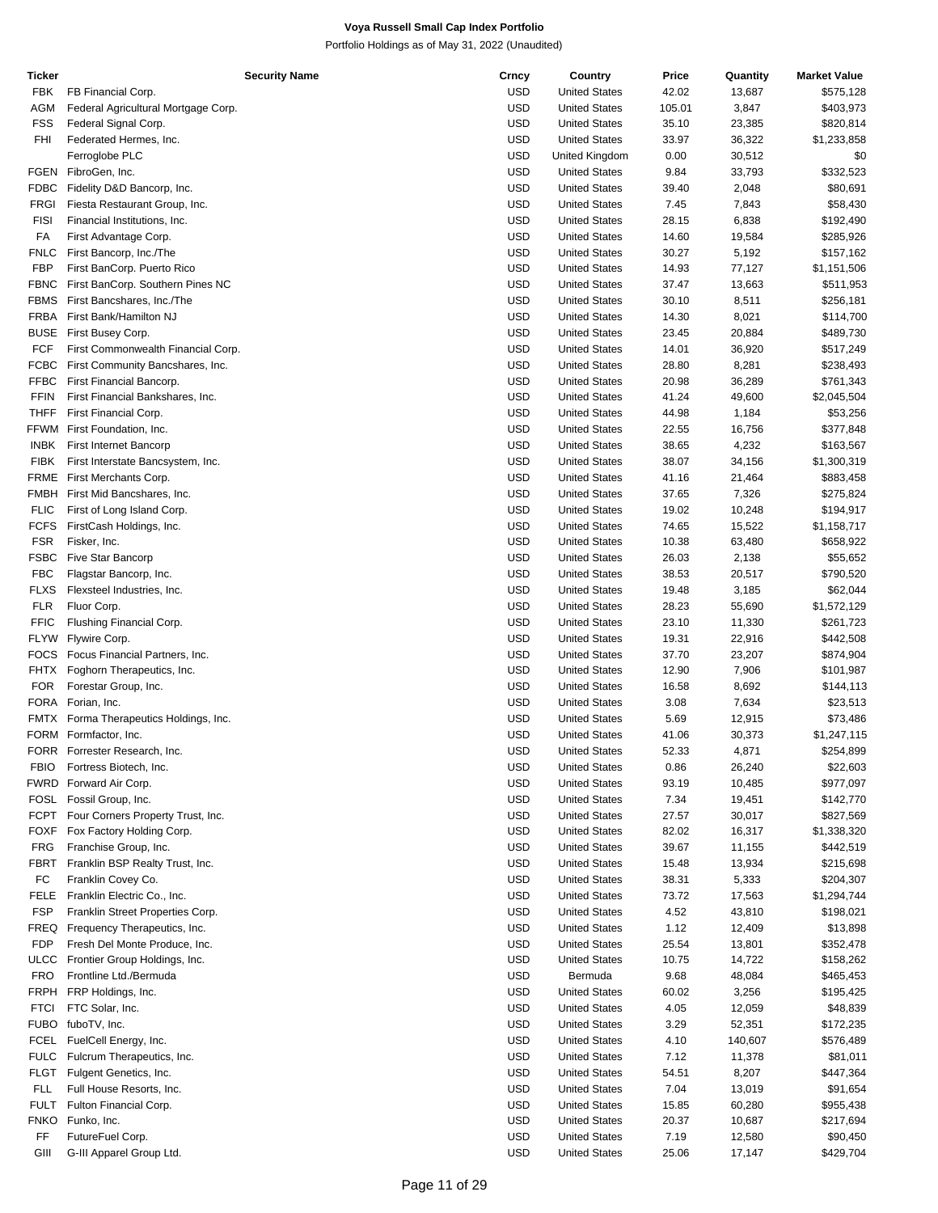| Ticker      |                                     | <b>Security Name</b> | Crncy      | Country              | Price  | Quantity | <b>Market Value</b> |
|-------------|-------------------------------------|----------------------|------------|----------------------|--------|----------|---------------------|
| FBK         | FB Financial Corp.                  |                      | USD        | <b>United States</b> | 42.02  | 13,687   | \$575,128           |
| AGM         | Federal Agricultural Mortgage Corp. |                      | USD        | <b>United States</b> | 105.01 | 3,847    | \$403,973           |
| FSS         | Federal Signal Corp.                |                      | <b>USD</b> | <b>United States</b> | 35.10  | 23,385   | \$820,814           |
| FHI         | Federated Hermes, Inc.              |                      | <b>USD</b> | <b>United States</b> | 33.97  | 36,322   | \$1,233,858         |
|             | Ferroglobe PLC                      |                      | USD        | United Kingdom       | 0.00   | 30,512   | \$0                 |
| FGEN        | FibroGen, Inc.                      |                      | <b>USD</b> | <b>United States</b> | 9.84   | 33,793   | \$332,523           |
| <b>FDBC</b> | Fidelity D&D Bancorp, Inc.          |                      | <b>USD</b> | <b>United States</b> | 39.40  | 2,048    | \$80,691            |
| <b>FRGI</b> | Fiesta Restaurant Group, Inc.       |                      | <b>USD</b> | <b>United States</b> | 7.45   | 7,843    | \$58,430            |
| <b>FISI</b> | Financial Institutions, Inc.        |                      | USD        | <b>United States</b> | 28.15  | 6,838    | \$192,490           |
| FA          | First Advantage Corp.               |                      | <b>USD</b> | <b>United States</b> | 14.60  | 19,584   | \$285,926           |
| <b>FNLC</b> | First Bancorp, Inc./The             |                      | <b>USD</b> | <b>United States</b> | 30.27  | 5,192    | \$157,162           |
|             |                                     |                      |            |                      |        |          |                     |
| FBP         | First BanCorp. Puerto Rico          |                      | <b>USD</b> | <b>United States</b> | 14.93  | 77,127   | \$1,151,506         |
| <b>FBNC</b> | First BanCorp. Southern Pines NC    |                      | USD        | <b>United States</b> | 37.47  | 13,663   | \$511,953           |
| <b>FBMS</b> | First Bancshares, Inc./The          |                      | <b>USD</b> | <b>United States</b> | 30.10  | 8,511    | \$256,181           |
| <b>FRBA</b> | First Bank/Hamilton NJ              |                      | <b>USD</b> | <b>United States</b> | 14.30  | 8,021    | \$114,700           |
| <b>BUSE</b> | First Busey Corp.                   |                      | <b>USD</b> | <b>United States</b> | 23.45  | 20,884   | \$489,730           |
| <b>FCF</b>  | First Commonwealth Financial Corp.  |                      | USD        | <b>United States</b> | 14.01  | 36,920   | \$517,249           |
| <b>FCBC</b> | First Community Bancshares, Inc.    |                      | USD        | <b>United States</b> | 28.80  | 8,281    | \$238,493           |
| <b>FFBC</b> | First Financial Bancorp.            |                      | <b>USD</b> | <b>United States</b> | 20.98  | 36,289   | \$761,343           |
| <b>FFIN</b> | First Financial Bankshares, Inc.    |                      | <b>USD</b> | <b>United States</b> | 41.24  | 49,600   | \$2,045,504         |
| <b>THFF</b> | First Financial Corp.               |                      | USD        | <b>United States</b> | 44.98  | 1,184    | \$53,256            |
| <b>FFWM</b> | First Foundation, Inc.              |                      | <b>USD</b> | <b>United States</b> | 22.55  | 16,756   | \$377,848           |
| <b>INBK</b> | First Internet Bancorp              |                      | <b>USD</b> | <b>United States</b> | 38.65  | 4,232    | \$163,567           |
| <b>FIBK</b> | First Interstate Bancsystem, Inc.   |                      | <b>USD</b> | <b>United States</b> | 38.07  | 34,156   | \$1,300,319         |
| <b>FRME</b> | First Merchants Corp.               |                      | USD        | <b>United States</b> | 41.16  | 21,464   | \$883,458           |
| <b>FMBH</b> | First Mid Bancshares, Inc.          |                      | USD        | <b>United States</b> | 37.65  | 7,326    | \$275,824           |
| <b>FLIC</b> | First of Long Island Corp.          |                      | <b>USD</b> | <b>United States</b> | 19.02  | 10,248   | \$194,917           |
| <b>FCFS</b> | FirstCash Holdings, Inc.            |                      | <b>USD</b> | <b>United States</b> | 74.65  | 15,522   | \$1,158,717         |
| <b>FSR</b>  | Fisker, Inc.                        |                      | USD        | <b>United States</b> | 10.38  | 63,480   | \$658,922           |
|             |                                     |                      |            |                      |        |          |                     |
| FSBC        | <b>Five Star Bancorp</b>            |                      | <b>USD</b> | <b>United States</b> | 26.03  | 2,138    | \$55,652            |
| <b>FBC</b>  | Flagstar Bancorp, Inc.              |                      | <b>USD</b> | <b>United States</b> | 38.53  | 20,517   | \$790,520           |
| <b>FLXS</b> | Flexsteel Industries, Inc.          |                      | <b>USD</b> | <b>United States</b> | 19.48  | 3,185    | \$62,044            |
| <b>FLR</b>  | Fluor Corp.                         |                      | USD        | <b>United States</b> | 28.23  | 55,690   | \$1,572,129         |
| <b>FFIC</b> | Flushing Financial Corp.            |                      | USD        | <b>United States</b> | 23.10  | 11,330   | \$261,723           |
| FLYW        | Flywire Corp.                       |                      | USD        | <b>United States</b> | 19.31  | 22,916   | \$442,508           |
|             | FOCS Focus Financial Partners, Inc. |                      | <b>USD</b> | <b>United States</b> | 37.70  | 23,207   | \$874,904           |
| FHTX        | Foghorn Therapeutics, Inc.          |                      | USD        | <b>United States</b> | 12.90  | 7,906    | \$101,987           |
| <b>FOR</b>  | Forestar Group, Inc.                |                      | USD        | <b>United States</b> | 16.58  | 8,692    | \$144,113           |
| FORA        | Forian, Inc.                        |                      | <b>USD</b> | <b>United States</b> | 3.08   | 7,634    | \$23,513            |
| FMTX        | Forma Therapeutics Holdings, Inc.   |                      | <b>USD</b> | <b>United States</b> | 5.69   | 12,915   | \$73,486            |
|             | FORM Formfactor, Inc.               |                      | USD        | <b>United States</b> | 41.06  | 30,373   | \$1,247,115         |
|             | FORR Forrester Research, Inc.       |                      | <b>USD</b> | <b>United States</b> | 52.33  | 4,871    | \$254,899           |
| <b>FBIO</b> | Fortress Biotech, Inc.              |                      | USD        | <b>United States</b> | 0.86   | 26,240   | \$22,603            |
|             | FWRD Forward Air Corp.              |                      | <b>USD</b> | <b>United States</b> | 93.19  | 10,485   | \$977,097           |
| FOSL        | Fossil Group, Inc.                  |                      | USD        | <b>United States</b> | 7.34   | 19,451   | \$142,770           |
| <b>FCPT</b> | Four Corners Property Trust, Inc.   |                      | USD        | <b>United States</b> | 27.57  | 30,017   | \$827,569           |
| <b>FOXF</b> | Fox Factory Holding Corp.           |                      | USD        | <b>United States</b> | 82.02  | 16,317   | \$1,338,320         |
| FRG         | Franchise Group, Inc.               |                      | USD        | <b>United States</b> | 39.67  | 11,155   | \$442,519           |
| FBRT        | Franklin BSP Realty Trust, Inc.     |                      | USD        | <b>United States</b> | 15.48  | 13,934   | \$215,698           |
| FC          | Franklin Covey Co.                  |                      |            |                      |        |          |                     |
|             |                                     |                      | USD        | <b>United States</b> | 38.31  | 5,333    | \$204,307           |
| <b>FELE</b> | Franklin Electric Co., Inc.         |                      | USD        | <b>United States</b> | 73.72  | 17,563   | \$1,294,744         |
| <b>FSP</b>  | Franklin Street Properties Corp.    |                      | <b>USD</b> | <b>United States</b> | 4.52   | 43,810   | \$198,021           |
| FREQ        | Frequency Therapeutics, Inc.        |                      | USD        | <b>United States</b> | 1.12   | 12,409   | \$13,898            |
| <b>FDP</b>  | Fresh Del Monte Produce, Inc.       |                      | USD        | <b>United States</b> | 25.54  | 13,801   | \$352,478           |
| ULCC        | Frontier Group Holdings, Inc.       |                      | USD        | <b>United States</b> | 10.75  | 14,722   | \$158,262           |
| <b>FRO</b>  | Frontline Ltd./Bermuda              |                      | USD        | Bermuda              | 9.68   | 48,084   | \$465,453           |
| FRPH        | FRP Holdings, Inc.                  |                      | USD        | <b>United States</b> | 60.02  | 3,256    | \$195,425           |
| <b>FTCI</b> | FTC Solar, Inc.                     |                      | USD        | <b>United States</b> | 4.05   | 12,059   | \$48,839            |
| <b>FUBO</b> | fuboTV, Inc.                        |                      | USD        | <b>United States</b> | 3.29   | 52,351   | \$172,235           |
| FCEL        | FuelCell Energy, Inc.               |                      | <b>USD</b> | <b>United States</b> | 4.10   | 140,607  | \$576,489           |
| <b>FULC</b> | Fulcrum Therapeutics, Inc.          |                      | USD        | <b>United States</b> | 7.12   | 11,378   | \$81,011            |
| <b>FLGT</b> | Fulgent Genetics, Inc.              |                      | USD        | <b>United States</b> | 54.51  | 8,207    | \$447,364           |
| FLL         | Full House Resorts, Inc.            |                      | USD        | <b>United States</b> | 7.04   | 13,019   | \$91,654            |
| <b>FULT</b> | Fulton Financial Corp.              |                      | USD        | <b>United States</b> | 15.85  | 60,280   | \$955,438           |
| <b>FNKO</b> | Funko, Inc.                         |                      | USD        | <b>United States</b> | 20.37  | 10,687   | \$217,694           |
| FF          | FutureFuel Corp.                    |                      | <b>USD</b> | <b>United States</b> | 7.19   | 12,580   | \$90,450            |
| GIII        | G-III Apparel Group Ltd.            |                      | <b>USD</b> | <b>United States</b> | 25.06  | 17,147   | \$429,704           |
|             |                                     |                      |            |                      |        |          |                     |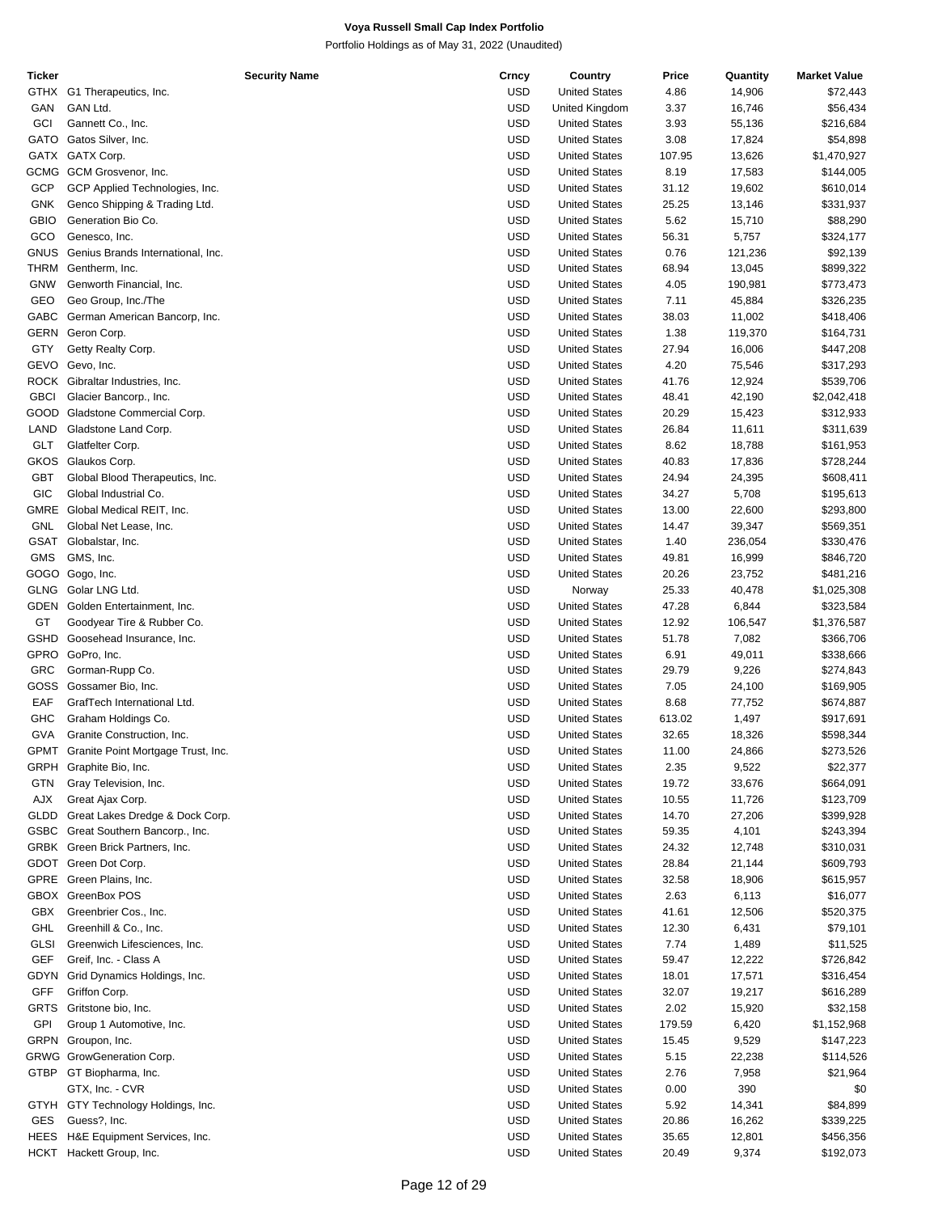| Ticker      |                                         | <b>Security Name</b> | Crncy      | Country              | Price  | Quantity | <b>Market Value</b> |
|-------------|-----------------------------------------|----------------------|------------|----------------------|--------|----------|---------------------|
| GTHX        | G1 Therapeutics, Inc.                   |                      | <b>USD</b> | <b>United States</b> | 4.86   | 14,906   | \$72,443            |
| GAN         | GAN Ltd.                                |                      | <b>USD</b> | United Kingdom       | 3.37   | 16,746   | \$56,434            |
| GCI         | Gannett Co., Inc.                       |                      | <b>USD</b> | <b>United States</b> | 3.93   | 55,136   | \$216,684           |
| GATO        | Gatos Silver, Inc.                      |                      | <b>USD</b> | <b>United States</b> | 3.08   | 17,824   | \$54,898            |
|             | GATX GATX Corp.                         |                      | <b>USD</b> | <b>United States</b> | 107.95 | 13,626   | \$1,470,927         |
|             | GCMG GCM Grosvenor, Inc.                |                      | <b>USD</b> | <b>United States</b> | 8.19   | 17,583   | \$144,005           |
| <b>GCP</b>  | GCP Applied Technologies, Inc.          |                      | <b>USD</b> | <b>United States</b> | 31.12  | 19,602   | \$610,014           |
| <b>GNK</b>  | Genco Shipping & Trading Ltd.           |                      | <b>USD</b> | <b>United States</b> | 25.25  | 13,146   | \$331,937           |
| <b>GBIO</b> |                                         |                      | <b>USD</b> |                      |        |          |                     |
|             | Generation Bio Co.                      |                      |            | <b>United States</b> | 5.62   | 15,710   | \$88,290            |
| GCO         | Genesco, Inc.                           |                      | <b>USD</b> | <b>United States</b> | 56.31  | 5,757    | \$324,177           |
| <b>GNUS</b> | Genius Brands International, Inc.       |                      | <b>USD</b> | <b>United States</b> | 0.76   | 121,236  | \$92,139            |
| THRM        | Gentherm, Inc.                          |                      | <b>USD</b> | <b>United States</b> | 68.94  | 13,045   | \$899,322           |
| <b>GNW</b>  | Genworth Financial, Inc.                |                      | <b>USD</b> | <b>United States</b> | 4.05   | 190,981  | \$773,473           |
| GEO         | Geo Group, Inc./The                     |                      | <b>USD</b> | <b>United States</b> | 7.11   | 45,884   | \$326,235           |
| GABC        | German American Bancorp, Inc.           |                      | <b>USD</b> | <b>United States</b> | 38.03  | 11,002   | \$418,406           |
| <b>GERN</b> | Geron Corp.                             |                      | <b>USD</b> | <b>United States</b> | 1.38   | 119,370  | \$164,731           |
| GTY         | Getty Realty Corp.                      |                      | <b>USD</b> | <b>United States</b> | 27.94  | 16,006   | \$447,208           |
| GEVO        | Gevo, Inc.                              |                      | <b>USD</b> | <b>United States</b> | 4.20   | 75,546   | \$317,293           |
|             | ROCK Gibraltar Industries, Inc.         |                      | <b>USD</b> | <b>United States</b> | 41.76  | 12,924   | \$539,706           |
| <b>GBCI</b> | Glacier Bancorp., Inc.                  |                      | <b>USD</b> | <b>United States</b> | 48.41  | 42,190   | \$2,042,418         |
| GOOD        | Gladstone Commercial Corp.              |                      | <b>USD</b> | <b>United States</b> | 20.29  | 15,423   | \$312,933           |
| LAND        | Gladstone Land Corp.                    |                      | <b>USD</b> | <b>United States</b> | 26.84  | 11,611   | \$311,639           |
|             |                                         |                      |            | <b>United States</b> |        |          |                     |
| <b>GLT</b>  | Glatfelter Corp.                        |                      | <b>USD</b> |                      | 8.62   | 18,788   | \$161,953           |
| GKOS        | Glaukos Corp.                           |                      | <b>USD</b> | <b>United States</b> | 40.83  | 17,836   | \$728,244           |
| <b>GBT</b>  | Global Blood Therapeutics, Inc.         |                      | <b>USD</b> | <b>United States</b> | 24.94  | 24,395   | \$608,411           |
| GIC         | Global Industrial Co.                   |                      | <b>USD</b> | <b>United States</b> | 34.27  | 5,708    | \$195,613           |
| <b>GMRE</b> | Global Medical REIT, Inc.               |                      | <b>USD</b> | <b>United States</b> | 13.00  | 22,600   | \$293,800           |
| GNL         | Global Net Lease, Inc.                  |                      | <b>USD</b> | <b>United States</b> | 14.47  | 39,347   | \$569,351           |
|             | GSAT Globalstar, Inc.                   |                      | <b>USD</b> | <b>United States</b> | 1.40   | 236,054  | \$330,476           |
| <b>GMS</b>  | GMS, Inc.                               |                      | <b>USD</b> | <b>United States</b> | 49.81  | 16,999   | \$846,720           |
|             | GOGO Gogo, Inc.                         |                      | <b>USD</b> | <b>United States</b> | 20.26  | 23,752   | \$481,216           |
| <b>GLNG</b> | Golar LNG Ltd.                          |                      | <b>USD</b> | Norway               | 25.33  | 40,478   | \$1,025,308         |
| <b>GDEN</b> | Golden Entertainment, Inc.              |                      | <b>USD</b> | <b>United States</b> | 47.28  | 6,844    | \$323,584           |
| GT          | Goodyear Tire & Rubber Co.              |                      | <b>USD</b> | <b>United States</b> | 12.92  | 106,547  | \$1,376,587         |
| <b>GSHD</b> | Goosehead Insurance, Inc.               |                      | <b>USD</b> | <b>United States</b> | 51.78  | 7,082    | \$366,706           |
|             |                                         |                      | <b>USD</b> |                      |        |          |                     |
| GPRO        | GoPro, Inc.                             |                      |            | <b>United States</b> | 6.91   | 49,011   | \$338,666           |
| <b>GRC</b>  | Gorman-Rupp Co.                         |                      | <b>USD</b> | <b>United States</b> | 29.79  | 9,226    | \$274,843           |
| GOSS        | Gossamer Bio, Inc.                      |                      | <b>USD</b> | <b>United States</b> | 7.05   | 24,100   | \$169,905           |
| EAF         | GrafTech International Ltd.             |                      | <b>USD</b> | <b>United States</b> | 8.68   | 77,752   | \$674,887           |
| <b>GHC</b>  | Graham Holdings Co.                     |                      | <b>USD</b> | <b>United States</b> | 613.02 | 1,497    | \$917,691           |
| GVA         | Granite Construction, Inc.              |                      | <b>USD</b> | <b>United States</b> | 32.65  | 18,326   | \$598,344           |
|             | GPMT Granite Point Mortgage Trust, Inc. |                      | <b>USD</b> | <b>United States</b> | 11.00  | 24,866   | \$273,526           |
|             | GRPH Graphite Bio, Inc.                 |                      | <b>USD</b> | <b>United States</b> | 2.35   | 9,522    | \$22,377            |
| GTN         | Gray Television, Inc.                   |                      | USD        | <b>United States</b> | 19.72  | 33,676   | \$664,091           |
| AJX         | Great Ajax Corp.                        |                      | USD        | <b>United States</b> | 10.55  | 11,726   | \$123,709           |
| GLDD        | Great Lakes Dredge & Dock Corp.         |                      | USD        | <b>United States</b> | 14.70  | 27,206   | \$399,928           |
| GSBC        | Great Southern Bancorp., Inc.           |                      | USD        | <b>United States</b> | 59.35  | 4,101    | \$243,394           |
|             | GRBK Green Brick Partners, Inc.         |                      | USD        | <b>United States</b> | 24.32  | 12,748   | \$310,031           |
|             | GDOT Green Dot Corp.                    |                      | USD        | <b>United States</b> | 28.84  | 21,144   | \$609,793           |
|             | Green Plains, Inc.                      |                      | USD        |                      | 32.58  |          |                     |
| GPRE        |                                         |                      |            | <b>United States</b> |        | 18,906   | \$615,957           |
|             | GBOX GreenBox POS                       |                      | <b>USD</b> | <b>United States</b> | 2.63   | 6,113    | \$16,077            |
| GBX         | Greenbrier Cos., Inc.                   |                      | USD        | <b>United States</b> | 41.61  | 12,506   | \$520,375           |
| GHL         | Greenhill & Co., Inc.                   |                      | USD        | <b>United States</b> | 12.30  | 6,431    | \$79,101            |
| GLSI        | Greenwich Lifesciences, Inc.            |                      | USD        | <b>United States</b> | 7.74   | 1,489    | \$11,525            |
| <b>GEF</b>  | Greif, Inc. - Class A                   |                      | USD        | <b>United States</b> | 59.47  | 12,222   | \$726,842           |
| GDYN        | Grid Dynamics Holdings, Inc.            |                      | USD        | <b>United States</b> | 18.01  | 17,571   | \$316,454           |
| <b>GFF</b>  | Griffon Corp.                           |                      | USD        | <b>United States</b> | 32.07  | 19,217   | \$616,289           |
| <b>GRTS</b> | Gritstone bio, Inc.                     |                      | USD        | <b>United States</b> | 2.02   | 15,920   | \$32,158            |
| GPI         | Group 1 Automotive, Inc.                |                      | <b>USD</b> | <b>United States</b> | 179.59 | 6,420    | \$1,152,968         |
| <b>GRPN</b> | Groupon, Inc.                           |                      | USD        | <b>United States</b> | 15.45  | 9,529    | \$147,223           |
|             | GRWG GrowGeneration Corp.               |                      | USD        | <b>United States</b> | 5.15   | 22,238   | \$114,526           |
|             |                                         |                      | USD        | <b>United States</b> |        |          |                     |
|             | GTBP GT Biopharma, Inc.                 |                      |            |                      | 2.76   | 7,958    | \$21,964            |
|             | GTX, Inc. - CVR                         |                      | USD        | <b>United States</b> | 0.00   | 390      | \$0                 |
|             | GTYH GTY Technology Holdings, Inc.      |                      | USD        | <b>United States</b> | 5.92   | 14,341   | \$84,899            |
| GES         | Guess?, Inc.                            |                      | USD        | <b>United States</b> | 20.86  | 16,262   | \$339,225           |
| <b>HEES</b> | H&E Equipment Services, Inc.            |                      | USD        | <b>United States</b> | 35.65  | 12,801   | \$456,356           |
| HCKT        | Hackett Group, Inc.                     |                      | <b>USD</b> | <b>United States</b> | 20.49  | 9,374    | \$192,073           |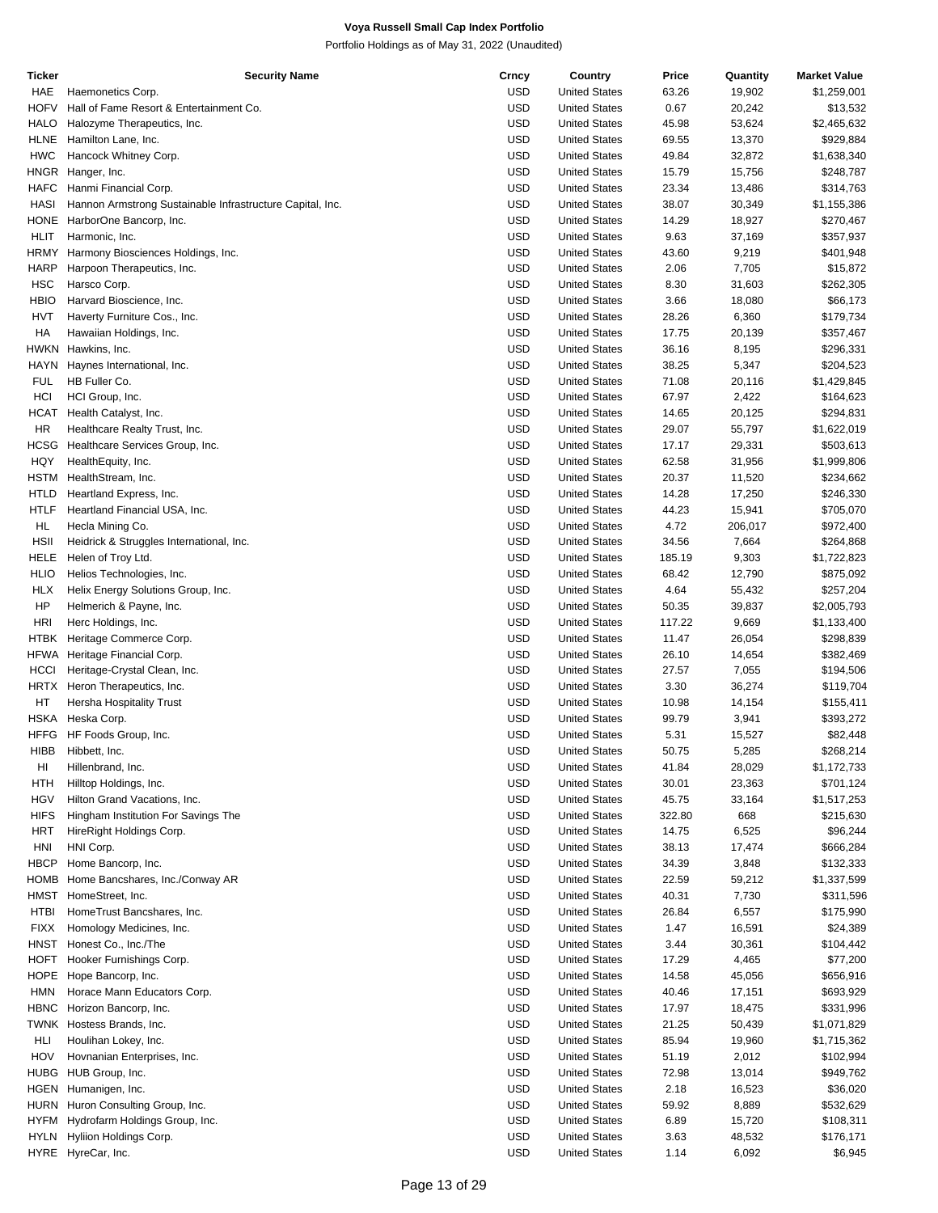| Ticker      | <b>Security Name</b>                                      | Crncy      | Country              | Price  | Quantity | <b>Market Value</b> |
|-------------|-----------------------------------------------------------|------------|----------------------|--------|----------|---------------------|
| HAE         | Haemonetics Corp.                                         | <b>USD</b> | <b>United States</b> | 63.26  | 19,902   | \$1,259,001         |
| HOFV        | Hall of Fame Resort & Entertainment Co.                   | USD        | <b>United States</b> | 0.67   | 20,242   | \$13,532            |
| <b>HALO</b> | Halozyme Therapeutics, Inc.                               | <b>USD</b> | <b>United States</b> | 45.98  | 53,624   | \$2,465,632         |
| <b>HLNE</b> | Hamilton Lane, Inc.                                       | <b>USD</b> | <b>United States</b> | 69.55  | 13,370   | \$929,884           |
| <b>HWC</b>  | Hancock Whitney Corp.                                     | <b>USD</b> | <b>United States</b> | 49.84  | 32,872   | \$1,638,340         |
|             | HNGR Hanger, Inc.                                         | USD        | <b>United States</b> | 15.79  | 15,756   | \$248,787           |
| <b>HAFC</b> | Hanmi Financial Corp.                                     | <b>USD</b> | <b>United States</b> | 23.34  | 13,486   | \$314,763           |
|             |                                                           |            |                      |        |          |                     |
| HASI        | Hannon Armstrong Sustainable Infrastructure Capital, Inc. | USD        | <b>United States</b> | 38.07  | 30,349   | \$1,155,386         |
| <b>HONE</b> | HarborOne Bancorp, Inc.                                   | <b>USD</b> | <b>United States</b> | 14.29  | 18,927   | \$270,467           |
| HLIT        | Harmonic, Inc.                                            | USD        | <b>United States</b> | 9.63   | 37,169   | \$357,937           |
| HRMY        | Harmony Biosciences Holdings, Inc.                        | <b>USD</b> | <b>United States</b> | 43.60  | 9,219    | \$401,948           |
| HARP        | Harpoon Therapeutics, Inc.                                | <b>USD</b> | <b>United States</b> | 2.06   | 7,705    | \$15,872            |
| <b>HSC</b>  | Harsco Corp.                                              | <b>USD</b> | <b>United States</b> | 8.30   | 31,603   | \$262,305           |
| HBIO        | Harvard Bioscience, Inc.                                  | USD        | <b>United States</b> | 3.66   | 18,080   | \$66,173            |
| HVT         | Haverty Furniture Cos., Inc.                              | <b>USD</b> | <b>United States</b> | 28.26  | 6,360    | \$179,734           |
| HA          | Hawaiian Holdings, Inc.                                   | USD        | <b>United States</b> | 17.75  | 20,139   | \$357,467           |
| hwkn        | Hawkins, Inc.                                             | USD        | <b>United States</b> | 36.16  | 8,195    | \$296,331           |
| HAYN        | Haynes International, Inc.                                | USD        | <b>United States</b> | 38.25  | 5,347    | \$204,523           |
| <b>FUL</b>  | HB Fuller Co.                                             | <b>USD</b> | <b>United States</b> | 71.08  | 20,116   | \$1,429,845         |
|             |                                                           | <b>USD</b> | <b>United States</b> |        |          |                     |
| HCI         | HCI Group, Inc.                                           |            |                      | 67.97  | 2,422    | \$164,623           |
| HCAT        | Health Catalyst, Inc.                                     | <b>USD</b> | <b>United States</b> | 14.65  | 20,125   | \$294,831           |
| <b>HR</b>   | Healthcare Realty Trust, Inc.                             | USD        | <b>United States</b> | 29.07  | 55,797   | \$1,622,019         |
| HCSG        | Healthcare Services Group, Inc.                           | <b>USD</b> | <b>United States</b> | 17.17  | 29,331   | \$503,613           |
| HQY         | HealthEquity, Inc.                                        | USD        | <b>United States</b> | 62.58  | 31,956   | \$1,999,806         |
| HSTM        | HealthStream, Inc.                                        | USD        | <b>United States</b> | 20.37  | 11,520   | \$234,662           |
| <b>HTLD</b> | Heartland Express, Inc.                                   | USD        | <b>United States</b> | 14.28  | 17,250   | \$246,330           |
| <b>HTLF</b> | Heartland Financial USA, Inc.                             | <b>USD</b> | <b>United States</b> | 44.23  | 15,941   | \$705,070           |
| HL          | Hecla Mining Co.                                          | <b>USD</b> | <b>United States</b> | 4.72   | 206,017  | \$972,400           |
| <b>HSII</b> | Heidrick & Struggles International, Inc.                  | <b>USD</b> | <b>United States</b> | 34.56  | 7,664    | \$264,868           |
| HELE        | Helen of Troy Ltd.                                        | USD        | <b>United States</b> | 185.19 | 9,303    | \$1,722,823         |
| <b>HLIO</b> | Helios Technologies, Inc.                                 | <b>USD</b> | <b>United States</b> | 68.42  | 12,790   | \$875,092           |
| <b>HLX</b>  |                                                           | USD        | <b>United States</b> | 4.64   |          | \$257,204           |
|             | Helix Energy Solutions Group, Inc.                        |            |                      |        | 55,432   |                     |
| HP          | Helmerich & Payne, Inc.                                   | USD        | <b>United States</b> | 50.35  | 39,837   | \$2,005,793         |
| <b>HRI</b>  | Herc Holdings, Inc.                                       | USD        | <b>United States</b> | 117.22 | 9,669    | \$1,133,400         |
| <b>HTBK</b> | Heritage Commerce Corp.                                   | <b>USD</b> | <b>United States</b> | 11.47  | 26,054   | \$298,839           |
| HFWA        | Heritage Financial Corp.                                  | <b>USD</b> | <b>United States</b> | 26.10  | 14,654   | \$382,469           |
| <b>HCCI</b> | Heritage-Crystal Clean, Inc.                              | <b>USD</b> | <b>United States</b> | 27.57  | 7,055    | \$194,506           |
| HRTX        | Heron Therapeutics, Inc.                                  | USD        | <b>United States</b> | 3.30   | 36,274   | \$119,704           |
| HT          | Hersha Hospitality Trust                                  | <b>USD</b> | <b>United States</b> | 10.98  | 14,154   | \$155,411           |
| HSKA        | Heska Corp.                                               | USD        | <b>United States</b> | 99.79  | 3,941    | \$393,272           |
| HFFG        | HF Foods Group, Inc.                                      | <b>USD</b> | <b>United States</b> | 5.31   | 15,527   | \$82,448            |
| HIBB        | Hibbett, Inc.                                             | <b>USD</b> | <b>United States</b> | 50.75  | 5,285    | \$268,214           |
| HI          | Hillenbrand, Inc.                                         | USD        | <b>United States</b> | 41.84  | 28,029   | \$1,172,733         |
| HTH         | Hilltop Holdings, Inc.                                    | USD        | <b>United States</b> | 30.01  | 23,363   | \$701,124           |
|             |                                                           | USD        | <b>United States</b> |        |          |                     |
| <b>HGV</b>  | Hilton Grand Vacations, Inc.                              |            |                      | 45.75  | 33,164   | \$1,517,253         |
| <b>HIFS</b> | Hingham Institution For Savings The                       | USD        | <b>United States</b> | 322.80 | 668      | \$215,630           |
| <b>HRT</b>  | HireRight Holdings Corp.                                  | USD        | <b>United States</b> | 14.75  | 6,525    | \$96,244            |
| HNI         | HNI Corp.                                                 | USD        | <b>United States</b> | 38.13  | 17,474   | \$666,284           |
| <b>HBCP</b> | Home Bancorp, Inc.                                        | USD        | <b>United States</b> | 34.39  | 3,848    | \$132,333           |
| HOMB        | Home Bancshares, Inc./Conway AR                           | USD        | <b>United States</b> | 22.59  | 59,212   | \$1,337,599         |
| HMST        | HomeStreet, Inc.                                          | USD        | <b>United States</b> | 40.31  | 7,730    | \$311,596           |
| <b>HTBI</b> | HomeTrust Bancshares, Inc.                                | USD        | <b>United States</b> | 26.84  | 6,557    | \$175,990           |
| <b>FIXX</b> | Homology Medicines, Inc.                                  | USD        | <b>United States</b> | 1.47   | 16,591   | \$24,389            |
| HNST        | Honest Co., Inc./The                                      | USD        | <b>United States</b> | 3.44   | 30,361   | \$104,442           |
| HOFT        | Hooker Furnishings Corp.                                  | USD        | <b>United States</b> | 17.29  | 4,465    | \$77,200            |
| HOPE        | Hope Bancorp, Inc.                                        | USD        | <b>United States</b> | 14.58  | 45,056   | \$656,916           |
|             |                                                           | USD        |                      |        |          |                     |
| HMN         | Horace Mann Educators Corp.                               |            | <b>United States</b> | 40.46  | 17,151   | \$693,929           |
| <b>HBNC</b> | Horizon Bancorp, Inc.                                     | USD        | <b>United States</b> | 17.97  | 18,475   | \$331,996           |
| TWNK        | Hostess Brands, Inc.                                      | USD        | <b>United States</b> | 21.25  | 50,439   | \$1,071,829         |
| HLI         | Houlihan Lokey, Inc.                                      | USD        | <b>United States</b> | 85.94  | 19,960   | \$1,715,362         |
| HOV         | Hovnanian Enterprises, Inc.                               | USD        | <b>United States</b> | 51.19  | 2,012    | \$102,994           |
|             | HUBG HUB Group, Inc.                                      | USD        | <b>United States</b> | 72.98  | 13,014   | \$949,762           |
| HGEN        | Humanigen, Inc.                                           | USD        | <b>United States</b> | 2.18   | 16,523   | \$36,020            |
| HURN        | Huron Consulting Group, Inc.                              | USD        | <b>United States</b> | 59.92  | 8,889    | \$532,629           |
| <b>HYFM</b> | Hydrofarm Holdings Group, Inc.                            | USD        | <b>United States</b> | 6.89   | 15,720   | \$108,311           |
| <b>HYLN</b> | Hyliion Holdings Corp.                                    | USD        | <b>United States</b> | 3.63   | 48,532   | \$176,171           |
|             | HYRE HyreCar, Inc.                                        | <b>USD</b> | <b>United States</b> | 1.14   | 6,092    | \$6,945             |
|             |                                                           |            |                      |        |          |                     |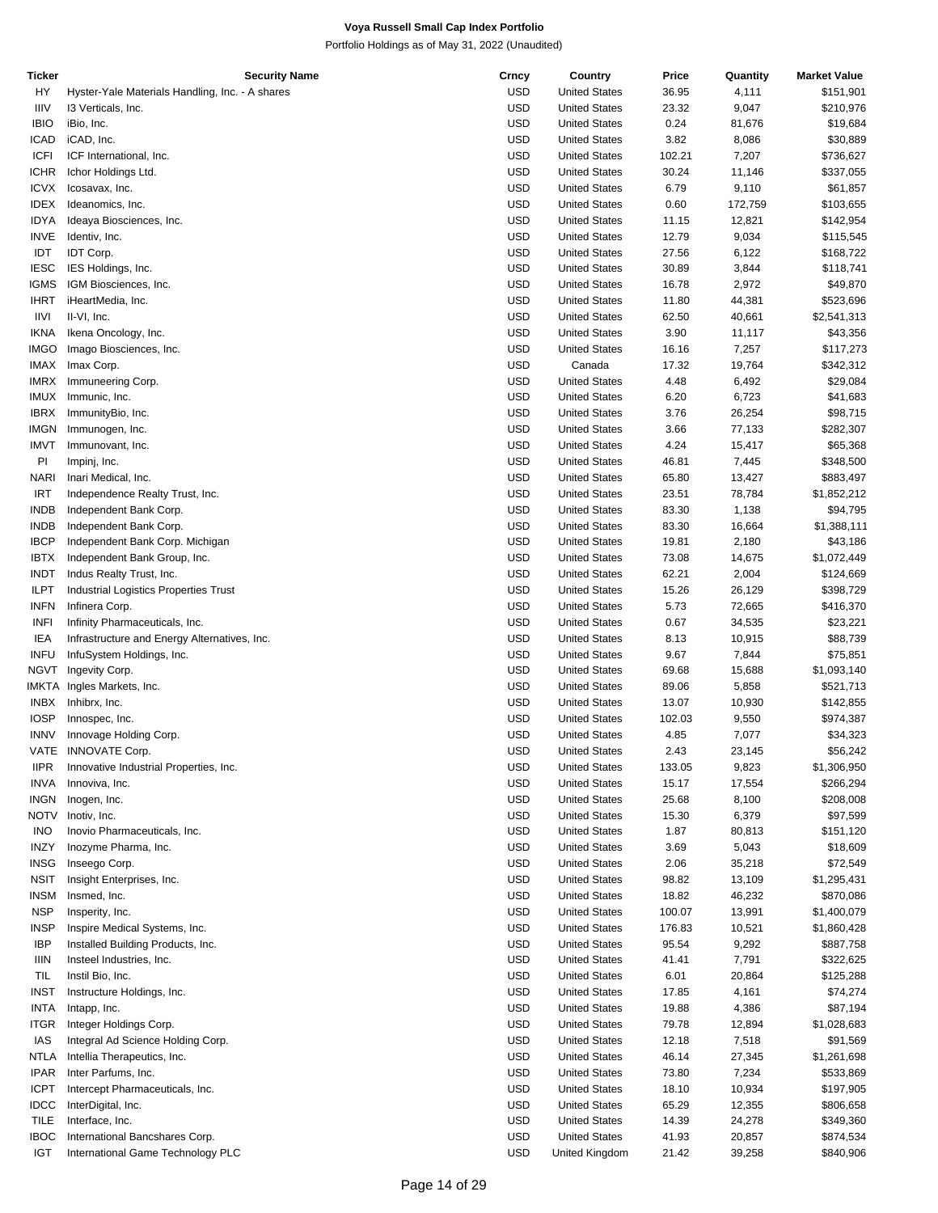| Ticker      | <b>Security Name</b>                            | Crncy      | Country              | Price  | Quantity | <b>Market Value</b> |
|-------------|-------------------------------------------------|------------|----------------------|--------|----------|---------------------|
| HY          | Hyster-Yale Materials Handling, Inc. - A shares | <b>USD</b> | <b>United States</b> | 36.95  | 4,111    | \$151,901           |
| <b>IIIV</b> | 13 Verticals, Inc.                              | <b>USD</b> | <b>United States</b> | 23.32  | 9,047    | \$210,976           |
| <b>IBIO</b> | iBio, Inc.                                      | <b>USD</b> | <b>United States</b> | 0.24   | 81,676   | \$19,684            |
| ICAD        | iCAD, Inc.                                      | <b>USD</b> | <b>United States</b> | 3.82   | 8,086    | \$30,889            |
| <b>ICFI</b> | ICF International, Inc.                         | <b>USD</b> | <b>United States</b> | 102.21 | 7,207    | \$736,627           |
| <b>ICHR</b> | Ichor Holdings Ltd.                             | <b>USD</b> | <b>United States</b> | 30.24  | 11,146   | \$337,055           |
| <b>ICVX</b> | Icosavax, Inc.                                  | <b>USD</b> | <b>United States</b> | 6.79   | 9,110    | \$61,857            |
|             |                                                 |            |                      |        |          |                     |
| IDEX        | Ideanomics, Inc.                                | <b>USD</b> | <b>United States</b> | 0.60   | 172,759  | \$103,655           |
| <b>IDYA</b> | Ideaya Biosciences, Inc.                        | <b>USD</b> | <b>United States</b> | 11.15  | 12,821   | \$142,954           |
| <b>INVE</b> | Identiv, Inc.                                   | <b>USD</b> | <b>United States</b> | 12.79  | 9,034    | \$115,545           |
| IDT         | IDT Corp.                                       | <b>USD</b> | <b>United States</b> | 27.56  | 6,122    | \$168,722           |
| <b>IESC</b> | IES Holdings, Inc.                              | <b>USD</b> | <b>United States</b> | 30.89  | 3,844    | \$118,741           |
| <b>IGMS</b> | IGM Biosciences, Inc.                           | <b>USD</b> | <b>United States</b> | 16.78  | 2,972    | \$49,870            |
| <b>IHRT</b> | iHeartMedia, Inc.                               | <b>USD</b> | <b>United States</b> | 11.80  | 44,381   | \$523,696           |
| IIVI        | II-VI, Inc.                                     | <b>USD</b> | <b>United States</b> | 62.50  | 40,661   | \$2,541,313         |
| <b>IKNA</b> | Ikena Oncology, Inc.                            | <b>USD</b> | <b>United States</b> | 3.90   | 11,117   | \$43,356            |
| <b>IMGO</b> | Imago Biosciences, Inc.                         | <b>USD</b> | <b>United States</b> | 16.16  | 7,257    | \$117,273           |
| IMAX        | Imax Corp.                                      | <b>USD</b> | Canada               | 17.32  | 19,764   | \$342,312           |
| <b>IMRX</b> | Immuneering Corp.                               | <b>USD</b> | <b>United States</b> | 4.48   | 6,492    | \$29,084            |
| IMUX        | Immunic, Inc.                                   | <b>USD</b> | <b>United States</b> | 6.20   | 6,723    | \$41,683            |
| <b>IBRX</b> | ImmunityBio, Inc.                               | <b>USD</b> | <b>United States</b> | 3.76   | 26,254   |                     |
|             |                                                 |            |                      |        |          | \$98,715            |
| IMGN        | Immunogen, Inc.                                 | <b>USD</b> | <b>United States</b> | 3.66   | 77,133   | \$282,307           |
| <b>IMVT</b> | Immunovant, Inc.                                | <b>USD</b> | <b>United States</b> | 4.24   | 15,417   | \$65,368            |
| PI          | Impinj, Inc.                                    | <b>USD</b> | <b>United States</b> | 46.81  | 7,445    | \$348,500           |
| <b>NARI</b> | Inari Medical, Inc.                             | <b>USD</b> | <b>United States</b> | 65.80  | 13,427   | \$883,497           |
| <b>IRT</b>  | Independence Realty Trust, Inc.                 | <b>USD</b> | <b>United States</b> | 23.51  | 78,784   | \$1,852,212         |
| <b>INDB</b> | Independent Bank Corp.                          | <b>USD</b> | <b>United States</b> | 83.30  | 1,138    | \$94,795            |
| INDB        | Independent Bank Corp.                          | <b>USD</b> | <b>United States</b> | 83.30  | 16,664   | \$1,388,111         |
| <b>IBCP</b> | Independent Bank Corp. Michigan                 | <b>USD</b> | <b>United States</b> | 19.81  | 2,180    | \$43,186            |
| <b>IBTX</b> | Independent Bank Group, Inc.                    | <b>USD</b> | <b>United States</b> | 73.08  | 14,675   | \$1,072,449         |
| <b>INDT</b> | Indus Realty Trust, Inc.                        | <b>USD</b> | <b>United States</b> | 62.21  | 2,004    | \$124,669           |
| <b>ILPT</b> | Industrial Logistics Properties Trust           | <b>USD</b> | <b>United States</b> | 15.26  | 26,129   | \$398,729           |
| <b>INFN</b> | Infinera Corp.                                  | <b>USD</b> | <b>United States</b> | 5.73   | 72,665   | \$416,370           |
|             |                                                 | <b>USD</b> |                      |        |          | \$23,221            |
| <b>INFI</b> | Infinity Pharmaceuticals, Inc.                  |            | <b>United States</b> | 0.67   | 34,535   |                     |
| IEA         | Infrastructure and Energy Alternatives, Inc.    | <b>USD</b> | <b>United States</b> | 8.13   | 10,915   | \$88,739            |
| <b>INFU</b> | InfuSystem Holdings, Inc.                       | <b>USD</b> | <b>United States</b> | 9.67   | 7,844    | \$75,851            |
| <b>NGVT</b> | Ingevity Corp.                                  | <b>USD</b> | <b>United States</b> | 69.68  | 15,688   | \$1,093,140         |
|             | IMKTA Ingles Markets, Inc.                      | <b>USD</b> | <b>United States</b> | 89.06  | 5,858    | \$521,713           |
| <b>INBX</b> | Inhibrx, Inc.                                   | <b>USD</b> | <b>United States</b> | 13.07  | 10,930   | \$142,855           |
| <b>IOSP</b> | Innospec, Inc.                                  | <b>USD</b> | <b>United States</b> | 102.03 | 9,550    | \$974,387           |
| <b>INNV</b> | Innovage Holding Corp.                          | <b>USD</b> | <b>United States</b> | 4.85   | 7,077    | \$34,323            |
|             | VATE INNOVATE Corp.                             | <b>USD</b> | <b>United States</b> | 2.43   | 23,145   | \$56,242            |
| <b>IIPR</b> | Innovative Industrial Properties, Inc.          | <b>USD</b> | <b>United States</b> | 133.05 | 9,823    | \$1,306,950         |
| <b>INVA</b> | Innoviva, Inc.                                  | <b>USD</b> | <b>United States</b> | 15.17  | 17,554   | \$266,294           |
| <b>INGN</b> | Inogen, Inc.                                    | <b>USD</b> | <b>United States</b> | 25.68  | 8,100    | \$208,008           |
| NOTV        | Inotiv, Inc.                                    | <b>USD</b> | <b>United States</b> |        |          |                     |
|             |                                                 |            |                      | 15.30  | 6,379    | \$97,599            |
| <b>INO</b>  | Inovio Pharmaceuticals, Inc.                    | <b>USD</b> | <b>United States</b> | 1.87   | 80,813   | \$151,120           |
| INZY        | Inozyme Pharma, Inc.                            | <b>USD</b> | <b>United States</b> | 3.69   | 5,043    | \$18,609            |
| INSG        | Inseego Corp.                                   | <b>USD</b> | <b>United States</b> | 2.06   | 35,218   | \$72,549            |
| <b>NSIT</b> | Insight Enterprises, Inc.                       | <b>USD</b> | <b>United States</b> | 98.82  | 13,109   | \$1,295,431         |
| <b>INSM</b> | Insmed, Inc.                                    | <b>USD</b> | <b>United States</b> | 18.82  | 46,232   | \$870,086           |
| <b>NSP</b>  | Insperity, Inc.                                 | <b>USD</b> | <b>United States</b> | 100.07 | 13,991   | \$1,400,079         |
| <b>INSP</b> | Inspire Medical Systems, Inc.                   | <b>USD</b> | <b>United States</b> | 176.83 | 10,521   | \$1,860,428         |
| <b>IBP</b>  | Installed Building Products, Inc.               | <b>USD</b> | <b>United States</b> | 95.54  | 9,292    | \$887,758           |
| IIIN        | Insteel Industries, Inc.                        | <b>USD</b> | <b>United States</b> | 41.41  | 7,791    | \$322,625           |
| TIL         | Instil Bio, Inc.                                | <b>USD</b> | <b>United States</b> | 6.01   | 20,864   | \$125,288           |
| <b>INST</b> | Instructure Holdings, Inc.                      | <b>USD</b> | <b>United States</b> | 17.85  | 4,161    | \$74,274            |
| INTA        | Intapp, Inc.                                    | <b>USD</b> | <b>United States</b> | 19.88  | 4,386    | \$87,194            |
|             |                                                 |            |                      |        |          |                     |
| <b>ITGR</b> | Integer Holdings Corp.                          | <b>USD</b> | <b>United States</b> | 79.78  | 12,894   | \$1,028,683         |
| IAS         | Integral Ad Science Holding Corp.               | <b>USD</b> | <b>United States</b> | 12.18  | 7,518    | \$91,569            |
| NTLA        | Intellia Therapeutics, Inc.                     | <b>USD</b> | <b>United States</b> | 46.14  | 27,345   | \$1,261,698         |
| <b>IPAR</b> | Inter Parfums, Inc.                             | <b>USD</b> | <b>United States</b> | 73.80  | 7,234    | \$533,869           |
| <b>ICPT</b> | Intercept Pharmaceuticals, Inc.                 | <b>USD</b> | <b>United States</b> | 18.10  | 10,934   | \$197,905           |
| <b>IDCC</b> | InterDigital, Inc.                              | <b>USD</b> | <b>United States</b> | 65.29  | 12,355   | \$806,658           |
| <b>TILE</b> | Interface, Inc.                                 | <b>USD</b> | <b>United States</b> | 14.39  | 24,278   | \$349,360           |
| <b>IBOC</b> | International Bancshares Corp.                  | <b>USD</b> | <b>United States</b> | 41.93  | 20,857   | \$874,534           |
| <b>IGT</b>  | International Game Technology PLC               | <b>USD</b> | United Kingdom       | 21.42  | 39,258   | \$840,906           |
|             |                                                 |            |                      |        |          |                     |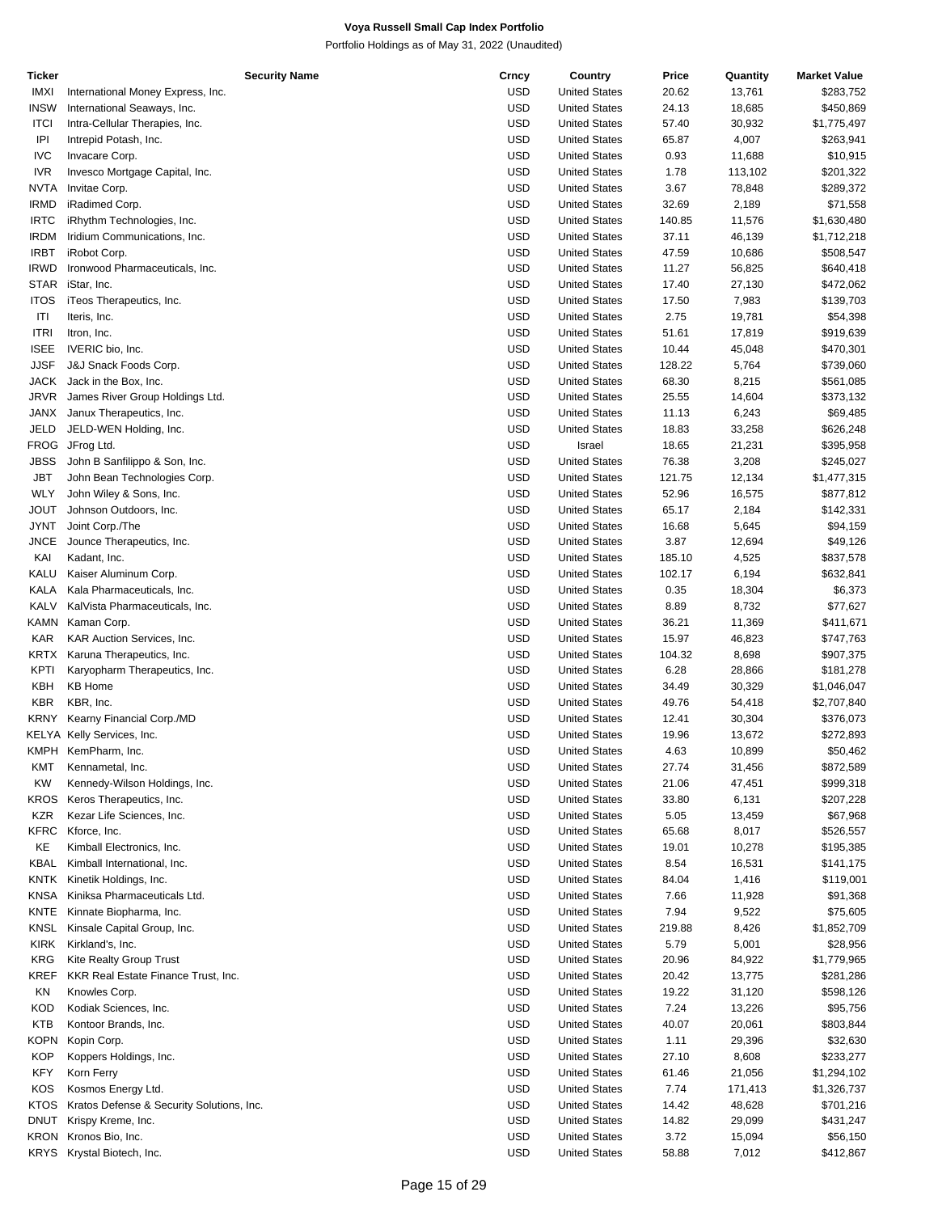| Ticker      | <b>Security Name</b>                      | Crncy      | Country              | Price  | Quantity | <b>Market Value</b> |
|-------------|-------------------------------------------|------------|----------------------|--------|----------|---------------------|
| <b>IMXI</b> | International Money Express, Inc.         | <b>USD</b> | <b>United States</b> | 20.62  | 13,761   | \$283,752           |
| <b>INSW</b> | International Seaways, Inc.               | <b>USD</b> | <b>United States</b> | 24.13  | 18,685   | \$450,869           |
| <b>ITCI</b> | Intra-Cellular Therapies, Inc.            | <b>USD</b> | <b>United States</b> | 57.40  | 30,932   | \$1,775,497         |
| IPI         | Intrepid Potash, Inc.                     | <b>USD</b> | <b>United States</b> | 65.87  | 4,007    | \$263,941           |
| <b>IVC</b>  | Invacare Corp.                            | <b>USD</b> | <b>United States</b> | 0.93   | 11,688   | \$10,915            |
| <b>IVR</b>  | Invesco Mortgage Capital, Inc.            | <b>USD</b> | <b>United States</b> | 1.78   | 113,102  | \$201,322           |
| <b>NVTA</b> | Invitae Corp.                             | <b>USD</b> | <b>United States</b> | 3.67   | 78,848   | \$289,372           |
|             |                                           |            |                      |        |          |                     |
| <b>IRMD</b> | iRadimed Corp.                            | <b>USD</b> | <b>United States</b> | 32.69  | 2,189    | \$71,558            |
| <b>IRTC</b> | iRhythm Technologies, Inc.                | <b>USD</b> | <b>United States</b> | 140.85 | 11,576   | \$1,630,480         |
| <b>IRDM</b> | Iridium Communications, Inc.              | <b>USD</b> | <b>United States</b> | 37.11  | 46,139   | \$1,712,218         |
| <b>IRBT</b> | iRobot Corp.                              | <b>USD</b> | <b>United States</b> | 47.59  | 10,686   | \$508,547           |
| <b>IRWD</b> | Ironwood Pharmaceuticals, Inc.            | <b>USD</b> | <b>United States</b> | 11.27  | 56,825   | \$640,418           |
| <b>STAR</b> | iStar, Inc.                               | <b>USD</b> | <b>United States</b> | 17.40  | 27,130   | \$472,062           |
| <b>ITOS</b> | iTeos Therapeutics, Inc.                  | <b>USD</b> | <b>United States</b> | 17.50  | 7,983    | \$139,703           |
| ITI         | Iteris, Inc.                              | <b>USD</b> | <b>United States</b> | 2.75   | 19,781   | \$54,398            |
| <b>ITRI</b> | Itron, Inc.                               | <b>USD</b> | <b>United States</b> | 51.61  | 17,819   | \$919,639           |
| <b>ISEE</b> | IVERIC bio, Inc.                          | <b>USD</b> | <b>United States</b> | 10.44  | 45,048   | \$470,301           |
| JJSF        | J&J Snack Foods Corp.                     | <b>USD</b> | <b>United States</b> | 128.22 | 5,764    | \$739,060           |
| <b>JACK</b> | Jack in the Box, Inc.                     | <b>USD</b> | <b>United States</b> | 68.30  | 8,215    | \$561,085           |
| <b>JRVR</b> | James River Group Holdings Ltd.           | <b>USD</b> | <b>United States</b> | 25.55  | 14,604   | \$373,132           |
| JANX        | Janux Therapeutics, Inc.                  | <b>USD</b> | <b>United States</b> | 11.13  |          | \$69,485            |
|             |                                           |            |                      |        | 6,243    |                     |
| <b>JELD</b> | JELD-WEN Holding, Inc.                    | <b>USD</b> | <b>United States</b> | 18.83  | 33,258   | \$626,248           |
| <b>FROG</b> | JFrog Ltd.                                | <b>USD</b> | Israel               | 18.65  | 21,231   | \$395,958           |
| <b>JBSS</b> | John B Sanfilippo & Son, Inc.             | <b>USD</b> | <b>United States</b> | 76.38  | 3,208    | \$245,027           |
| <b>JBT</b>  | John Bean Technologies Corp.              | <b>USD</b> | <b>United States</b> | 121.75 | 12,134   | \$1,477,315         |
| <b>WLY</b>  | John Wiley & Sons, Inc.                   | <b>USD</b> | <b>United States</b> | 52.96  | 16,575   | \$877,812           |
| <b>JOUT</b> | Johnson Outdoors, Inc.                    | <b>USD</b> | <b>United States</b> | 65.17  | 2,184    | \$142,331           |
| <b>JYNT</b> | Joint Corp./The                           | <b>USD</b> | <b>United States</b> | 16.68  | 5,645    | \$94,159            |
| <b>JNCE</b> | Jounce Therapeutics, Inc.                 | <b>USD</b> | <b>United States</b> | 3.87   | 12,694   | \$49,126            |
| KAI         | Kadant, Inc.                              | <b>USD</b> | <b>United States</b> | 185.10 | 4,525    | \$837,578           |
| KALU        | Kaiser Aluminum Corp.                     | <b>USD</b> | <b>United States</b> | 102.17 | 6,194    | \$632,841           |
| KALA        | Kala Pharmaceuticals, Inc.                | <b>USD</b> | <b>United States</b> | 0.35   | 18,304   | \$6,373             |
| <b>KALV</b> | KalVista Pharmaceuticals, Inc.            | <b>USD</b> | <b>United States</b> | 8.89   | 8,732    | \$77,627            |
| KAMN        |                                           | <b>USD</b> |                      |        |          |                     |
|             | Kaman Corp.                               |            | <b>United States</b> | 36.21  | 11,369   | \$411,671           |
| <b>KAR</b>  | KAR Auction Services, Inc.                | <b>USD</b> | <b>United States</b> | 15.97  | 46,823   | \$747,763           |
| KRTX        | Karuna Therapeutics, Inc.                 | <b>USD</b> | <b>United States</b> | 104.32 | 8,698    | \$907,375           |
| KPTI        | Karyopharm Therapeutics, Inc.             | <b>USD</b> | <b>United States</b> | 6.28   | 28,866   | \$181,278           |
| KBH         | <b>KB Home</b>                            | <b>USD</b> | <b>United States</b> | 34.49  | 30,329   | \$1,046,047         |
| <b>KBR</b>  | KBR, Inc.                                 | <b>USD</b> | <b>United States</b> | 49.76  | 54,418   | \$2,707,840         |
| <b>KRNY</b> | Kearny Financial Corp./MD                 | <b>USD</b> | <b>United States</b> | 12.41  | 30,304   | \$376,073           |
|             | KELYA Kelly Services, Inc.                | <b>USD</b> | <b>United States</b> | 19.96  | 13,672   | \$272,893           |
|             | KMPH KemPharm, Inc.                       | <b>USD</b> | <b>United States</b> | 4.63   | 10,899   | \$50,462            |
| KMT         | Kennametal, Inc.                          | <b>USD</b> | <b>United States</b> | 27.74  | 31,456   | \$872,589           |
| <b>KW</b>   | Kennedy-Wilson Holdings, Inc.             | <b>USD</b> | <b>United States</b> | 21.06  | 47,451   | \$999,318           |
| KROS        | Keros Therapeutics, Inc.                  | <b>USD</b> | <b>United States</b> | 33.80  | 6,131    | \$207,228           |
| <b>KZR</b>  | Kezar Life Sciences, Inc.                 | <b>USD</b> | <b>United States</b> | 5.05   | 13,459   | \$67,968            |
|             |                                           |            |                      |        |          |                     |
| <b>KFRC</b> | Kforce, Inc.                              | <b>USD</b> | <b>United States</b> | 65.68  | 8,017    | \$526,557           |
| KE          | Kimball Electronics, Inc.                 | <b>USD</b> | <b>United States</b> | 19.01  | 10,278   | \$195,385           |
| KBAL        | Kimball International, Inc.               | <b>USD</b> | <b>United States</b> | 8.54   | 16,531   | \$141,175           |
| KNTK        | Kinetik Holdings, Inc.                    | <b>USD</b> | <b>United States</b> | 84.04  | 1,416    | \$119,001           |
| KNSA        | Kiniksa Pharmaceuticals Ltd.              | <b>USD</b> | <b>United States</b> | 7.66   | 11,928   | \$91,368            |
| KNTE        | Kinnate Biopharma, Inc.                   | <b>USD</b> | <b>United States</b> | 7.94   | 9,522    | \$75,605            |
| KNSL        | Kinsale Capital Group, Inc.               | USD        | <b>United States</b> | 219.88 | 8,426    | \$1,852,709         |
| <b>KIRK</b> | Kirkland's, Inc.                          | <b>USD</b> | <b>United States</b> | 5.79   | 5,001    | \$28,956            |
| <b>KRG</b>  | Kite Realty Group Trust                   | <b>USD</b> | <b>United States</b> | 20.96  | 84,922   | \$1,779,965         |
| <b>KREF</b> | KKR Real Estate Finance Trust, Inc.       | <b>USD</b> | <b>United States</b> | 20.42  | 13,775   | \$281,286           |
| ΚN          | Knowles Corp.                             | <b>USD</b> | <b>United States</b> | 19.22  | 31,120   | \$598,126           |
| KOD         | Kodiak Sciences, Inc.                     | <b>USD</b> | <b>United States</b> | 7.24   | 13,226   | \$95,756            |
|             |                                           |            |                      |        |          |                     |
| <b>KTB</b>  | Kontoor Brands, Inc.                      | <b>USD</b> | <b>United States</b> | 40.07  | 20,061   | \$803,844           |
| KOPN        | Kopin Corp.                               | <b>USD</b> | <b>United States</b> | 1.11   | 29,396   | \$32,630            |
| <b>KOP</b>  | Koppers Holdings, Inc.                    | USD        | <b>United States</b> | 27.10  | 8,608    | \$233,277           |
| <b>KFY</b>  | Korn Ferry                                | <b>USD</b> | <b>United States</b> | 61.46  | 21,056   | \$1,294,102         |
| KOS         | Kosmos Energy Ltd.                        | <b>USD</b> | <b>United States</b> | 7.74   | 171,413  | \$1,326,737         |
| KTOS        | Kratos Defense & Security Solutions, Inc. | <b>USD</b> | <b>United States</b> | 14.42  | 48,628   | \$701,216           |
| <b>DNUT</b> | Krispy Kreme, Inc.                        | <b>USD</b> | <b>United States</b> | 14.82  | 29,099   | \$431,247           |
| KRON        | Kronos Bio, Inc.                          | <b>USD</b> | <b>United States</b> | 3.72   | 15,094   | \$56,150            |
| <b>KRYS</b> | Krystal Biotech, Inc.                     | <b>USD</b> | <b>United States</b> | 58.88  | 7,012    | \$412,867           |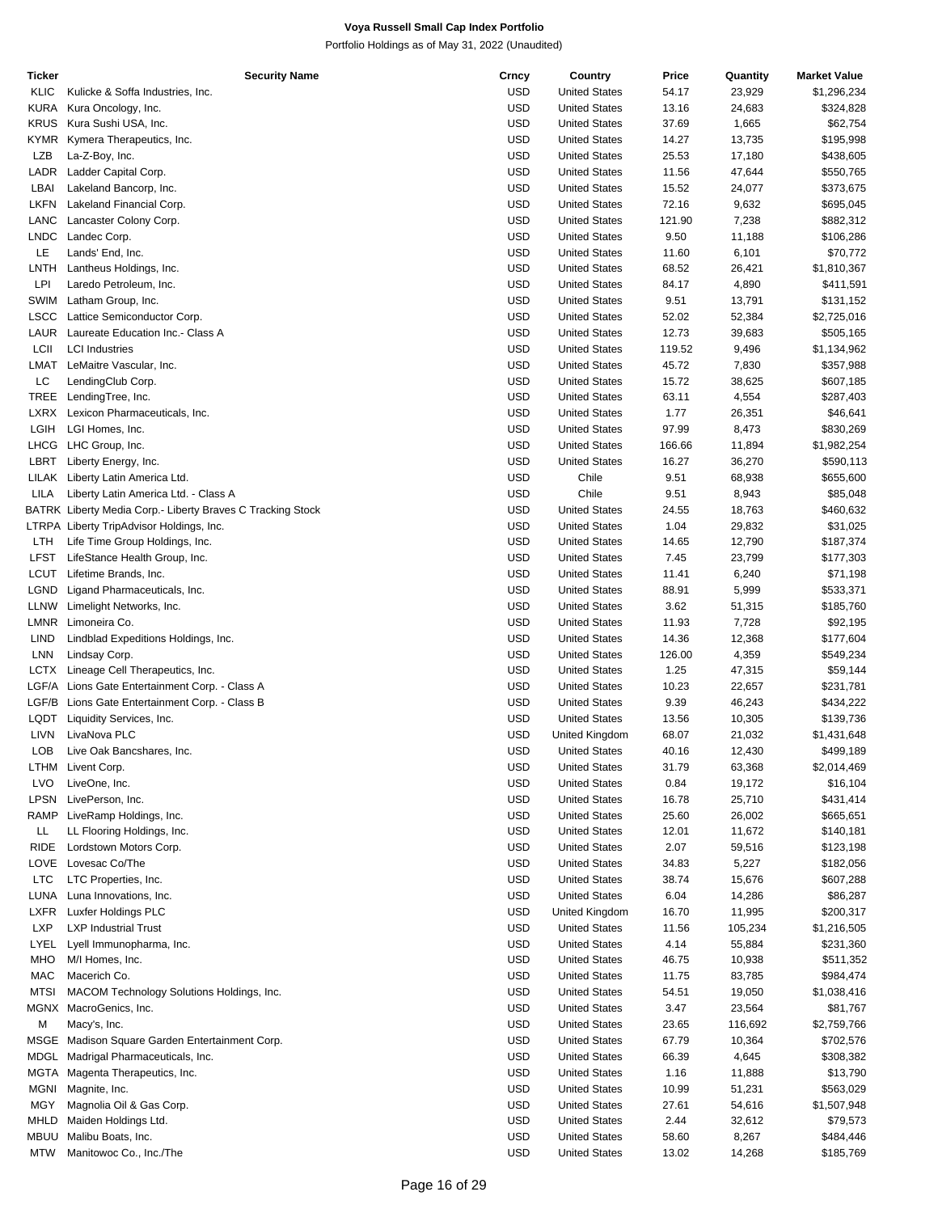| Ticker      | <b>Security Name</b>                                       | Crncy      | Country              | Price  | Quantity | <b>Market Value</b> |
|-------------|------------------------------------------------------------|------------|----------------------|--------|----------|---------------------|
| KLIC        | Kulicke & Soffa Industries, Inc.                           | <b>USD</b> | <b>United States</b> | 54.17  | 23,929   | \$1,296,234         |
| KURA        | Kura Oncology, Inc.                                        | <b>USD</b> | <b>United States</b> | 13.16  | 24,683   | \$324,828           |
| <b>KRUS</b> | Kura Sushi USA, Inc.                                       | <b>USD</b> | <b>United States</b> | 37.69  | 1,665    | \$62,754            |
| KYMR        | Kymera Therapeutics, Inc.                                  | <b>USD</b> | <b>United States</b> | 14.27  | 13,735   | \$195,998           |
| <b>LZB</b>  | La-Z-Boy, Inc.                                             | USD        | <b>United States</b> | 25.53  | 17,180   | \$438,605           |
| LADR        | Ladder Capital Corp.                                       | <b>USD</b> | <b>United States</b> | 11.56  | 47,644   | \$550,765           |
| LBAI        | Lakeland Bancorp, Inc.                                     | USD        | <b>United States</b> | 15.52  | 24,077   | \$373,675           |
| LKFN        | Lakeland Financial Corp.                                   | <b>USD</b> | <b>United States</b> | 72.16  | 9,632    | \$695,045           |
| LANC        | Lancaster Colony Corp.                                     | USD        | <b>United States</b> | 121.90 | 7,238    |                     |
|             |                                                            | <b>USD</b> |                      |        |          | \$882,312           |
| LNDC        | Landec Corp.                                               |            | <b>United States</b> | 9.50   | 11,188   | \$106,286           |
| LE          | Lands' End, Inc.                                           | USD        | <b>United States</b> | 11.60  | 6,101    | \$70,772            |
| LNTH        | Lantheus Holdings, Inc.                                    | <b>USD</b> | <b>United States</b> | 68.52  | 26,421   | \$1,810,367         |
| LPI         | Laredo Petroleum, Inc.                                     | USD        | <b>United States</b> | 84.17  | 4,890    | \$411,591           |
| SWIM        | Latham Group, Inc.                                         | <b>USD</b> | <b>United States</b> | 9.51   | 13,791   | \$131,152           |
| <b>LSCC</b> | Lattice Semiconductor Corp.                                | USD        | <b>United States</b> | 52.02  | 52,384   | \$2,725,016         |
| LAUR        | Laureate Education Inc.- Class A                           | USD        | <b>United States</b> | 12.73  | 39,683   | \$505,165           |
| LCII        | <b>LCI</b> Industries                                      | USD        | <b>United States</b> | 119.52 | 9,496    | \$1,134,962         |
| LMAT        | LeMaitre Vascular, Inc.                                    | <b>USD</b> | <b>United States</b> | 45.72  | 7,830    | \$357,988           |
| LC          | LendingClub Corp.                                          | <b>USD</b> | <b>United States</b> | 15.72  | 38,625   | \$607,185           |
| TREE        | LendingTree, Inc.                                          | <b>USD</b> | <b>United States</b> | 63.11  | 4,554    | \$287,403           |
| LXRX        | Lexicon Pharmaceuticals, Inc.                              | USD        | <b>United States</b> | 1.77   | 26,351   | \$46,641            |
| LGIH        | LGI Homes, Inc.                                            | <b>USD</b> | <b>United States</b> | 97.99  | 8,473    | \$830,269           |
| LHCG        | LHC Group, Inc.                                            | USD        | <b>United States</b> | 166.66 | 11,894   | \$1,982,254         |
| LBRT        |                                                            | <b>USD</b> | <b>United States</b> |        |          |                     |
|             | Liberty Energy, Inc.                                       |            |                      | 16.27  | 36,270   | \$590,113           |
| LILAK       | Liberty Latin America Ltd.                                 | USD        | Chile                | 9.51   | 68,938   | \$655,600           |
| LILA        | Liberty Latin America Ltd. - Class A                       | USD        | Chile                | 9.51   | 8,943    | \$85,048            |
|             | BATRK Liberty Media Corp.- Liberty Braves C Tracking Stock | USD        | <b>United States</b> | 24.55  | 18,763   | \$460,632           |
|             | LTRPA Liberty TripAdvisor Holdings, Inc.                   | <b>USD</b> | <b>United States</b> | 1.04   | 29,832   | \$31,025            |
| LTH         | Life Time Group Holdings, Inc.                             | USD        | <b>United States</b> | 14.65  | 12,790   | \$187,374           |
| LFST        | LifeStance Health Group, Inc.                              | <b>USD</b> | <b>United States</b> | 7.45   | 23,799   | \$177,303           |
| LCUT        | Lifetime Brands, Inc.                                      | USD        | <b>United States</b> | 11.41  | 6,240    | \$71,198            |
| LGND        | Ligand Pharmaceuticals, Inc.                               | <b>USD</b> | <b>United States</b> | 88.91  | 5,999    | \$533,371           |
| <b>LLNW</b> | Limelight Networks, Inc.                                   | USD        | <b>United States</b> | 3.62   | 51,315   | \$185,760           |
| <b>LMNR</b> | Limoneira Co.                                              | <b>USD</b> | <b>United States</b> | 11.93  | 7,728    | \$92,195            |
| <b>LIND</b> | Lindblad Expeditions Holdings, Inc.                        | <b>USD</b> | <b>United States</b> | 14.36  | 12,368   | \$177,604           |
| LNN         | Lindsay Corp.                                              | <b>USD</b> | <b>United States</b> | 126.00 | 4,359    | \$549,234           |
| <b>LCTX</b> | Lineage Cell Therapeutics, Inc.                            | USD        | <b>United States</b> | 1.25   | 47,315   | \$59,144            |
| LGF/A       | Lions Gate Entertainment Corp. - Class A                   | USD        | <b>United States</b> | 10.23  |          | \$231,781           |
|             |                                                            |            |                      |        | 22,657   |                     |
| LGF/B       | Lions Gate Entertainment Corp. - Class B                   | USD        | <b>United States</b> | 9.39   | 46,243   | \$434,222           |
| LQDT        | Liquidity Services, Inc.                                   | USD        | <b>United States</b> | 13.56  | 10,305   | \$139,736           |
| LIVN        | LivaNova PLC                                               | USD        | United Kingdom       | 68.07  | 21,032   | \$1,431,648         |
| LOB         | Live Oak Bancshares, Inc.                                  | <b>USD</b> | <b>United States</b> | 40.16  | 12,430   | \$499,189           |
|             | LTHM Livent Corp.                                          | <b>USD</b> | <b>United States</b> | 31.79  | 63,368   | \$2,014,469         |
| LVO         | LiveOne, Inc.                                              | USD        | <b>United States</b> | 0.84   | 19,172   | \$16,104            |
| <b>LPSN</b> | LivePerson, Inc.                                           | <b>USD</b> | <b>United States</b> | 16.78  | 25,710   | \$431,414           |
| RAMP        | LiveRamp Holdings, Inc.                                    | USD        | <b>United States</b> | 25.60  | 26,002   | \$665,651           |
| LL          | LL Flooring Holdings, Inc.                                 | <b>USD</b> | <b>United States</b> | 12.01  | 11,672   | \$140,181           |
| <b>RIDE</b> | Lordstown Motors Corp.                                     | USD        | <b>United States</b> | 2.07   | 59,516   | \$123,198           |
| LOVE        | Lovesac Co/The                                             | USD        | <b>United States</b> | 34.83  | 5,227    | \$182,056           |
| <b>LTC</b>  | LTC Properties, Inc.                                       | USD        | <b>United States</b> | 38.74  | 15,676   | \$607,288           |
| LUNA        | Luna Innovations, Inc.                                     | <b>USD</b> | <b>United States</b> | 6.04   | 14,286   | \$86,287            |
| LXFR        | Luxfer Holdings PLC                                        | USD        | United Kingdom       | 16.70  | 11,995   | \$200,317           |
| <b>LXP</b>  |                                                            | <b>USD</b> |                      |        |          | \$1,216,505         |
|             | <b>LXP Industrial Trust</b>                                |            | <b>United States</b> | 11.56  | 105,234  |                     |
| LYEL        | Lyell Immunopharma, Inc.                                   | USD        | <b>United States</b> | 4.14   | 55,884   | \$231,360           |
| <b>MHO</b>  | M/I Homes, Inc.                                            | <b>USD</b> | <b>United States</b> | 46.75  | 10,938   | \$511,352           |
| MAC         | Macerich Co.                                               | USD        | <b>United States</b> | 11.75  | 83,785   | \$984,474           |
| <b>MTSI</b> | MACOM Technology Solutions Holdings, Inc.                  | USD        | <b>United States</b> | 54.51  | 19,050   | \$1,038,416         |
| <b>MGNX</b> | MacroGenics, Inc.                                          | USD        | <b>United States</b> | 3.47   | 23,564   | \$81,767            |
| М           | Macy's, Inc.                                               | <b>USD</b> | <b>United States</b> | 23.65  | 116,692  | \$2,759,766         |
| MSGE        | Madison Square Garden Entertainment Corp.                  | USD        | <b>United States</b> | 67.79  | 10,364   | \$702,576           |
| MDGL        | Madrigal Pharmaceuticals, Inc.                             | <b>USD</b> | <b>United States</b> | 66.39  | 4,645    | \$308,382           |
| MGTA        | Magenta Therapeutics, Inc.                                 | USD        | <b>United States</b> | 1.16   | 11,888   | \$13,790            |
| MGNI        | Magnite, Inc.                                              | <b>USD</b> | <b>United States</b> | 10.99  | 51,231   | \$563,029           |
| MGY         | Magnolia Oil & Gas Corp.                                   | USD        | <b>United States</b> | 27.61  | 54,616   | \$1,507,948         |
| MHLD        | Maiden Holdings Ltd.                                       | USD        | <b>United States</b> | 2.44   | 32,612   | \$79,573            |
|             |                                                            |            |                      |        |          |                     |
| MBUU        | Malibu Boats, Inc.                                         | USD        | <b>United States</b> | 58.60  | 8,267    | \$484,446           |
| MTW         | Manitowoc Co., Inc./The                                    | <b>USD</b> | <b>United States</b> | 13.02  | 14,268   | \$185,769           |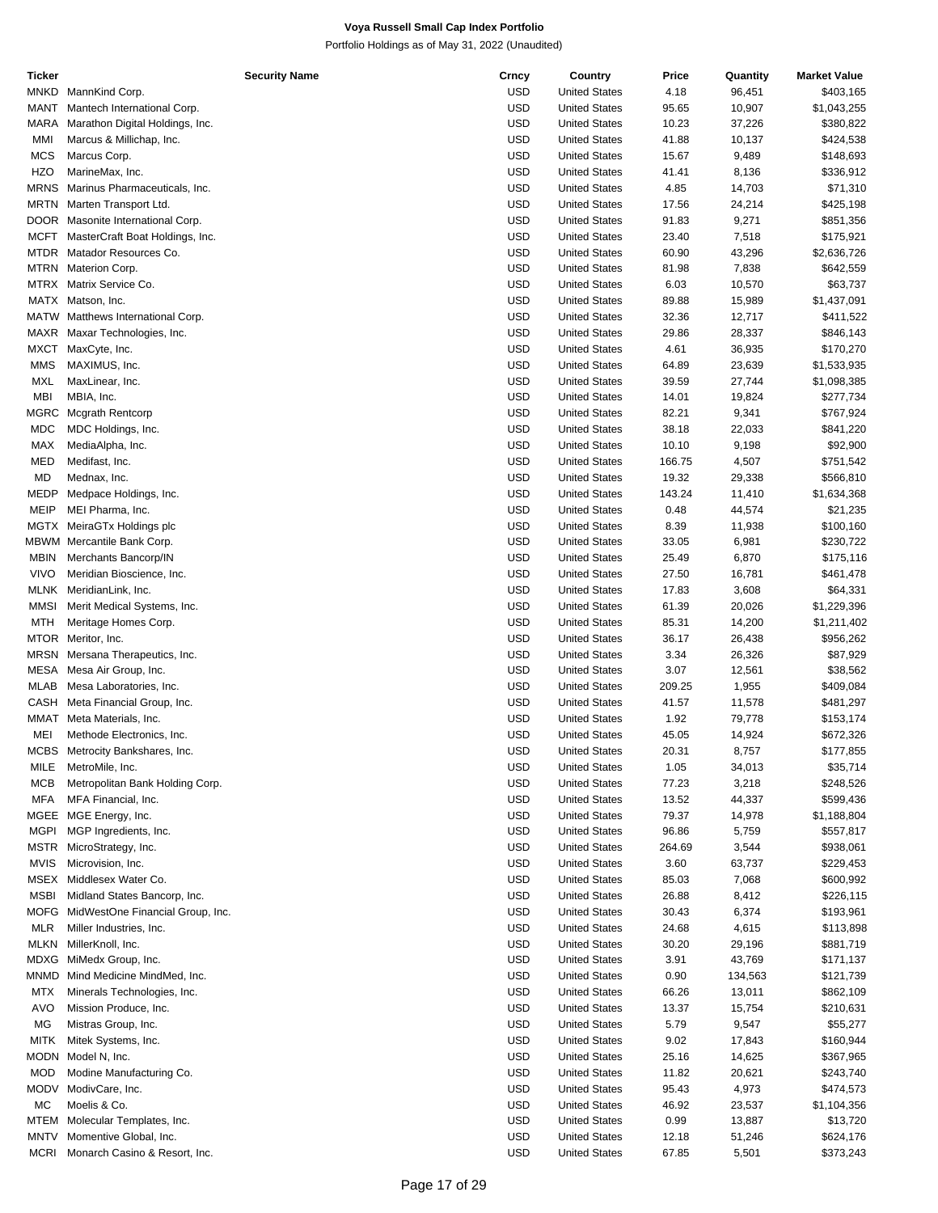| Ticker      | <b>Security Name</b>              | Crncy      | Country              | Price  | Quantity | <b>Market Value</b> |
|-------------|-----------------------------------|------------|----------------------|--------|----------|---------------------|
| MNKD        | MannKind Corp.                    | <b>USD</b> | <b>United States</b> | 4.18   | 96,451   | \$403,165           |
| MANT        | Mantech International Corp.       | USD        | <b>United States</b> | 95.65  | 10,907   | \$1,043,255         |
| MARA        | Marathon Digital Holdings, Inc.   | <b>USD</b> | <b>United States</b> | 10.23  | 37,226   | \$380,822           |
| MMI         | Marcus & Millichap, Inc.          | <b>USD</b> | <b>United States</b> | 41.88  | 10,137   | \$424,538           |
| <b>MCS</b>  |                                   | <b>USD</b> |                      |        |          |                     |
|             | Marcus Corp.                      |            | <b>United States</b> | 15.67  | 9,489    | \$148,693           |
| HZO         | MarineMax, Inc.                   | USD        | <b>United States</b> | 41.41  | 8,136    | \$336,912           |
| <b>MRNS</b> | Marinus Pharmaceuticals, Inc.     | <b>USD</b> | <b>United States</b> | 4.85   | 14,703   | \$71,310            |
| MRTN        | Marten Transport Ltd.             | USD        | <b>United States</b> | 17.56  | 24,214   | \$425,198           |
|             | DOOR Masonite International Corp. | <b>USD</b> | <b>United States</b> | 91.83  | 9,271    | \$851,356           |
| MCFT        | MasterCraft Boat Holdings, Inc.   | USD        | <b>United States</b> | 23.40  | 7,518    | \$175,921           |
| MTDR        | Matador Resources Co.             | <b>USD</b> | <b>United States</b> | 60.90  | 43,296   | \$2,636,726         |
|             | MTRN Materion Corp.               | USD        | <b>United States</b> | 81.98  | 7,838    | \$642,559           |
|             | MTRX Matrix Service Co.           | <b>USD</b> | <b>United States</b> | 6.03   | 10,570   | \$63,737            |
|             |                                   |            |                      |        |          |                     |
|             | MATX Matson, Inc.                 | USD        | <b>United States</b> | 89.88  | 15,989   | \$1,437,091         |
|             | MATW Matthews International Corp. | <b>USD</b> | <b>United States</b> | 32.36  | 12,717   | \$411,522           |
|             | MAXR Maxar Technologies, Inc.     | USD        | <b>United States</b> | 29.86  | 28,337   | \$846,143           |
|             | MXCT MaxCyte, Inc.                | <b>USD</b> | <b>United States</b> | 4.61   | 36,935   | \$170,270           |
| <b>MMS</b>  | MAXIMUS, Inc.                     | USD        | <b>United States</b> | 64.89  | 23,639   | \$1,533,935         |
| MXL         | MaxLinear, Inc.                   | <b>USD</b> | <b>United States</b> | 39.59  | 27,744   | \$1,098,385         |
| MBI         | MBIA, Inc.                        | USD        | <b>United States</b> | 14.01  | 19,824   | \$277,734           |
| MGRC        | <b>Mcgrath Rentcorp</b>           | <b>USD</b> | <b>United States</b> | 82.21  | 9,341    | \$767,924           |
| <b>MDC</b>  | MDC Holdings, Inc.                | USD        | <b>United States</b> | 38.18  | 22,033   | \$841,220           |
|             |                                   |            |                      |        |          |                     |
| MAX         | MediaAlpha, Inc.                  | <b>USD</b> | <b>United States</b> | 10.10  | 9,198    | \$92,900            |
| MED         | Medifast, Inc.                    | USD        | <b>United States</b> | 166.75 | 4,507    | \$751,542           |
| MD          | Mednax, Inc.                      | <b>USD</b> | <b>United States</b> | 19.32  | 29,338   | \$566,810           |
| MEDP        | Medpace Holdings, Inc.            | USD        | <b>United States</b> | 143.24 | 11,410   | \$1,634,368         |
| MEIP        | MEI Pharma, Inc.                  | <b>USD</b> | <b>United States</b> | 0.48   | 44,574   | \$21,235            |
|             | MGTX MeiraGTx Holdings plc        | USD        | <b>United States</b> | 8.39   | 11,938   | \$100,160           |
|             | MBWM Mercantile Bank Corp.        | <b>USD</b> | <b>United States</b> | 33.05  | 6,981    | \$230,722           |
| <b>MBIN</b> | Merchants Bancorp/IN              | USD        | <b>United States</b> | 25.49  | 6,870    | \$175,116           |
|             |                                   |            |                      |        |          |                     |
| <b>VIVO</b> | Meridian Bioscience, Inc.         | <b>USD</b> | <b>United States</b> | 27.50  | 16,781   | \$461,478           |
|             | MLNK MeridianLink, Inc.           | USD        | <b>United States</b> | 17.83  | 3,608    | \$64,331            |
| <b>MMSI</b> | Merit Medical Systems, Inc.       | <b>USD</b> | <b>United States</b> | 61.39  | 20,026   | \$1,229,396         |
| <b>MTH</b>  | Meritage Homes Corp.              | USD        | <b>United States</b> | 85.31  | 14,200   | \$1,211,402         |
|             | MTOR Meritor, Inc.                | <b>USD</b> | <b>United States</b> | 36.17  | 26,438   | \$956,262           |
|             | MRSN Mersana Therapeutics, Inc.   | <b>USD</b> | <b>United States</b> | 3.34   | 26,326   | \$87,929            |
| MESA        | Mesa Air Group, Inc.              | <b>USD</b> | <b>United States</b> | 3.07   | 12,561   | \$38,562            |
| <b>MLAB</b> | Mesa Laboratories, Inc.           | USD        | <b>United States</b> | 209.25 | 1,955    | \$409,084           |
| CASH        | Meta Financial Group, Inc.        | <b>USD</b> | <b>United States</b> | 41.57  | 11,578   | \$481,297           |
|             |                                   |            |                      |        |          |                     |
|             | MMAT Meta Materials, Inc.         | USD        | <b>United States</b> | 1.92   | 79,778   | \$153,174           |
| MEI         | Methode Electronics, Inc.         | <b>USD</b> | <b>United States</b> | 45.05  | 14,924   | \$672,326           |
|             | MCBS Metrocity Bankshares, Inc.   | <b>USD</b> | <b>United States</b> | 20.31  | 8,757    | \$177,855           |
| MILE        | MetroMile, Inc.                   | USD        | <b>United States</b> | 1.05   | 34,013   | \$35,714            |
| MCB         | Metropolitan Bank Holding Corp.   | USD        | <b>United States</b> | 77.23  | 3,218    | \$248,526           |
| MFA         | MFA Financial, Inc.               | USD        | <b>United States</b> | 13.52  | 44,337   | \$599,436           |
|             | MGEE MGE Energy, Inc.             | USD        | <b>United States</b> | 79.37  | 14,978   | \$1,188,804         |
| <b>MGPI</b> | MGP Ingredients, Inc.             | USD        | <b>United States</b> | 96.86  | 5,759    | \$557,817           |
|             | MSTR MicroStrategy, Inc.          | USD        | <b>United States</b> | 264.69 | 3,544    | \$938,061           |
|             |                                   |            |                      |        |          |                     |
| <b>MVIS</b> | Microvision, Inc.                 | USD        | <b>United States</b> | 3.60   | 63,737   | \$229,453           |
|             | MSEX Middlesex Water Co.          | USD        | <b>United States</b> | 85.03  | 7,068    | \$600,992           |
| <b>MSBI</b> | Midland States Bancorp, Inc.      | USD        | <b>United States</b> | 26.88  | 8,412    | \$226,115           |
| MOFG        | MidWestOne Financial Group, Inc.  | USD        | <b>United States</b> | 30.43  | 6,374    | \$193,961           |
| MLR         | Miller Industries, Inc.           | USD        | <b>United States</b> | 24.68  | 4,615    | \$113,898           |
| MLKN        | MillerKnoll, Inc.                 | USD        | <b>United States</b> | 30.20  | 29,196   | \$881,719           |
|             | MDXG MiMedx Group, Inc.           | USD        | <b>United States</b> | 3.91   | 43,769   | \$171,137           |
|             | MNMD Mind Medicine MindMed, Inc.  | USD        | <b>United States</b> | 0.90   | 134,563  | \$121,739           |
|             |                                   |            |                      |        |          |                     |
| MTX         | Minerals Technologies, Inc.       | USD        | <b>United States</b> | 66.26  | 13,011   | \$862,109           |
| AVO         | Mission Produce, Inc.             | USD        | <b>United States</b> | 13.37  | 15,754   | \$210,631           |
| ΜG          | Mistras Group, Inc.               | USD        | <b>United States</b> | 5.79   | 9,547    | \$55,277            |
| MITK        | Mitek Systems, Inc.               | USD        | <b>United States</b> | 9.02   | 17,843   | \$160,944           |
|             | MODN Model N, Inc.                | USD        | <b>United States</b> | 25.16  | 14,625   | \$367,965           |
| <b>MOD</b>  | Modine Manufacturing Co.          | USD        | <b>United States</b> | 11.82  | 20,621   | \$243,740           |
| <b>MODV</b> | ModivCare, Inc.                   | USD        | <b>United States</b> | 95.43  | 4,973    | \$474,573           |
| МC          | Moelis & Co.                      | USD        | <b>United States</b> | 46.92  | 23,537   | \$1,104,356         |
| MTEM        | Molecular Templates, Inc.         | USD        | <b>United States</b> | 0.99   | 13,887   | \$13,720            |
| <b>MNTV</b> | Momentive Global, Inc.            | USD        | <b>United States</b> |        |          |                     |
|             |                                   |            |                      | 12.18  | 51,246   | \$624,176           |
| <b>MCRI</b> | Monarch Casino & Resort, Inc.     | USD        | <b>United States</b> | 67.85  | 5,501    | \$373,243           |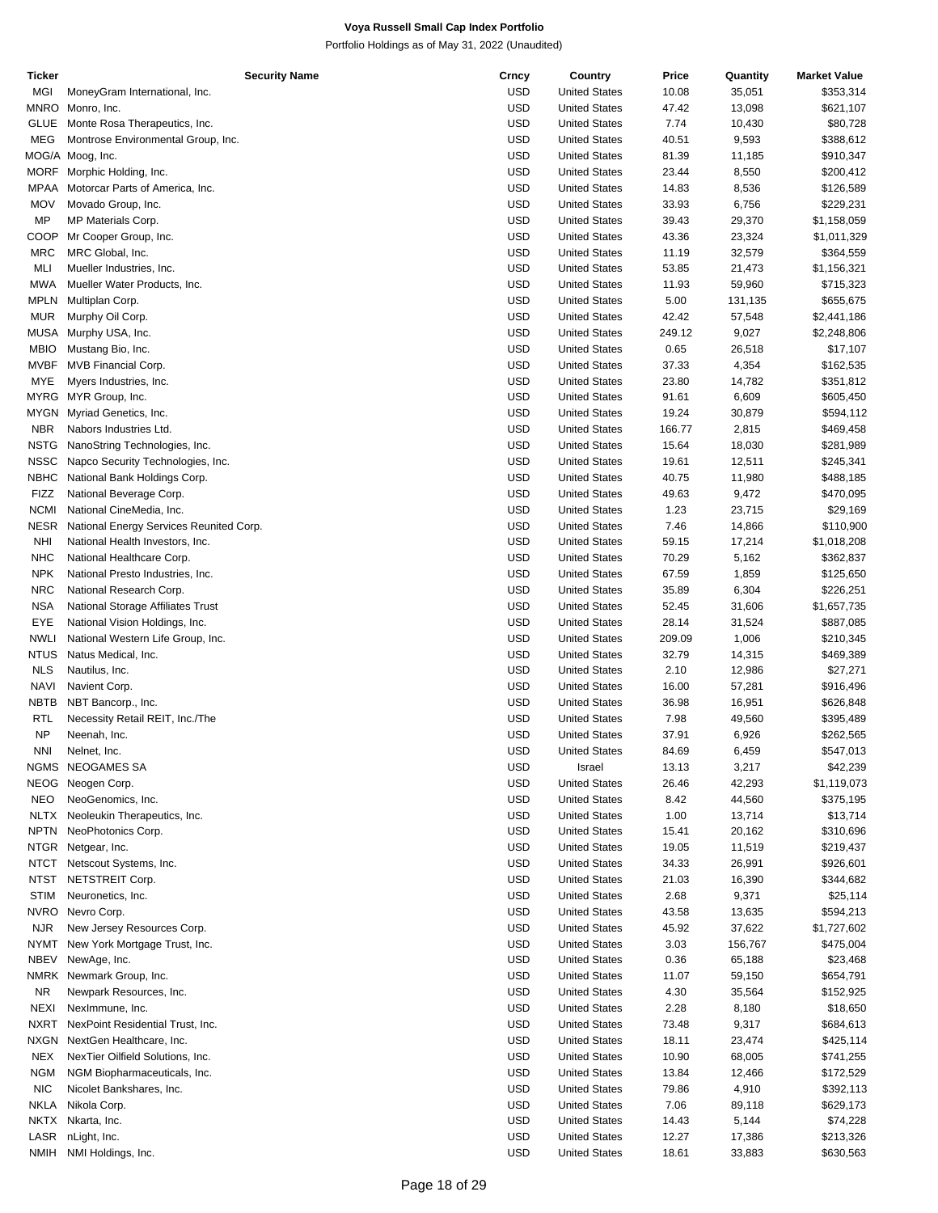| Ticker      | <b>Security Name</b>                    | Crncy      | Country              | Price  | Quantity | <b>Market Value</b> |
|-------------|-----------------------------------------|------------|----------------------|--------|----------|---------------------|
| MGI         | MoneyGram International, Inc.           | <b>USD</b> | <b>United States</b> | 10.08  | 35,051   | \$353,314           |
| MNRO        | Monro, Inc.                             | <b>USD</b> | <b>United States</b> | 47.42  | 13,098   | \$621,107           |
| <b>GLUE</b> | Monte Rosa Therapeutics, Inc.           | <b>USD</b> | <b>United States</b> | 7.74   | 10,430   | \$80,728            |
| MEG         | Montrose Environmental Group, Inc.      | <b>USD</b> | <b>United States</b> | 40.51  | 9,593    | \$388,612           |
|             | MOG/A Moog, Inc.                        | <b>USD</b> | <b>United States</b> | 81.39  | 11,185   | \$910,347           |
|             | MORF Morphic Holding, Inc.              | <b>USD</b> | <b>United States</b> | 23.44  | 8,550    | \$200,412           |
| <b>MPAA</b> | Motorcar Parts of America, Inc.         | <b>USD</b> | <b>United States</b> | 14.83  | 8,536    | \$126,589           |
|             | Movado Group, Inc.                      | <b>USD</b> |                      |        |          |                     |
| <b>MOV</b>  |                                         |            | <b>United States</b> | 33.93  | 6,756    | \$229,231           |
| MP          | MP Materials Corp.                      | <b>USD</b> | <b>United States</b> | 39.43  | 29,370   | \$1,158,059         |
| COOP        | Mr Cooper Group, Inc.                   | <b>USD</b> | <b>United States</b> | 43.36  | 23,324   | \$1,011,329         |
| <b>MRC</b>  | MRC Global, Inc.                        | <b>USD</b> | <b>United States</b> | 11.19  | 32,579   | \$364,559           |
| MLI         | Mueller Industries, Inc.                | <b>USD</b> | <b>United States</b> | 53.85  | 21,473   | \$1,156,321         |
| <b>MWA</b>  | Mueller Water Products, Inc.            | <b>USD</b> | <b>United States</b> | 11.93  | 59,960   | \$715,323           |
| <b>MPLN</b> | Multiplan Corp.                         | <b>USD</b> | <b>United States</b> | 5.00   | 131,135  | \$655,675           |
| <b>MUR</b>  | Murphy Oil Corp.                        | <b>USD</b> | <b>United States</b> | 42.42  | 57,548   | \$2,441,186         |
| <b>MUSA</b> | Murphy USA, Inc.                        | <b>USD</b> | <b>United States</b> | 249.12 | 9,027    | \$2,248,806         |
| <b>MBIO</b> | Mustang Bio, Inc.                       | <b>USD</b> | <b>United States</b> | 0.65   | 26,518   | \$17,107            |
| <b>MVBF</b> | MVB Financial Corp.                     | <b>USD</b> | <b>United States</b> | 37.33  | 4,354    | \$162,535           |
| MYE         | Myers Industries, Inc.                  | <b>USD</b> | <b>United States</b> | 23.80  | 14,782   | \$351,812           |
| MYRG        | MYR Group, Inc.                         | <b>USD</b> | <b>United States</b> | 91.61  | 6,609    | \$605,450           |
| <b>MYGN</b> | Myriad Genetics, Inc.                   | <b>USD</b> | <b>United States</b> | 19.24  | 30,879   | \$594,112           |
|             |                                         |            |                      |        |          |                     |
| <b>NBR</b>  | Nabors Industries Ltd.                  | <b>USD</b> | <b>United States</b> | 166.77 | 2,815    | \$469,458           |
| <b>NSTG</b> | NanoString Technologies, Inc.           | <b>USD</b> | <b>United States</b> | 15.64  | 18,030   | \$281,989           |
| <b>NSSC</b> | Napco Security Technologies, Inc.       | <b>USD</b> | <b>United States</b> | 19.61  | 12,511   | \$245,341           |
| <b>NBHC</b> | National Bank Holdings Corp.            | <b>USD</b> | <b>United States</b> | 40.75  | 11,980   | \$488,185           |
| <b>FIZZ</b> | National Beverage Corp.                 | <b>USD</b> | <b>United States</b> | 49.63  | 9,472    | \$470,095           |
| <b>NCMI</b> | National CineMedia, Inc.                | <b>USD</b> | <b>United States</b> | 1.23   | 23,715   | \$29,169            |
| <b>NESR</b> | National Energy Services Reunited Corp. | <b>USD</b> | <b>United States</b> | 7.46   | 14,866   | \$110,900           |
| <b>NHI</b>  | National Health Investors, Inc.         | <b>USD</b> | <b>United States</b> | 59.15  | 17,214   | \$1,018,208         |
| <b>NHC</b>  | National Healthcare Corp.               | <b>USD</b> | <b>United States</b> | 70.29  | 5,162    | \$362,837           |
| <b>NPK</b>  | National Presto Industries, Inc.        | <b>USD</b> | <b>United States</b> | 67.59  | 1,859    | \$125,650           |
| <b>NRC</b>  | National Research Corp.                 | <b>USD</b> | <b>United States</b> | 35.89  | 6,304    | \$226,251           |
| <b>NSA</b>  | National Storage Affiliates Trust       | <b>USD</b> | <b>United States</b> | 52.45  | 31,606   | \$1,657,735         |
| EYE         | National Vision Holdings, Inc.          | <b>USD</b> | <b>United States</b> | 28.14  |          |                     |
|             |                                         |            |                      |        | 31,524   | \$887,085           |
| <b>NWLI</b> | National Western Life Group, Inc.       | <b>USD</b> | <b>United States</b> | 209.09 | 1,006    | \$210,345           |
| <b>NTUS</b> | Natus Medical, Inc.                     | <b>USD</b> | <b>United States</b> | 32.79  | 14,315   | \$469,389           |
| <b>NLS</b>  | Nautilus, Inc.                          | <b>USD</b> | <b>United States</b> | 2.10   | 12,986   | \$27,271            |
| <b>NAVI</b> | Navient Corp.                           | <b>USD</b> | <b>United States</b> | 16.00  | 57,281   | \$916,496           |
| NBTB        | NBT Bancorp., Inc.                      | <b>USD</b> | <b>United States</b> | 36.98  | 16,951   | \$626,848           |
| RTL         | Necessity Retail REIT, Inc./The         | <b>USD</b> | <b>United States</b> | 7.98   | 49,560   | \$395,489           |
| <b>NP</b>   | Neenah, Inc.                            | <b>USD</b> | <b>United States</b> | 37.91  | 6,926    | \$262,565           |
| <b>NNI</b>  | Nelnet, Inc.                            | <b>USD</b> | <b>United States</b> | 84.69  | 6,459    | \$547,013           |
|             | NGMS NEOGAMES SA                        | <b>USD</b> | Israel               | 13.13  | 3,217    | \$42,239            |
|             | NEOG Neogen Corp.                       | <b>USD</b> | <b>United States</b> | 26.46  | 42,293   | \$1,119,073         |
| <b>NEO</b>  | NeoGenomics, Inc.                       | <b>USD</b> | <b>United States</b> | 8.42   | 44,560   | \$375,195           |
| <b>NLTX</b> | Neoleukin Therapeutics, Inc.            | <b>USD</b> | <b>United States</b> | 1.00   | 13,714   | \$13,714            |
| <b>NPTN</b> |                                         | <b>USD</b> | <b>United States</b> |        |          |                     |
|             | NeoPhotonics Corp.                      |            |                      | 15.41  | 20,162   | \$310,696           |
|             | NTGR Netgear, Inc.                      | <b>USD</b> | <b>United States</b> | 19.05  | 11,519   | \$219,437           |
| <b>NTCT</b> | Netscout Systems, Inc.                  | <b>USD</b> | <b>United States</b> | 34.33  | 26,991   | \$926,601           |
| <b>NTST</b> | NETSTREIT Corp.                         | <b>USD</b> | <b>United States</b> | 21.03  | 16,390   | \$344,682           |
| <b>STIM</b> | Neuronetics, Inc.                       | <b>USD</b> | <b>United States</b> | 2.68   | 9,371    | \$25,114            |
| <b>NVRO</b> | Nevro Corp.                             | <b>USD</b> | <b>United States</b> | 43.58  | 13,635   | \$594,213           |
| <b>NJR</b>  | New Jersey Resources Corp.              | USD        | <b>United States</b> | 45.92  | 37,622   | \$1,727,602         |
| <b>NYMT</b> | New York Mortgage Trust, Inc.           | <b>USD</b> | <b>United States</b> | 3.03   | 156,767  | \$475,004           |
| <b>NBEV</b> | NewAge, Inc.                            | <b>USD</b> | <b>United States</b> | 0.36   | 65,188   | \$23,468            |
|             | NMRK Newmark Group, Inc.                | <b>USD</b> | <b>United States</b> | 11.07  | 59,150   | \$654,791           |
| <b>NR</b>   | Newpark Resources, Inc.                 | <b>USD</b> | <b>United States</b> | 4.30   | 35,564   | \$152,925           |
| <b>NEXI</b> | NexImmune, Inc.                         | <b>USD</b> | <b>United States</b> | 2.28   | 8,180    | \$18,650            |
| <b>NXRT</b> | NexPoint Residential Trust, Inc.        | <b>USD</b> | <b>United States</b> | 73.48  | 9,317    | \$684,613           |
|             |                                         |            |                      |        |          |                     |
| <b>NXGN</b> | NextGen Healthcare, Inc.                | <b>USD</b> | <b>United States</b> | 18.11  | 23,474   | \$425,114           |
| NEX         | NexTier Oilfield Solutions, Inc.        | USD        | <b>United States</b> | 10.90  | 68,005   | \$741,255           |
| <b>NGM</b>  | NGM Biopharmaceuticals, Inc.            | <b>USD</b> | <b>United States</b> | 13.84  | 12,466   | \$172,529           |
| <b>NIC</b>  | Nicolet Bankshares, Inc.                | <b>USD</b> | <b>United States</b> | 79.86  | 4,910    | \$392,113           |
| <b>NKLA</b> | Nikola Corp.                            | <b>USD</b> | <b>United States</b> | 7.06   | 89,118   | \$629,173           |
|             | NKTX Nkarta, Inc.                       | <b>USD</b> | <b>United States</b> | 14.43  | 5,144    | \$74,228            |
| LASR        | nLight, Inc.                            | <b>USD</b> | <b>United States</b> | 12.27  | 17,386   | \$213,326           |
| <b>NMIH</b> | NMI Holdings, Inc.                      | <b>USD</b> | <b>United States</b> | 18.61  | 33,883   | \$630,563           |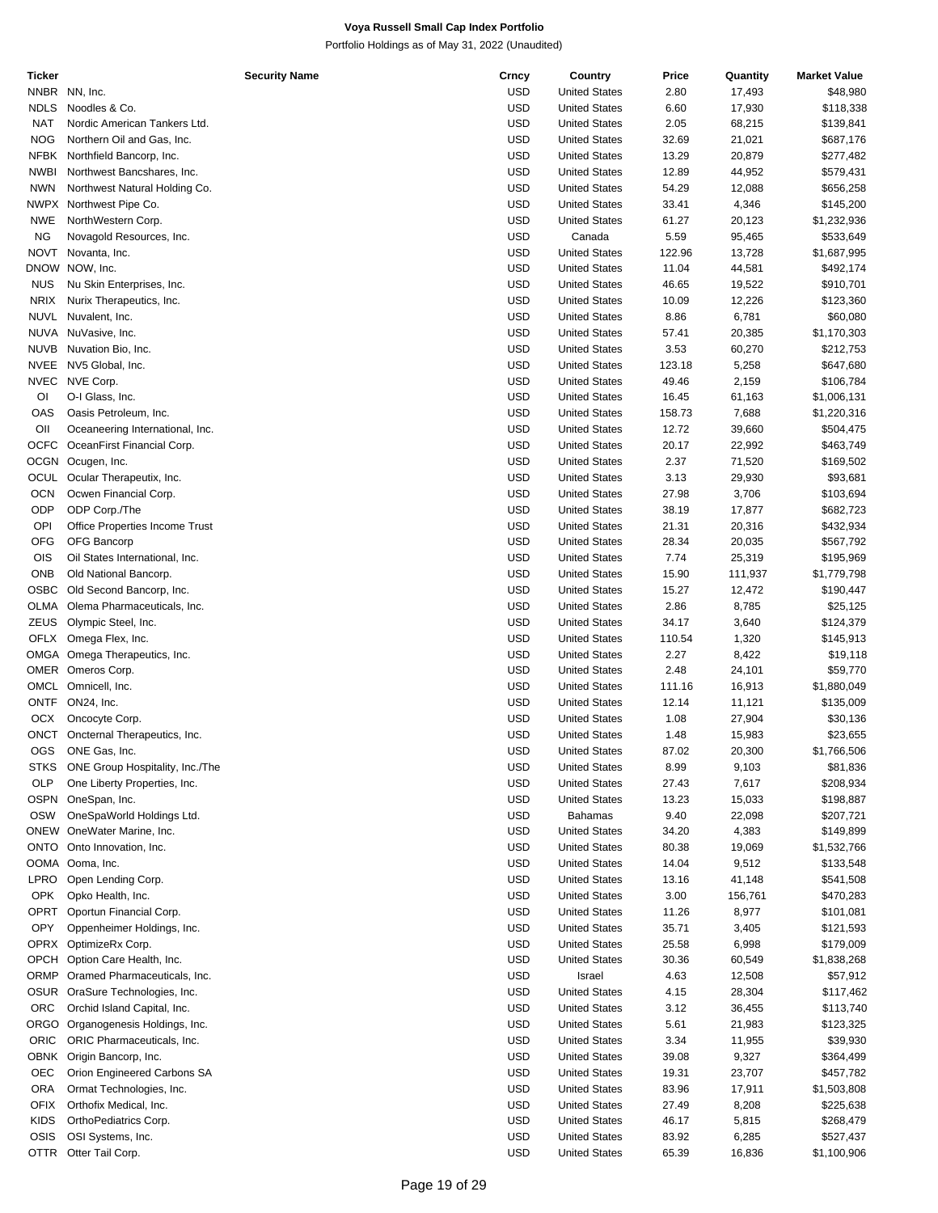| Ticker      |                                   | <b>Security Name</b> | Crncy      | Country              | Price  | Quantity | <b>Market Value</b> |
|-------------|-----------------------------------|----------------------|------------|----------------------|--------|----------|---------------------|
|             | NNBR NN, Inc.                     |                      | <b>USD</b> | <b>United States</b> | 2.80   | 17,493   | \$48,980            |
| <b>NDLS</b> | Noodles & Co.                     |                      | <b>USD</b> | <b>United States</b> | 6.60   | 17,930   | \$118,338           |
| <b>NAT</b>  | Nordic American Tankers Ltd.      |                      | <b>USD</b> | <b>United States</b> | 2.05   | 68,215   | \$139,841           |
|             |                                   |                      |            |                      |        |          |                     |
| <b>NOG</b>  | Northern Oil and Gas, Inc.        |                      | <b>USD</b> | <b>United States</b> | 32.69  | 21,021   | \$687,176           |
| <b>NFBK</b> | Northfield Bancorp, Inc.          |                      | <b>USD</b> | <b>United States</b> | 13.29  | 20,879   | \$277,482           |
| <b>NWBI</b> | Northwest Bancshares, Inc.        |                      | <b>USD</b> | <b>United States</b> | 12.89  | 44,952   | \$579,431           |
| <b>NWN</b>  | Northwest Natural Holding Co.     |                      | <b>USD</b> | <b>United States</b> | 54.29  | 12,088   | \$656,258           |
|             | NWPX Northwest Pipe Co.           |                      | <b>USD</b> | <b>United States</b> | 33.41  | 4,346    | \$145,200           |
| NWE         | NorthWestern Corp.                |                      | <b>USD</b> | <b>United States</b> | 61.27  | 20,123   | \$1,232,936         |
| <b>NG</b>   |                                   |                      | <b>USD</b> |                      |        |          |                     |
|             | Novagold Resources, Inc.          |                      |            | Canada               | 5.59   | 95,465   | \$533,649           |
| <b>NOVT</b> | Novanta, Inc.                     |                      | <b>USD</b> | <b>United States</b> | 122.96 | 13,728   | \$1,687,995         |
|             | DNOW NOW, Inc.                    |                      | <b>USD</b> | <b>United States</b> | 11.04  | 44,581   | \$492,174           |
| <b>NUS</b>  | Nu Skin Enterprises, Inc.         |                      | <b>USD</b> | <b>United States</b> | 46.65  | 19,522   | \$910,701           |
| <b>NRIX</b> | Nurix Therapeutics, Inc.          |                      | <b>USD</b> | <b>United States</b> | 10.09  | 12,226   | \$123,360           |
| <b>NUVL</b> | Nuvalent, Inc.                    |                      | <b>USD</b> | <b>United States</b> | 8.86   | 6,781    | \$60,080            |
|             |                                   |                      | <b>USD</b> |                      |        |          |                     |
|             | NUVA NuVasive, Inc.               |                      |            | <b>United States</b> | 57.41  | 20,385   | \$1,170,303         |
| <b>NUVB</b> | Nuvation Bio, Inc.                |                      | <b>USD</b> | <b>United States</b> | 3.53   | 60,270   | \$212,753           |
|             | NVEE NV5 Global, Inc.             |                      | <b>USD</b> | <b>United States</b> | 123.18 | 5,258    | \$647,680           |
| <b>NVEC</b> | NVE Corp.                         |                      | <b>USD</b> | <b>United States</b> | 49.46  | 2,159    | \$106,784           |
| OI          | O-I Glass, Inc.                   |                      | <b>USD</b> | <b>United States</b> | 16.45  | 61,163   | \$1,006,131         |
| OAS         | Oasis Petroleum, Inc.             |                      | <b>USD</b> | <b>United States</b> | 158.73 | 7,688    | \$1,220,316         |
| OII         |                                   |                      | <b>USD</b> |                      | 12.72  |          |                     |
|             | Oceaneering International, Inc.   |                      |            | <b>United States</b> |        | 39,660   | \$504,475           |
|             | OCFC OceanFirst Financial Corp.   |                      | <b>USD</b> | <b>United States</b> | 20.17  | 22,992   | \$463,749           |
|             | OCGN Ocugen, Inc.                 |                      | <b>USD</b> | <b>United States</b> | 2.37   | 71,520   | \$169,502           |
| OCUL        | Ocular Therapeutix, Inc.          |                      | <b>USD</b> | <b>United States</b> | 3.13   | 29,930   | \$93,681            |
| OCN         | Ocwen Financial Corp.             |                      | <b>USD</b> | <b>United States</b> | 27.98  | 3,706    | \$103,694           |
| ODP         | ODP Corp./The                     |                      | <b>USD</b> | <b>United States</b> | 38.19  | 17,877   | \$682,723           |
| OPI         | Office Properties Income Trust    |                      | <b>USD</b> | <b>United States</b> | 21.31  | 20,316   | \$432,934           |
|             |                                   |                      |            |                      |        |          |                     |
| <b>OFG</b>  | OFG Bancorp                       |                      | <b>USD</b> | <b>United States</b> | 28.34  | 20,035   | \$567,792           |
| OIS         | Oil States International, Inc.    |                      | <b>USD</b> | <b>United States</b> | 7.74   | 25,319   | \$195,969           |
| <b>ONB</b>  | Old National Bancorp.             |                      | <b>USD</b> | <b>United States</b> | 15.90  | 111,937  | \$1,779,798         |
| OSBC        | Old Second Bancorp, Inc.          |                      | <b>USD</b> | <b>United States</b> | 15.27  | 12,472   | \$190,447           |
| OLMA        | Olema Pharmaceuticals, Inc.       |                      | <b>USD</b> | <b>United States</b> | 2.86   | 8,785    | \$25,125            |
| ZEUS        | Olympic Steel, Inc.               |                      | <b>USD</b> | <b>United States</b> | 34.17  |          | \$124,379           |
|             |                                   |                      |            |                      |        | 3,640    |                     |
|             | OFLX Omega Flex, Inc.             |                      | <b>USD</b> | <b>United States</b> | 110.54 | 1,320    | \$145,913           |
|             | OMGA Omega Therapeutics, Inc.     |                      | <b>USD</b> | <b>United States</b> | 2.27   | 8,422    | \$19,118            |
|             | OMER Omeros Corp.                 |                      | <b>USD</b> | <b>United States</b> | 2.48   | 24,101   | \$59,770            |
|             | OMCL Omnicell, Inc.               |                      | <b>USD</b> | <b>United States</b> | 111.16 | 16,913   | \$1,880,049         |
|             | ONTF ON24, Inc.                   |                      | <b>USD</b> | <b>United States</b> | 12.14  | 11,121   | \$135,009           |
| OCX         | Oncocyte Corp.                    |                      | <b>USD</b> | <b>United States</b> | 1.08   | 27,904   | \$30,136            |
|             |                                   |                      |            |                      |        |          |                     |
|             | ONCT Oncternal Therapeutics, Inc. |                      | <b>USD</b> | <b>United States</b> | 1.48   | 15,983   | \$23,655            |
| <b>OGS</b>  | ONE Gas, Inc.                     |                      | <b>USD</b> | <b>United States</b> | 87.02  | 20,300   | \$1,766,506         |
| STKS        | ONE Group Hospitality, Inc./The   |                      | <b>USD</b> | <b>United States</b> | 8.99   | 9,103    | \$81,836            |
| OLP         | One Liberty Properties, Inc.      |                      | <b>USD</b> | <b>United States</b> | 27.43  | 7,617    | \$208,934           |
|             | OSPN OneSpan, Inc.                |                      | <b>USD</b> | <b>United States</b> | 13.23  | 15,033   | \$198,887           |
| OSW         | OneSpaWorld Holdings Ltd.         |                      | <b>USD</b> | Bahamas              | 9.40   | 22,098   | \$207,721           |
|             |                                   |                      |            |                      |        |          |                     |
|             | ONEW OneWater Marine, Inc.        |                      | <b>USD</b> | <b>United States</b> | 34.20  | 4,383    | \$149,899           |
|             | ONTO Onto Innovation, Inc.        |                      | <b>USD</b> | <b>United States</b> | 80.38  | 19,069   | \$1,532,766         |
|             | OOMA Ooma, Inc.                   |                      | <b>USD</b> | <b>United States</b> | 14.04  | 9,512    | \$133,548           |
| LPRO        | Open Lending Corp.                |                      | <b>USD</b> | <b>United States</b> | 13.16  | 41,148   | \$541,508           |
| <b>OPK</b>  | Opko Health, Inc.                 |                      | <b>USD</b> | <b>United States</b> | 3.00   | 156,761  | \$470,283           |
| OPRT        | Oportun Financial Corp.           |                      | <b>USD</b> | <b>United States</b> | 11.26  | 8,977    | \$101,081           |
|             |                                   |                      |            |                      |        |          |                     |
| OPY         | Oppenheimer Holdings, Inc.        |                      | <b>USD</b> | <b>United States</b> | 35.71  | 3,405    | \$121,593           |
|             | OPRX OptimizeRx Corp.             |                      | <b>USD</b> | <b>United States</b> | 25.58  | 6,998    | \$179,009           |
|             | OPCH Option Care Health, Inc.     |                      | <b>USD</b> | <b>United States</b> | 30.36  | 60,549   | \$1,838,268         |
|             | ORMP Oramed Pharmaceuticals, Inc. |                      | <b>USD</b> | Israel               | 4.63   | 12,508   | \$57,912            |
|             | OSUR OraSure Technologies, Inc.   |                      | <b>USD</b> | <b>United States</b> | 4.15   | 28,304   | \$117,462           |
| <b>ORC</b>  | Orchid Island Capital, Inc.       |                      | <b>USD</b> | <b>United States</b> | 3.12   | 36,455   | \$113,740           |
|             |                                   |                      |            |                      |        |          |                     |
|             | ORGO Organogenesis Holdings, Inc. |                      | <b>USD</b> | <b>United States</b> | 5.61   | 21,983   | \$123,325           |
| ORIC        | ORIC Pharmaceuticals, Inc.        |                      | <b>USD</b> | <b>United States</b> | 3.34   | 11,955   | \$39,930            |
|             | OBNK Origin Bancorp, Inc.         |                      | <b>USD</b> | <b>United States</b> | 39.08  | 9,327    | \$364,499           |
| <b>OEC</b>  | Orion Engineered Carbons SA       |                      | <b>USD</b> | <b>United States</b> | 19.31  | 23,707   | \$457,782           |
| <b>ORA</b>  | Ormat Technologies, Inc.          |                      | <b>USD</b> | <b>United States</b> | 83.96  | 17,911   | \$1,503,808         |
| <b>OFIX</b> | Orthofix Medical, Inc.            |                      | <b>USD</b> | <b>United States</b> | 27.49  | 8,208    | \$225,638           |
|             |                                   |                      |            |                      |        |          |                     |
| <b>KIDS</b> | OrthoPediatrics Corp.             |                      | <b>USD</b> | <b>United States</b> | 46.17  | 5,815    | \$268,479           |
| OSIS        | OSI Systems, Inc.                 |                      | <b>USD</b> | <b>United States</b> | 83.92  | 6,285    | \$527,437           |
| OTTR        | Otter Tail Corp.                  |                      | <b>USD</b> | <b>United States</b> | 65.39  | 16,836   | \$1,100,906         |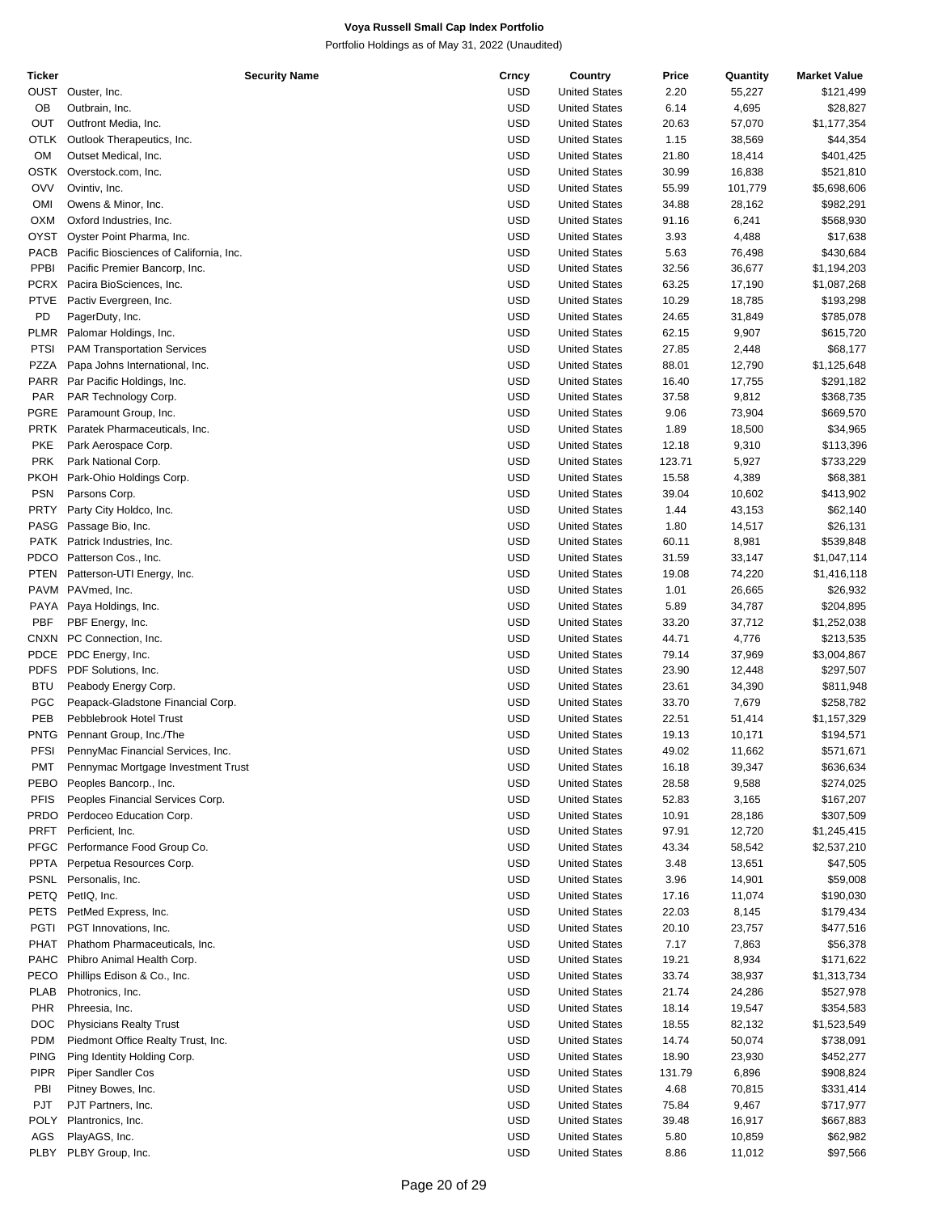| <b>Ticker</b> | <b>Security Name</b>                    | Crncy      | Country              | Price  | Quantity | <b>Market Value</b> |
|---------------|-----------------------------------------|------------|----------------------|--------|----------|---------------------|
|               | OUST Ouster, Inc.                       | USD        | <b>United States</b> | 2.20   | 55,227   | \$121,499           |
| OB            | Outbrain, Inc.                          | USD        | <b>United States</b> | 6.14   | 4,695    | \$28,827            |
| <b>OUT</b>    | Outfront Media, Inc.                    | <b>USD</b> | <b>United States</b> | 20.63  | 57,070   | \$1,177,354         |
| OTLK          | Outlook Therapeutics, Inc.              | <b>USD</b> | <b>United States</b> | 1.15   | 38,569   | \$44,354            |
| OM            | Outset Medical, Inc.                    | USD        | <b>United States</b> | 21.80  | 18,414   | \$401,425           |
| <b>OSTK</b>   | Overstock.com, Inc.                     | <b>USD</b> | <b>United States</b> | 30.99  | 16,838   |                     |
|               |                                         |            |                      |        |          | \$521,810           |
| <b>OVV</b>    | Ovintiv, Inc.                           | <b>USD</b> | <b>United States</b> | 55.99  | 101,779  | \$5,698,606         |
| OMI           | Owens & Minor, Inc.                     | <b>USD</b> | <b>United States</b> | 34.88  | 28,162   | \$982,291           |
| <b>OXM</b>    | Oxford Industries, Inc.                 | USD        | <b>United States</b> | 91.16  | 6,241    | \$568,930           |
| <b>OYST</b>   | Oyster Point Pharma, Inc.               | USD        | <b>United States</b> | 3.93   | 4,488    | \$17,638            |
| PACB          | Pacific Biosciences of California, Inc. | USD        | <b>United States</b> | 5.63   | 76,498   | \$430,684           |
| PPBI          | Pacific Premier Bancorp, Inc.           | <b>USD</b> | <b>United States</b> | 32.56  | 36,677   | \$1,194,203         |
| <b>PCRX</b>   | Pacira BioSciences, Inc.                | USD        | <b>United States</b> | 63.25  | 17,190   | \$1,087,268         |
| <b>PTVE</b>   | Pactiv Evergreen, Inc.                  | USD        | <b>United States</b> | 10.29  | 18,785   | \$193,298           |
| PD            | PagerDuty, Inc.                         | <b>USD</b> | <b>United States</b> | 24.65  | 31,849   | \$785,078           |
| <b>PLMR</b>   | Palomar Holdings, Inc.                  | <b>USD</b> | <b>United States</b> | 62.15  | 9,907    | \$615,720           |
| <b>PTSI</b>   | <b>PAM Transportation Services</b>      | USD        | <b>United States</b> | 27.85  | 2,448    | \$68,177            |
|               |                                         |            |                      |        |          |                     |
| <b>PZZA</b>   | Papa Johns International, Inc.          | USD        | <b>United States</b> | 88.01  | 12,790   | \$1,125,648         |
| PARR          | Par Pacific Holdings, Inc.              | USD        | <b>United States</b> | 16.40  | 17,755   | \$291,182           |
| <b>PAR</b>    | PAR Technology Corp.                    | <b>USD</b> | <b>United States</b> | 37.58  | 9,812    | \$368,735           |
| PGRE          | Paramount Group, Inc.                   | USD        | <b>United States</b> | 9.06   | 73,904   | \$669,570           |
| <b>PRTK</b>   | Paratek Pharmaceuticals, Inc.           | USD        | <b>United States</b> | 1.89   | 18,500   | \$34,965            |
| <b>PKE</b>    | Park Aerospace Corp.                    | <b>USD</b> | <b>United States</b> | 12.18  | 9,310    | \$113,396           |
| <b>PRK</b>    | Park National Corp.                     | <b>USD</b> | <b>United States</b> | 123.71 | 5,927    | \$733,229           |
| <b>PKOH</b>   | Park-Ohio Holdings Corp.                | USD        | <b>United States</b> | 15.58  | 4,389    | \$68,381            |
| <b>PSN</b>    | Parsons Corp.                           | USD        | <b>United States</b> | 39.04  | 10,602   | \$413,902           |
| <b>PRTY</b>   | Party City Holdco, Inc.                 | USD        | <b>United States</b> | 1.44   | 43,153   | \$62,140            |
| PASG          | Passage Bio, Inc.                       | <b>USD</b> | <b>United States</b> | 1.80   | 14,517   | \$26,131            |
|               |                                         |            |                      |        |          |                     |
| PATK          | Patrick Industries, Inc.                | USD        | <b>United States</b> | 60.11  | 8,981    | \$539,848           |
| <b>PDCO</b>   | Patterson Cos., Inc.                    | USD        | <b>United States</b> | 31.59  | 33,147   | \$1,047,114         |
| <b>PTEN</b>   | Patterson-UTI Energy, Inc.              | <b>USD</b> | <b>United States</b> | 19.08  | 74,220   | \$1,416,118         |
| <b>PAVM</b>   | PAVmed, Inc.                            | <b>USD</b> | <b>United States</b> | 1.01   | 26,665   | \$26,932            |
| PAYA          | Paya Holdings, Inc.                     | USD        | <b>United States</b> | 5.89   | 34,787   | \$204,895           |
| <b>PBF</b>    | PBF Energy, Inc.                        | USD        | <b>United States</b> | 33.20  | 37,712   | \$1,252,038         |
| <b>CNXN</b>   | PC Connection, Inc.                     | USD        | <b>United States</b> | 44.71  | 4,776    | \$213,535           |
| <b>PDCE</b>   | PDC Energy, Inc.                        | <b>USD</b> | <b>United States</b> | 79.14  | 37,969   | \$3,004,867         |
| <b>PDFS</b>   | PDF Solutions, Inc.                     | USD        | <b>United States</b> | 23.90  | 12,448   | \$297,507           |
| <b>BTU</b>    | Peabody Energy Corp.                    | USD        | <b>United States</b> | 23.61  | 34,390   | \$811,948           |
| PGC           | Peapack-Gladstone Financial Corp.       | USD        | <b>United States</b> | 33.70  | 7,679    | \$258,782           |
| PEB           | Pebblebrook Hotel Trust                 | USD        | <b>United States</b> | 22.51  | 51,414   | \$1,157,329         |
| <b>PNTG</b>   | Pennant Group, Inc./The                 | USD        | <b>United States</b> | 19.13  | 10,171   | \$194,571           |
|               |                                         |            |                      |        |          |                     |
| <b>PFSI</b>   | PennyMac Financial Services, Inc.       | <b>USD</b> | <b>United States</b> | 49.02  | 11,662   | \$571,671           |
| <b>PMT</b>    | Pennymac Mortgage Investment Trust      | USD        | <b>United States</b> | 16.18  | 39,347   | \$636,634           |
| PEBO          | Peoples Bancorp., Inc.                  | <b>USD</b> | <b>United States</b> | 28.58  | 9,588    | \$274,025           |
| <b>PFIS</b>   | Peoples Financial Services Corp.        | USD        | <b>United States</b> | 52.83  | 3,165    | \$167,207           |
| <b>PRDO</b>   | Perdoceo Education Corp.                | <b>USD</b> | <b>United States</b> | 10.91  | 28,186   | \$307,509           |
| PRFT          | Perficient, Inc.                        | USD        | <b>United States</b> | 97.91  | 12,720   | \$1,245,415         |
| <b>PFGC</b>   | Performance Food Group Co.              | USD        | <b>United States</b> | 43.34  | 58,542   | \$2,537,210         |
| <b>PPTA</b>   | Perpetua Resources Corp.                | USD        | <b>United States</b> | 3.48   | 13,651   | \$47,505            |
| <b>PSNL</b>   | Personalis, Inc.                        | <b>USD</b> | <b>United States</b> | 3.96   | 14,901   | \$59,008            |
| PETQ          | PetIQ, Inc.                             | USD        | <b>United States</b> | 17.16  | 11,074   | \$190,030           |
| <b>PETS</b>   | PetMed Express, Inc.                    | <b>USD</b> | <b>United States</b> | 22.03  | 8,145    | \$179,434           |
| <b>PGTI</b>   | PGT Innovations, Inc.                   | USD        | <b>United States</b> | 20.10  | 23,757   | \$477,516           |
|               |                                         |            |                      |        |          |                     |
| PHAT          | Phathom Pharmaceuticals, Inc.           | USD        | <b>United States</b> | 7.17   | 7,863    | \$56,378            |
| <b>PAHC</b>   | Phibro Animal Health Corp.              | USD        | <b>United States</b> | 19.21  | 8,934    | \$171,622           |
| PECO          | Phillips Edison & Co., Inc.             | USD        | <b>United States</b> | 33.74  | 38,937   | \$1,313,734         |
| <b>PLAB</b>   | Photronics, Inc.                        | USD        | <b>United States</b> | 21.74  | 24,286   | \$527,978           |
| <b>PHR</b>    | Phreesia, Inc.                          | <b>USD</b> | <b>United States</b> | 18.14  | 19,547   | \$354,583           |
| DOC           | <b>Physicians Realty Trust</b>          | USD        | <b>United States</b> | 18.55  | 82,132   | \$1,523,549         |
| <b>PDM</b>    | Piedmont Office Realty Trust, Inc.      | <b>USD</b> | <b>United States</b> | 14.74  | 50,074   | \$738,091           |
| <b>PING</b>   | Ping Identity Holding Corp.             | <b>USD</b> | <b>United States</b> | 18.90  | 23,930   | \$452,277           |
| <b>PIPR</b>   | Piper Sandler Cos                       | <b>USD</b> | <b>United States</b> | 131.79 | 6,896    | \$908,824           |
| PBI           | Pitney Bowes, Inc.                      | USD        | <b>United States</b> | 4.68   | 70,815   | \$331,414           |
| <b>PJT</b>    | PJT Partners, Inc.                      | USD        | <b>United States</b> | 75.84  | 9,467    | \$717,977           |
| POLY          | Plantronics, Inc.                       | USD        | <b>United States</b> | 39.48  | 16,917   | \$667,883           |
| AGS           | PlayAGS, Inc.                           | <b>USD</b> | <b>United States</b> |        |          |                     |
|               |                                         |            |                      | 5.80   | 10,859   | \$62,982            |
| PLBY          | PLBY Group, Inc.                        | <b>USD</b> | <b>United States</b> | 8.86   | 11,012   | \$97,566            |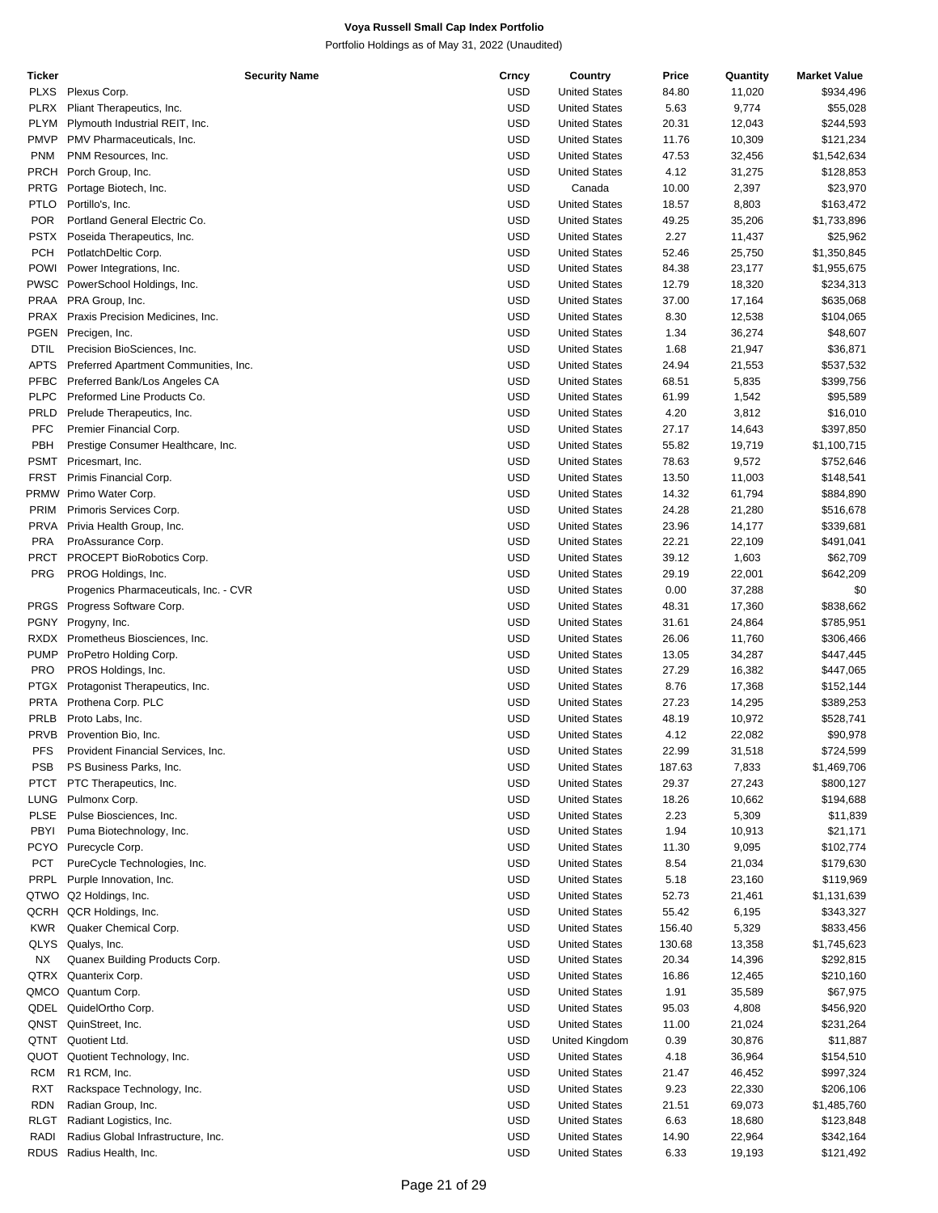| <b>Ticker</b> | <b>Security Name</b>                  | Crncy      | Country              | Price  | Quantity | <b>Market Value</b> |
|---------------|---------------------------------------|------------|----------------------|--------|----------|---------------------|
| <b>PLXS</b>   | Plexus Corp.                          | USD        | <b>United States</b> | 84.80  | 11,020   | \$934,496           |
| <b>PLRX</b>   | Pliant Therapeutics, Inc.             | <b>USD</b> | <b>United States</b> | 5.63   | 9,774    | \$55,028            |
| <b>PLYM</b>   | Plymouth Industrial REIT, Inc.        | <b>USD</b> | <b>United States</b> | 20.31  | 12,043   | \$244,593           |
| <b>PMVP</b>   | PMV Pharmaceuticals, Inc.             | <b>USD</b> | <b>United States</b> | 11.76  | 10,309   | \$121,234           |
| <b>PNM</b>    | PNM Resources, Inc.                   | <b>USD</b> | <b>United States</b> | 47.53  | 32,456   | \$1,542,634         |
| PRCH          | Porch Group, Inc.                     | <b>USD</b> | <b>United States</b> | 4.12   | 31,275   | \$128,853           |
| <b>PRTG</b>   | Portage Biotech, Inc.                 | <b>USD</b> | Canada               | 10.00  | 2,397    | \$23,970            |
| <b>PTLO</b>   | Portillo's, Inc.                      | <b>USD</b> | <b>United States</b> | 18.57  | 8,803    | \$163,472           |
| <b>POR</b>    | Portland General Electric Co.         | <b>USD</b> | <b>United States</b> | 49.25  | 35,206   | \$1,733,896         |
| PSTX          | Poseida Therapeutics, Inc.            | <b>USD</b> | <b>United States</b> | 2.27   |          |                     |
|               |                                       |            |                      |        | 11,437   | \$25,962            |
| <b>PCH</b>    | PotlatchDeltic Corp.                  | <b>USD</b> | <b>United States</b> | 52.46  | 25,750   | \$1,350,845         |
| <b>POWI</b>   | Power Integrations, Inc.              | <b>USD</b> | <b>United States</b> | 84.38  | 23,177   | \$1,955,675         |
| PWSC          | PowerSchool Holdings, Inc.            | <b>USD</b> | <b>United States</b> | 12.79  | 18,320   | \$234,313           |
| PRAA          | PRA Group, Inc.                       | <b>USD</b> | <b>United States</b> | 37.00  | 17,164   | \$635,068           |
| PRAX          | Praxis Precision Medicines, Inc.      | <b>USD</b> | <b>United States</b> | 8.30   | 12,538   | \$104,065           |
| PGEN          | Precigen, Inc.                        | <b>USD</b> | <b>United States</b> | 1.34   | 36,274   | \$48,607            |
| <b>DTIL</b>   | Precision BioSciences, Inc.           | <b>USD</b> | <b>United States</b> | 1.68   | 21,947   | \$36,871            |
| <b>APTS</b>   | Preferred Apartment Communities, Inc. | <b>USD</b> | <b>United States</b> | 24.94  | 21,553   | \$537,532           |
| <b>PFBC</b>   | Preferred Bank/Los Angeles CA         | <b>USD</b> | <b>United States</b> | 68.51  | 5,835    | \$399,756           |
| <b>PLPC</b>   | Preformed Line Products Co.           | <b>USD</b> | <b>United States</b> | 61.99  | 1,542    | \$95,589            |
| PRLD          | Prelude Therapeutics, Inc.            | <b>USD</b> | <b>United States</b> | 4.20   | 3,812    | \$16,010            |
| <b>PFC</b>    | Premier Financial Corp.               | <b>USD</b> | <b>United States</b> | 27.17  | 14,643   | \$397,850           |
| PBH           | Prestige Consumer Healthcare, Inc.    | <b>USD</b> | <b>United States</b> | 55.82  | 19,719   | \$1,100,715         |
| PSMT          | Pricesmart, Inc.                      | <b>USD</b> | <b>United States</b> | 78.63  | 9,572    | \$752,646           |
| <b>FRST</b>   | Primis Financial Corp.                | <b>USD</b> | <b>United States</b> | 13.50  | 11,003   | \$148,541           |
|               | PRMW Primo Water Corp.                | <b>USD</b> | <b>United States</b> | 14.32  |          |                     |
|               |                                       |            |                      |        | 61,794   | \$884,890           |
| <b>PRIM</b>   | Primoris Services Corp.               | <b>USD</b> | <b>United States</b> | 24.28  | 21,280   | \$516,678           |
| <b>PRVA</b>   | Privia Health Group, Inc.             | <b>USD</b> | <b>United States</b> | 23.96  | 14,177   | \$339,681           |
| <b>PRA</b>    | ProAssurance Corp.                    | <b>USD</b> | <b>United States</b> | 22.21  | 22,109   | \$491,041           |
| PRCT          | PROCEPT BioRobotics Corp.             | <b>USD</b> | <b>United States</b> | 39.12  | 1,603    | \$62,709            |
| PRG           | PROG Holdings, Inc.                   | <b>USD</b> | <b>United States</b> | 29.19  | 22,001   | \$642,209           |
|               | Progenics Pharmaceuticals, Inc. - CVR | <b>USD</b> | <b>United States</b> | 0.00   | 37,288   | \$0                 |
| <b>PRGS</b>   | Progress Software Corp.               | <b>USD</b> | <b>United States</b> | 48.31  | 17,360   | \$838,662           |
|               | PGNY Progyny, Inc.                    | <b>USD</b> | <b>United States</b> | 31.61  | 24,864   | \$785,951           |
| RXDX          | Prometheus Biosciences, Inc.          | <b>USD</b> | <b>United States</b> | 26.06  | 11,760   | \$306,466           |
| <b>PUMP</b>   | ProPetro Holding Corp.                | <b>USD</b> | <b>United States</b> | 13.05  | 34,287   | \$447,445           |
| <b>PRO</b>    | PROS Holdings, Inc.                   | <b>USD</b> | <b>United States</b> | 27.29  | 16,382   | \$447,065           |
|               | PTGX Protagonist Therapeutics, Inc.   | <b>USD</b> | <b>United States</b> | 8.76   | 17,368   | \$152,144           |
| <b>PRTA</b>   | Prothena Corp. PLC                    | USD        | <b>United States</b> | 27.23  | 14,295   | \$389,253           |
| PRLB          | Proto Labs, Inc.                      | <b>USD</b> | <b>United States</b> | 48.19  | 10,972   | \$528,741           |
| <b>PRVB</b>   | Provention Bio, Inc.                  | USD        | <b>United States</b> | 4.12   | 22,082   | \$90,978            |
| <b>PFS</b>    | Provident Financial Services, Inc.    | <b>USD</b> | <b>United States</b> | 22.99  | 31,518   | \$724,599           |
| <b>PSB</b>    | PS Business Parks, Inc.               | USD        | <b>United States</b> |        |          |                     |
|               |                                       |            |                      | 187.63 | 7,833    | \$1,469,706         |
| <b>PTCT</b>   | PTC Therapeutics, Inc.                | <b>USD</b> | <b>United States</b> | 29.37  | 27,243   | \$800,127           |
| LUNG          | Pulmonx Corp.                         | <b>USD</b> | <b>United States</b> | 18.26  | 10,662   | \$194,688           |
| <b>PLSE</b>   | Pulse Biosciences, Inc.               | <b>USD</b> | <b>United States</b> | 2.23   | 5,309    | \$11,839            |
| PBYI          | Puma Biotechnology, Inc.              | <b>USD</b> | <b>United States</b> | 1.94   | 10,913   | \$21,171            |
| PCYO          | Purecycle Corp.                       | <b>USD</b> | <b>United States</b> | 11.30  | 9,095    | \$102,774           |
| <b>PCT</b>    | PureCycle Technologies, Inc.          | USD        | <b>United States</b> | 8.54   | 21,034   | \$179,630           |
| <b>PRPL</b>   | Purple Innovation, Inc.               | <b>USD</b> | <b>United States</b> | 5.18   | 23,160   | \$119,969           |
|               | QTWO Q2 Holdings, Inc.                | <b>USD</b> | <b>United States</b> | 52.73  | 21,461   | \$1,131,639         |
| QCRH          | QCR Holdings, Inc.                    | <b>USD</b> | <b>United States</b> | 55.42  | 6,195    | \$343,327           |
| <b>KWR</b>    | Quaker Chemical Corp.                 | <b>USD</b> | <b>United States</b> | 156.40 | 5,329    | \$833,456           |
| <b>QLYS</b>   | Qualys, Inc.                          | <b>USD</b> | <b>United States</b> | 130.68 | 13,358   | \$1,745,623         |
| <b>NX</b>     | Quanex Building Products Corp.        | <b>USD</b> | <b>United States</b> | 20.34  | 14,396   | \$292,815           |
| QTRX          | Quanterix Corp.                       | <b>USD</b> | <b>United States</b> | 16.86  | 12,465   | \$210,160           |
|               | QMCO Quantum Corp.                    | <b>USD</b> | <b>United States</b> | 1.91   | 35,589   | \$67,975            |
|               |                                       | <b>USD</b> |                      |        |          |                     |
| QDEL          | QuidelOrtho Corp.                     |            | <b>United States</b> | 95.03  | 4,808    | \$456,920           |
|               | QNST QuinStreet, Inc.                 | <b>USD</b> | <b>United States</b> | 11.00  | 21,024   | \$231,264           |
|               | QTNT Quotient Ltd.                    | <b>USD</b> | United Kingdom       | 0.39   | 30,876   | \$11,887            |
| QUOT          | Quotient Technology, Inc.             | <b>USD</b> | <b>United States</b> | 4.18   | 36,964   | \$154,510           |
| RCM           | R1 RCM, Inc.                          | <b>USD</b> | <b>United States</b> | 21.47  | 46,452   | \$997,324           |
| RXT           | Rackspace Technology, Inc.            | <b>USD</b> | <b>United States</b> | 9.23   | 22,330   | \$206,106           |
| <b>RDN</b>    | Radian Group, Inc.                    | <b>USD</b> | <b>United States</b> | 21.51  | 69,073   | \$1,485,760         |
| <b>RLGT</b>   | Radiant Logistics, Inc.               | <b>USD</b> | <b>United States</b> | 6.63   | 18,680   | \$123,848           |
| RADI          | Radius Global Infrastructure, Inc.    | <b>USD</b> | <b>United States</b> | 14.90  | 22,964   | \$342,164           |
| <b>RDUS</b>   | Radius Health, Inc.                   | USD        | <b>United States</b> | 6.33   | 19,193   | \$121,492           |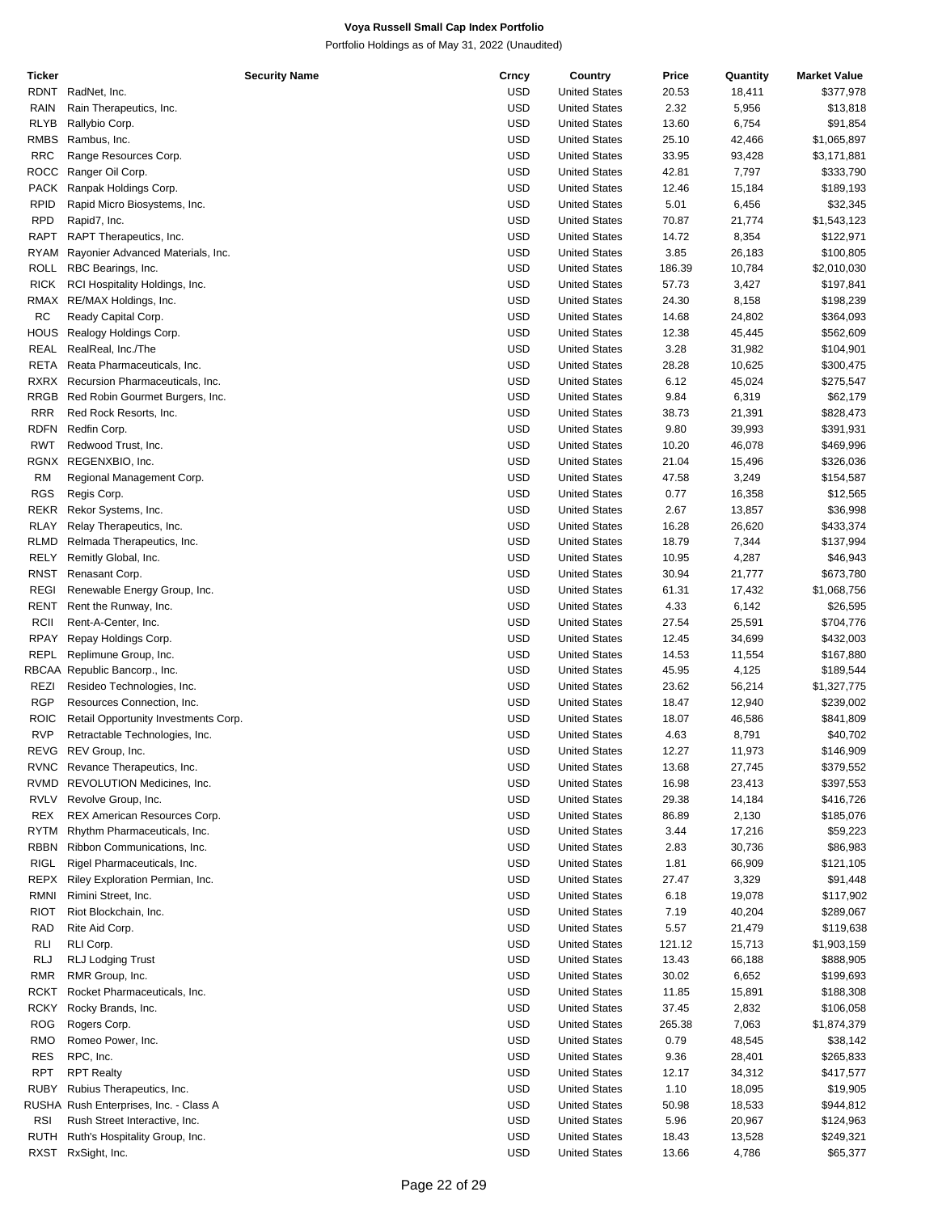| Ticker      | <b>Security Name</b>                   | Crncy      | Country              | Price  | Quantity | <b>Market Value</b> |
|-------------|----------------------------------------|------------|----------------------|--------|----------|---------------------|
| RDNT        | RadNet, Inc.                           | USD        | <b>United States</b> | 20.53  | 18,411   | \$377,978           |
| RAIN        | Rain Therapeutics, Inc.                | <b>USD</b> | <b>United States</b> | 2.32   | 5,956    | \$13,818            |
| RLYB        | Rallybio Corp.                         | <b>USD</b> | <b>United States</b> | 13.60  | 6,754    | \$91,854            |
|             |                                        | <b>USD</b> |                      |        |          |                     |
| RMBS        | Rambus, Inc.                           |            | <b>United States</b> | 25.10  | 42,466   | \$1,065,897         |
| <b>RRC</b>  | Range Resources Corp.                  | <b>USD</b> | <b>United States</b> | 33.95  | 93,428   | \$3,171,881         |
| <b>ROCC</b> | Ranger Oil Corp.                       | <b>USD</b> | <b>United States</b> | 42.81  | 7,797    | \$333,790           |
|             | PACK Ranpak Holdings Corp.             | <b>USD</b> | <b>United States</b> | 12.46  | 15,184   | \$189,193           |
| <b>RPID</b> | Rapid Micro Biosystems, Inc.           | <b>USD</b> | <b>United States</b> | 5.01   | 6,456    | \$32,345            |
| <b>RPD</b>  | Rapid7, Inc.                           | <b>USD</b> | <b>United States</b> | 70.87  | 21,774   | \$1,543,123         |
| RAPT        | RAPT Therapeutics, Inc.                | <b>USD</b> | <b>United States</b> | 14.72  | 8,354    | \$122,971           |
| RYAM        | Rayonier Advanced Materials, Inc.      | <b>USD</b> | <b>United States</b> | 3.85   | 26,183   | \$100,805           |
|             | ROLL RBC Bearings, Inc.                | <b>USD</b> | <b>United States</b> | 186.39 | 10,784   | \$2,010,030         |
|             |                                        |            |                      |        |          |                     |
| <b>RICK</b> | RCI Hospitality Holdings, Inc.         | <b>USD</b> | <b>United States</b> | 57.73  | 3,427    | \$197,841           |
|             | RMAX RE/MAX Holdings, Inc.             | <b>USD</b> | <b>United States</b> | 24.30  | 8,158    | \$198,239           |
| RC          | Ready Capital Corp.                    | <b>USD</b> | <b>United States</b> | 14.68  | 24,802   | \$364,093           |
| HOUS        | Realogy Holdings Corp.                 | <b>USD</b> | <b>United States</b> | 12.38  | 45,445   | \$562,609           |
| REAL        | RealReal, Inc./The                     | <b>USD</b> | <b>United States</b> | 3.28   | 31,982   | \$104,901           |
| RETA        | Reata Pharmaceuticals, Inc.            | <b>USD</b> | <b>United States</b> | 28.28  | 10,625   | \$300,475           |
|             | RXRX Recursion Pharmaceuticals, Inc.   | <b>USD</b> | <b>United States</b> | 6.12   | 45,024   | \$275,547           |
| RRGB        | Red Robin Gourmet Burgers, Inc.        | <b>USD</b> | <b>United States</b> | 9.84   | 6,319    | \$62,179            |
| <b>RRR</b>  | Red Rock Resorts, Inc.                 | <b>USD</b> | <b>United States</b> | 38.73  |          | \$828,473           |
|             |                                        |            |                      |        | 21,391   |                     |
| <b>RDFN</b> | Redfin Corp.                           | <b>USD</b> | <b>United States</b> | 9.80   | 39,993   | \$391,931           |
| <b>RWT</b>  | Redwood Trust, Inc.                    | <b>USD</b> | <b>United States</b> | 10.20  | 46,078   | \$469,996           |
| RGNX        | REGENXBIO, Inc.                        | <b>USD</b> | <b>United States</b> | 21.04  | 15,496   | \$326,036           |
| RM          | Regional Management Corp.              | <b>USD</b> | <b>United States</b> | 47.58  | 3,249    | \$154,587           |
| <b>RGS</b>  | Regis Corp.                            | <b>USD</b> | <b>United States</b> | 0.77   | 16,358   | \$12,565            |
| REKR        | Rekor Systems, Inc.                    | <b>USD</b> | <b>United States</b> | 2.67   | 13,857   | \$36,998            |
| RLAY        | Relay Therapeutics, Inc.               | <b>USD</b> | <b>United States</b> | 16.28  | 26,620   | \$433,374           |
| RLMD        | Relmada Therapeutics, Inc.             | <b>USD</b> | <b>United States</b> | 18.79  | 7,344    | \$137,994           |
|             |                                        |            |                      |        |          |                     |
| RELY        | Remitly Global, Inc.                   | <b>USD</b> | <b>United States</b> | 10.95  | 4,287    | \$46,943            |
| RNST        | Renasant Corp.                         | <b>USD</b> | <b>United States</b> | 30.94  | 21,777   | \$673,780           |
| <b>REGI</b> | Renewable Energy Group, Inc.           | <b>USD</b> | <b>United States</b> | 61.31  | 17,432   | \$1,068,756         |
| RENT        | Rent the Runway, Inc.                  | <b>USD</b> | <b>United States</b> | 4.33   | 6,142    | \$26,595            |
| RCII        | Rent-A-Center, Inc.                    | <b>USD</b> | <b>United States</b> | 27.54  | 25,591   | \$704,776           |
| <b>RPAY</b> | Repay Holdings Corp.                   | <b>USD</b> | <b>United States</b> | 12.45  | 34,699   | \$432,003           |
| REPL        | Replimune Group, Inc.                  | <b>USD</b> | <b>United States</b> | 14.53  | 11,554   | \$167,880           |
|             | RBCAA Republic Bancorp., Inc.          | <b>USD</b> | <b>United States</b> | 45.95  | 4,125    | \$189,544           |
| REZI        | Resideo Technologies, Inc.             | <b>USD</b> | <b>United States</b> | 23.62  | 56,214   | \$1,327,775         |
|             |                                        |            |                      |        |          |                     |
| <b>RGP</b>  | Resources Connection, Inc.             | <b>USD</b> | <b>United States</b> | 18.47  | 12,940   | \$239,002           |
| <b>ROIC</b> | Retail Opportunity Investments Corp.   | <b>USD</b> | <b>United States</b> | 18.07  | 46,586   | \$841,809           |
| <b>RVP</b>  | Retractable Technologies, Inc.         | <b>USD</b> | <b>United States</b> | 4.63   | 8,791    | \$40,702            |
|             | REVG REV Group, Inc.                   | <b>USD</b> | <b>United States</b> | 12.27  | 11,973   | \$146,909           |
|             | RVNC Revance Therapeutics, Inc.        | USD        | <b>United States</b> | 13.68  | 27,745   | \$379,552           |
|             | RVMD REVOLUTION Medicines, Inc.        | <b>USD</b> | <b>United States</b> | 16.98  | 23,413   | \$397,553           |
| RVLV        | Revolve Group, Inc.                    | USD        | <b>United States</b> | 29.38  | 14,184   | \$416,726           |
| REX         | <b>REX American Resources Corp.</b>    | <b>USD</b> | <b>United States</b> | 86.89  | 2,130    | \$185,076           |
| RYTM        | Rhythm Pharmaceuticals, Inc.           | USD        | <b>United States</b> | 3.44   | 17,216   | \$59,223            |
| <b>RBBN</b> | Ribbon Communications, Inc.            | USD        | <b>United States</b> | 2.83   | 30,736   | \$86,983            |
|             |                                        |            |                      |        |          |                     |
| RIGL        | Rigel Pharmaceuticals, Inc.            | USD        | <b>United States</b> | 1.81   | 66,909   | \$121,105           |
| REPX        | Riley Exploration Permian, Inc.        | <b>USD</b> | <b>United States</b> | 27.47  | 3,329    | \$91,448            |
| <b>RMNI</b> | Rimini Street, Inc.                    | <b>USD</b> | <b>United States</b> | 6.18   | 19,078   | \$117,902           |
| <b>RIOT</b> | Riot Blockchain, Inc.                  | <b>USD</b> | <b>United States</b> | 7.19   | 40,204   | \$289,067           |
| RAD         | Rite Aid Corp.                         | USD        | <b>United States</b> | 5.57   | 21,479   | \$119,638           |
| RLI         | RLI Corp.                              | <b>USD</b> | <b>United States</b> | 121.12 | 15,713   | \$1,903,159         |
| <b>RLJ</b>  | <b>RLJ Lodging Trust</b>               | USD        | <b>United States</b> | 13.43  | 66,188   | \$888,905           |
| <b>RMR</b>  | RMR Group, Inc.                        | USD        | <b>United States</b> | 30.02  | 6,652    | \$199,693           |
| RCKT        | Rocket Pharmaceuticals, Inc.           | USD        | <b>United States</b> |        |          |                     |
|             |                                        |            |                      | 11.85  | 15,891   | \$188,308           |
| RCKY        | Rocky Brands, Inc.                     | <b>USD</b> | <b>United States</b> | 37.45  | 2,832    | \$106,058           |
| <b>ROG</b>  | Rogers Corp.                           | <b>USD</b> | <b>United States</b> | 265.38 | 7,063    | \$1,874,379         |
| RMO         | Romeo Power, Inc.                      | <b>USD</b> | <b>United States</b> | 0.79   | 48,545   | \$38,142            |
| <b>RES</b>  | RPC, Inc.                              | USD        | <b>United States</b> | 9.36   | 28,401   | \$265,833           |
| RPT         | <b>RPT Realty</b>                      | USD        | <b>United States</b> | 12.17  | 34,312   | \$417,577           |
| <b>RUBY</b> | Rubius Therapeutics, Inc.              | USD        | <b>United States</b> | 1.10   | 18,095   | \$19,905            |
|             | RUSHA Rush Enterprises, Inc. - Class A | <b>USD</b> | <b>United States</b> | 50.98  | 18,533   | \$944,812           |
| <b>RSI</b>  | Rush Street Interactive, Inc.          | USD        | <b>United States</b> | 5.96   | 20,967   | \$124,963           |
| RUTH        | Ruth's Hospitality Group, Inc.         | <b>USD</b> | <b>United States</b> | 18.43  | 13,528   | \$249,321           |
|             |                                        |            |                      |        |          |                     |
| RXST        | RxSight, Inc.                          | <b>USD</b> | <b>United States</b> | 13.66  | 4,786    | \$65,377            |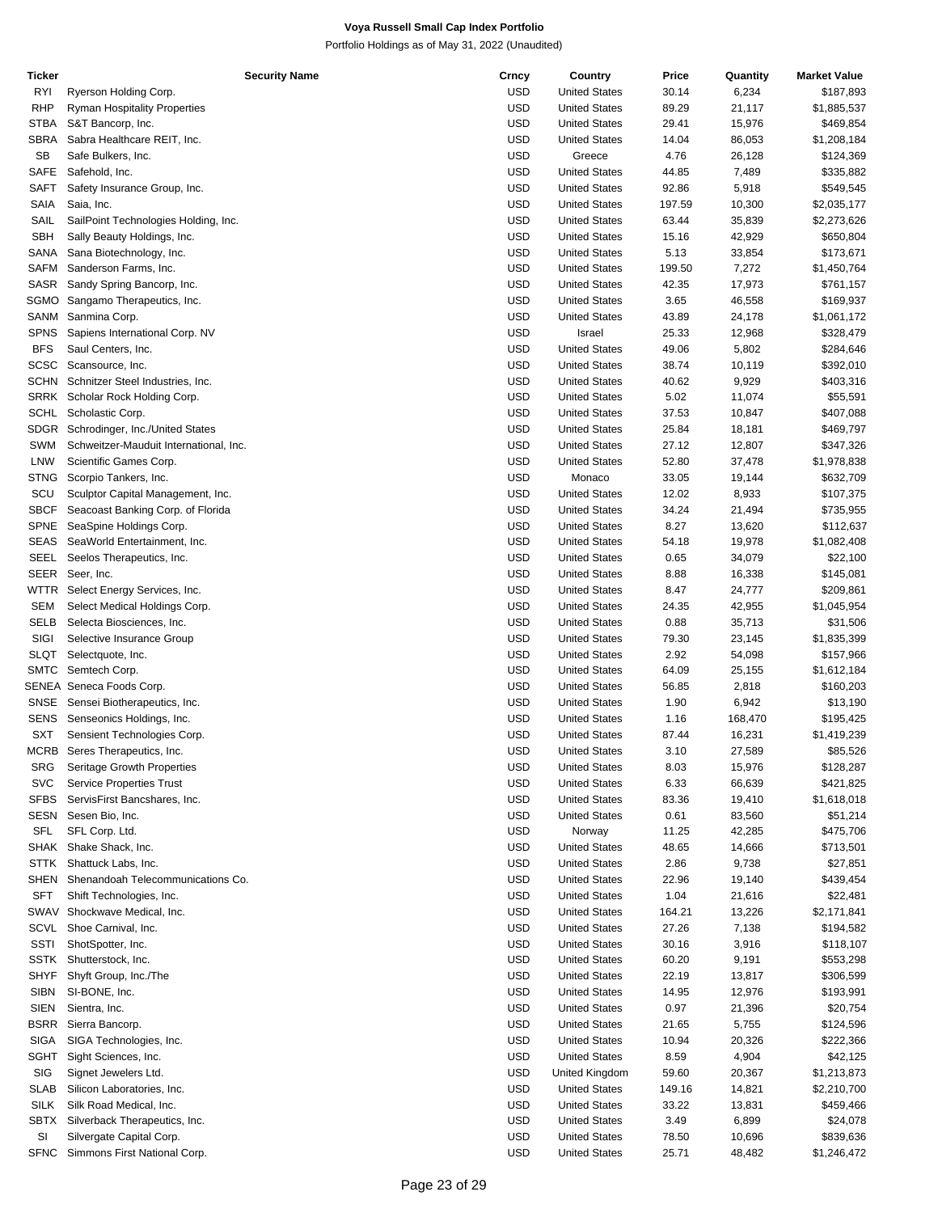| Ticker      | <b>Security Name</b>                   | Crncy      | Country              | Price  | Quantity | <b>Market Value</b> |
|-------------|----------------------------------------|------------|----------------------|--------|----------|---------------------|
| RYI         | Ryerson Holding Corp.                  | <b>USD</b> | <b>United States</b> | 30.14  | 6,234    | \$187,893           |
| <b>RHP</b>  | <b>Ryman Hospitality Properties</b>    | <b>USD</b> | <b>United States</b> | 89.29  | 21,117   | \$1,885,537         |
| <b>STBA</b> | S&T Bancorp, Inc.                      | <b>USD</b> | <b>United States</b> | 29.41  | 15,976   | \$469,854           |
| <b>SBRA</b> | Sabra Healthcare REIT, Inc.            | <b>USD</b> | <b>United States</b> | 14.04  | 86,053   | \$1,208,184         |
|             |                                        |            |                      |        |          |                     |
| <b>SB</b>   | Safe Bulkers, Inc.                     | <b>USD</b> | Greece               | 4.76   | 26,128   | \$124,369           |
| <b>SAFE</b> | Safehold, Inc.                         | <b>USD</b> | <b>United States</b> | 44.85  | 7,489    | \$335,882           |
| <b>SAFT</b> | Safety Insurance Group, Inc.           | <b>USD</b> | <b>United States</b> | 92.86  | 5,918    | \$549,545           |
| SAIA        | Saia, Inc.                             | USD        | <b>United States</b> | 197.59 | 10,300   | \$2,035,177         |
| SAIL        | SailPoint Technologies Holding, Inc.   | <b>USD</b> | <b>United States</b> | 63.44  | 35,839   | \$2,273,626         |
| <b>SBH</b>  | Sally Beauty Holdings, Inc.            | <b>USD</b> | <b>United States</b> | 15.16  | 42,929   | \$650,804           |
| SANA        | Sana Biotechnology, Inc.               | <b>USD</b> | <b>United States</b> | 5.13   | 33,854   | \$173,671           |
|             |                                        |            |                      |        |          |                     |
| SAFM        | Sanderson Farms, Inc.                  | <b>USD</b> | <b>United States</b> | 199.50 | 7,272    | \$1,450,764         |
| <b>SASR</b> | Sandy Spring Bancorp, Inc.             | <b>USD</b> | <b>United States</b> | 42.35  | 17,973   | \$761,157           |
| SGMO        | Sangamo Therapeutics, Inc.             | <b>USD</b> | <b>United States</b> | 3.65   | 46,558   | \$169,937           |
| SANM        | Sanmina Corp.                          | <b>USD</b> | <b>United States</b> | 43.89  | 24,178   | \$1,061,172         |
| <b>SPNS</b> | Sapiens International Corp. NV         | USD        | Israel               | 25.33  | 12,968   | \$328,479           |
| <b>BFS</b>  | Saul Centers, Inc.                     | <b>USD</b> | <b>United States</b> | 49.06  | 5,802    | \$284,646           |
| <b>SCSC</b> | Scansource, Inc.                       | USD        | <b>United States</b> | 38.74  |          |                     |
|             |                                        |            |                      |        | 10,119   | \$392,010           |
| <b>SCHN</b> | Schnitzer Steel Industries, Inc.       | <b>USD</b> | <b>United States</b> | 40.62  | 9,929    | \$403,316           |
| SRRK        | Scholar Rock Holding Corp.             | <b>USD</b> | <b>United States</b> | 5.02   | 11,074   | \$55,591            |
| <b>SCHL</b> | Scholastic Corp.                       | <b>USD</b> | <b>United States</b> | 37.53  | 10,847   | \$407,088           |
| SDGR        | Schrodinger, Inc./United States        | USD        | <b>United States</b> | 25.84  | 18,181   | \$469,797           |
| SWM         | Schweitzer-Mauduit International, Inc. | <b>USD</b> | <b>United States</b> | 27.12  | 12,807   | \$347,326           |
| LNW         | Scientific Games Corp.                 | USD        | <b>United States</b> | 52.80  | 37,478   | \$1,978,838         |
|             |                                        |            |                      |        |          |                     |
| <b>STNG</b> | Scorpio Tankers, Inc.                  | <b>USD</b> | Monaco               | 33.05  | 19,144   | \$632,709           |
| SCU         | Sculptor Capital Management, Inc.      | USD        | <b>United States</b> | 12.02  | 8,933    | \$107,375           |
| <b>SBCF</b> | Seacoast Banking Corp. of Florida      | <b>USD</b> | <b>United States</b> | 34.24  | 21,494   | \$735,955           |
| SPNE        | SeaSpine Holdings Corp.                | <b>USD</b> | <b>United States</b> | 8.27   | 13,620   | \$112,637           |
| <b>SEAS</b> | SeaWorld Entertainment, Inc.           | <b>USD</b> | <b>United States</b> | 54.18  | 19,978   | \$1,082,408         |
| <b>SEEL</b> | Seelos Therapeutics, Inc.              | USD        | <b>United States</b> | 0.65   | 34,079   | \$22,100            |
| SEER        | Seer, Inc.                             | <b>USD</b> | <b>United States</b> | 8.88   | 16,338   | \$145,081           |
|             |                                        |            |                      |        |          |                     |
| WTTR        | Select Energy Services, Inc.           | <b>USD</b> | <b>United States</b> | 8.47   | 24,777   | \$209,861           |
| <b>SEM</b>  | Select Medical Holdings Corp.          | <b>USD</b> | <b>United States</b> | 24.35  | 42,955   | \$1,045,954         |
| SELB        | Selecta Biosciences, Inc.              | USD        | <b>United States</b> | 0.88   | 35,713   | \$31,506            |
| SIGI        | Selective Insurance Group              | <b>USD</b> | <b>United States</b> | 79.30  | 23,145   | \$1,835,399         |
| <b>SLQT</b> | Selectquote, Inc.                      | <b>USD</b> | <b>United States</b> | 2.92   | 54,098   | \$157,966           |
| <b>SMTC</b> | Semtech Corp.                          | <b>USD</b> | <b>United States</b> | 64.09  | 25,155   | \$1,612,184         |
|             | SENEA Seneca Foods Corp.               | USD        | <b>United States</b> |        |          |                     |
|             |                                        |            |                      | 56.85  | 2,818    | \$160,203           |
| <b>SNSE</b> | Sensei Biotherapeutics, Inc.           | <b>USD</b> | <b>United States</b> | 1.90   | 6,942    | \$13,190            |
| SENS        | Senseonics Holdings, Inc.              | USD        | <b>United States</b> | 1.16   | 168,470  | \$195,425           |
| <b>SXT</b>  | Sensient Technologies Corp.            | USD        | <b>United States</b> | 87.44  | 16,231   | \$1,419,239         |
| MCRB        | Seres Therapeutics, Inc.               | <b>USD</b> | <b>United States</b> | 3.10   | 27,589   | \$85,526            |
| <b>SRG</b>  | Seritage Growth Properties             | <b>USD</b> | <b>United States</b> | 8.03   | 15,976   | \$128,287           |
| <b>SVC</b>  | <b>Service Properties Trust</b>        | USD        | <b>United States</b> | 6.33   | 66,639   | \$421,825           |
| <b>SFBS</b> | ServisFirst Bancshares, Inc.           |            |                      |        |          |                     |
|             |                                        | <b>USD</b> | <b>United States</b> | 83.36  | 19,410   | \$1,618,018         |
| SESN        | Sesen Bio, Inc.                        | <b>USD</b> | <b>United States</b> | 0.61   | 83,560   | \$51,214            |
| SFL         | SFL Corp. Ltd.                         | <b>USD</b> | Norway               | 11.25  | 42,285   | \$475,706           |
| SHAK        | Shake Shack, Inc.                      | USD        | <b>United States</b> | 48.65  | 14,666   | \$713,501           |
| STTK        | Shattuck Labs, Inc.                    | <b>USD</b> | <b>United States</b> | 2.86   | 9,738    | \$27,851            |
| SHEN        | Shenandoah Telecommunications Co.      | USD        | <b>United States</b> | 22.96  | 19,140   | \$439,454           |
| SFT         | Shift Technologies, Inc.               | <b>USD</b> | <b>United States</b> | 1.04   | 21,616   | \$22,481            |
|             |                                        |            |                      |        |          |                     |
| SWAV        | Shockwave Medical, Inc.                | <b>USD</b> | <b>United States</b> | 164.21 | 13,226   | \$2,171,841         |
| SCVL        | Shoe Carnival, Inc.                    | <b>USD</b> | <b>United States</b> | 27.26  | 7,138    | \$194,582           |
| SSTI        | ShotSpotter, Inc.                      | USD        | <b>United States</b> | 30.16  | 3,916    | \$118,107           |
| <b>SSTK</b> | Shutterstock, Inc.                     | <b>USD</b> | <b>United States</b> | 60.20  | 9,191    | \$553,298           |
| <b>SHYF</b> | Shyft Group, Inc./The                  | USD        | <b>United States</b> | 22.19  | 13,817   | \$306,599           |
| <b>SIBN</b> | SI-BONE, Inc.                          | <b>USD</b> | <b>United States</b> | 14.95  | 12,976   | \$193,991           |
|             |                                        |            |                      |        |          |                     |
| SIEN        | Sientra, Inc.                          | <b>USD</b> | <b>United States</b> | 0.97   | 21,396   | \$20,754            |
| <b>BSRR</b> | Sierra Bancorp.                        | <b>USD</b> | <b>United States</b> | 21.65  | 5,755    | \$124,596           |
| <b>SIGA</b> | SIGA Technologies, Inc.                | <b>USD</b> | <b>United States</b> | 10.94  | 20,326   | \$222,366           |
| <b>SGHT</b> | Sight Sciences, Inc.                   | <b>USD</b> | <b>United States</b> | 8.59   | 4,904    | \$42,125            |
| SIG         | Signet Jewelers Ltd.                   | <b>USD</b> | United Kingdom       | 59.60  | 20,367   | \$1,213,873         |
| <b>SLAB</b> | Silicon Laboratories, Inc.             | <b>USD</b> | <b>United States</b> | 149.16 | 14,821   | \$2,210,700         |
| SILK        | Silk Road Medical, Inc.                | <b>USD</b> | <b>United States</b> | 33.22  |          | \$459,466           |
|             |                                        |            |                      |        | 13,831   |                     |
| <b>SBTX</b> | Silverback Therapeutics, Inc.          | <b>USD</b> | <b>United States</b> | 3.49   | 6,899    | \$24,078            |
| SI          | Silvergate Capital Corp.               | <b>USD</b> | <b>United States</b> | 78.50  | 10,696   | \$839,636           |
| <b>SFNC</b> | Simmons First National Corp.           | <b>USD</b> | <b>United States</b> | 25.71  | 48,482   | \$1,246,472         |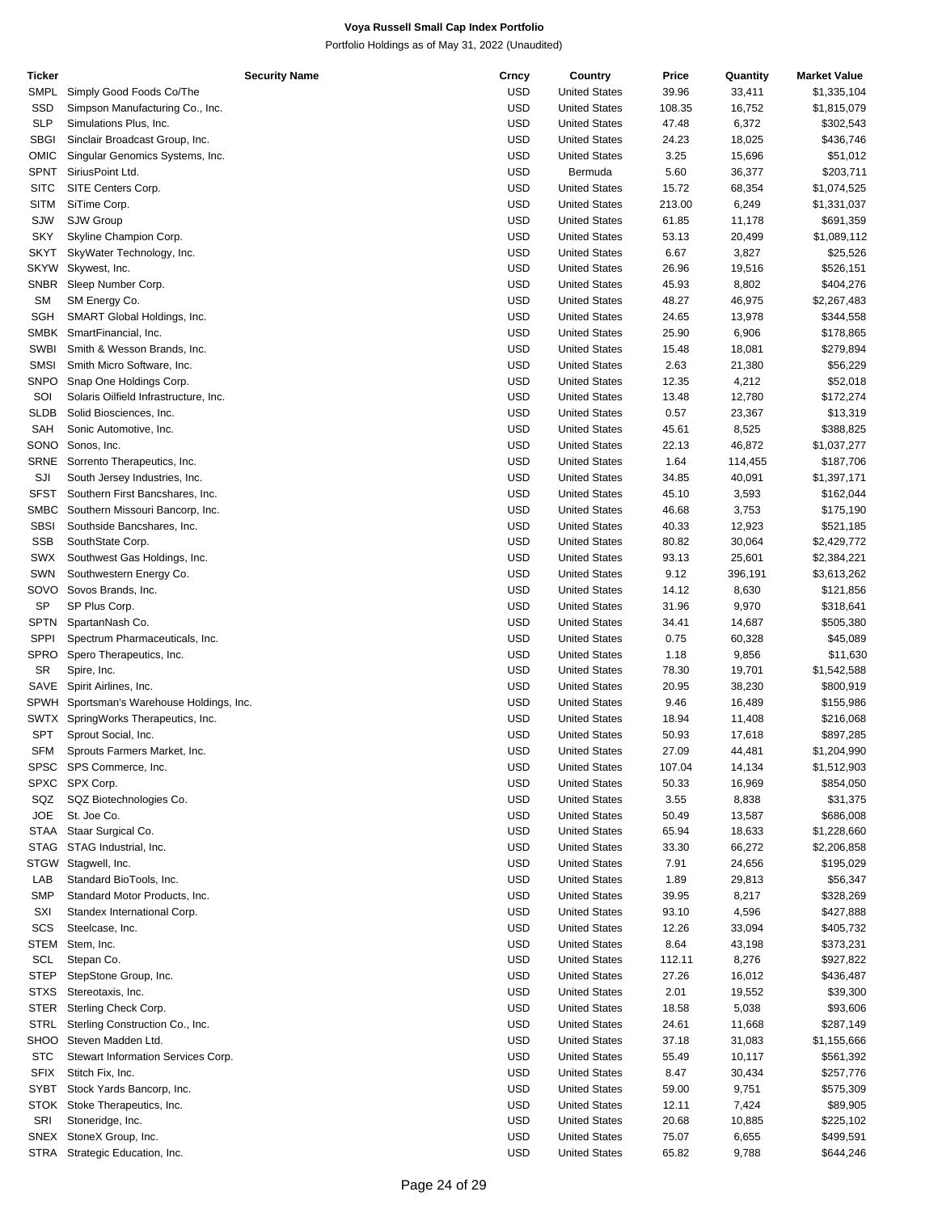| Ticker      | Security Name                             | Crncy      | Country              | Price  | Quantity | <b>Market Value</b> |
|-------------|-------------------------------------------|------------|----------------------|--------|----------|---------------------|
| <b>SMPL</b> | Simply Good Foods Co/The                  | <b>USD</b> | <b>United States</b> | 39.96  | 33,411   | \$1,335,104         |
| SSD         | Simpson Manufacturing Co., Inc.           | <b>USD</b> | <b>United States</b> | 108.35 | 16,752   | \$1,815,079         |
| <b>SLP</b>  | Simulations Plus, Inc.                    | <b>USD</b> | <b>United States</b> | 47.48  | 6,372    | \$302,543           |
| <b>SBGI</b> | Sinclair Broadcast Group, Inc.            | <b>USD</b> | <b>United States</b> | 24.23  | 18,025   | \$436,746           |
|             |                                           |            |                      |        |          |                     |
| <b>OMIC</b> | Singular Genomics Systems, Inc.           | <b>USD</b> | <b>United States</b> | 3.25   | 15,696   | \$51,012            |
| <b>SPNT</b> | SiriusPoint Ltd.                          | <b>USD</b> | Bermuda              | 5.60   | 36,377   | \$203,711           |
| <b>SITC</b> | SITE Centers Corp.                        | <b>USD</b> | <b>United States</b> | 15.72  | 68,354   | \$1,074,525         |
| <b>SITM</b> | SiTime Corp.                              | <b>USD</b> | <b>United States</b> | 213.00 | 6,249    | \$1,331,037         |
| SJW         | SJW Group                                 | <b>USD</b> | <b>United States</b> | 61.85  | 11,178   | \$691,359           |
| <b>SKY</b>  | Skyline Champion Corp.                    | <b>USD</b> | <b>United States</b> | 53.13  | 20,499   | \$1,089,112         |
| <b>SKYT</b> | SkyWater Technology, Inc.                 | <b>USD</b> | <b>United States</b> | 6.67   | 3,827    | \$25,526            |
| <b>SKYW</b> | Skywest, Inc.                             | <b>USD</b> | <b>United States</b> | 26.96  | 19,516   | \$526,151           |
| <b>SNBR</b> |                                           | <b>USD</b> |                      |        |          |                     |
|             | Sleep Number Corp.                        |            | <b>United States</b> | 45.93  | 8,802    | \$404,276           |
| <b>SM</b>   | SM Energy Co.                             | <b>USD</b> | <b>United States</b> | 48.27  | 46,975   | \$2,267,483         |
| <b>SGH</b>  | SMART Global Holdings, Inc.               | <b>USD</b> | <b>United States</b> | 24.65  | 13,978   | \$344,558           |
| <b>SMBK</b> | SmartFinancial, Inc.                      | <b>USD</b> | <b>United States</b> | 25.90  | 6,906    | \$178,865           |
| <b>SWBI</b> | Smith & Wesson Brands, Inc.               | <b>USD</b> | <b>United States</b> | 15.48  | 18,081   | \$279,894           |
| <b>SMSI</b> | Smith Micro Software, Inc.                | <b>USD</b> | <b>United States</b> | 2.63   | 21,380   | \$56,229            |
| <b>SNPO</b> | Snap One Holdings Corp.                   | <b>USD</b> | <b>United States</b> | 12.35  | 4,212    | \$52,018            |
| SOI         | Solaris Oilfield Infrastructure, Inc.     | <b>USD</b> | <b>United States</b> | 13.48  | 12,780   | \$172,274           |
| <b>SLDB</b> | Solid Biosciences, Inc.                   | <b>USD</b> | <b>United States</b> | 0.57   | 23,367   | \$13,319            |
|             |                                           |            |                      |        |          |                     |
| <b>SAH</b>  | Sonic Automotive, Inc.                    | <b>USD</b> | <b>United States</b> | 45.61  | 8,525    | \$388,825           |
| SONO        | Sonos, Inc.                               | <b>USD</b> | <b>United States</b> | 22.13  | 46,872   | \$1,037,277         |
| <b>SRNE</b> | Sorrento Therapeutics, Inc.               | <b>USD</b> | <b>United States</b> | 1.64   | 114,455  | \$187,706           |
| SJI         | South Jersey Industries, Inc.             | <b>USD</b> | <b>United States</b> | 34.85  | 40,091   | \$1,397,171         |
| <b>SFST</b> | Southern First Bancshares, Inc.           | <b>USD</b> | <b>United States</b> | 45.10  | 3,593    | \$162,044           |
| <b>SMBC</b> | Southern Missouri Bancorp, Inc.           | <b>USD</b> | <b>United States</b> | 46.68  | 3,753    | \$175,190           |
| <b>SBSI</b> | Southside Bancshares, Inc.                | <b>USD</b> | <b>United States</b> | 40.33  | 12,923   | \$521,185           |
| <b>SSB</b>  | SouthState Corp.                          | <b>USD</b> | <b>United States</b> | 80.82  | 30,064   | \$2,429,772         |
|             |                                           |            |                      |        |          |                     |
| <b>SWX</b>  | Southwest Gas Holdings, Inc.              | <b>USD</b> | <b>United States</b> | 93.13  | 25,601   | \$2,384,221         |
| SWN         | Southwestern Energy Co.                   | <b>USD</b> | <b>United States</b> | 9.12   | 396,191  | \$3,613,262         |
| SOVO        | Sovos Brands, Inc.                        | <b>USD</b> | <b>United States</b> | 14.12  | 8,630    | \$121,856           |
| <b>SP</b>   | SP Plus Corp.                             | <b>USD</b> | <b>United States</b> | 31.96  | 9,970    | \$318,641           |
| <b>SPTN</b> | SpartanNash Co.                           | <b>USD</b> | <b>United States</b> | 34.41  | 14,687   | \$505,380           |
| <b>SPPI</b> | Spectrum Pharmaceuticals, Inc.            | <b>USD</b> | <b>United States</b> | 0.75   | 60,328   | \$45,089            |
| <b>SPRO</b> | Spero Therapeutics, Inc.                  | <b>USD</b> | <b>United States</b> | 1.18   | 9,856    | \$11,630            |
| <b>SR</b>   | Spire, Inc.                               | <b>USD</b> | <b>United States</b> | 78.30  | 19,701   | \$1,542,588         |
|             |                                           |            |                      |        |          |                     |
| SAVE        | Spirit Airlines, Inc.                     | <b>USD</b> | <b>United States</b> | 20.95  | 38,230   | \$800,919           |
|             | SPWH Sportsman's Warehouse Holdings, Inc. | <b>USD</b> | <b>United States</b> | 9.46   | 16,489   | \$155,986           |
|             | SWTX SpringWorks Therapeutics, Inc.       | <b>USD</b> | <b>United States</b> | 18.94  | 11,408   | \$216,068           |
| <b>SPT</b>  | Sprout Social, Inc.                       | <b>USD</b> | <b>United States</b> | 50.93  | 17,618   | \$897,285           |
| <b>SFM</b>  | Sprouts Farmers Market, Inc.              | <b>USD</b> | <b>United States</b> | 27.09  | 44,481   | \$1,204,990         |
| <b>SPSC</b> | SPS Commerce, Inc.                        | USD        | <b>United States</b> | 107.04 | 14,134   | \$1,512,903         |
| <b>SPXC</b> | SPX Corp.                                 | <b>USD</b> | <b>United States</b> | 50.33  | 16,969   | \$854,050           |
| SQZ         | SQZ Biotechnologies Co.                   | USD        | <b>United States</b> | 3.55   | 8,838    | \$31,375            |
| <b>JOE</b>  | St. Joe Co.                               | <b>USD</b> |                      |        |          |                     |
|             |                                           |            | <b>United States</b> | 50.49  | 13,587   | \$686,008           |
| <b>STAA</b> | Staar Surgical Co.                        | <b>USD</b> | <b>United States</b> | 65.94  | 18,633   | \$1,228,660         |
| <b>STAG</b> | STAG Industrial, Inc.                     | <b>USD</b> | <b>United States</b> | 33.30  | 66,272   | \$2,206,858         |
| <b>STGW</b> | Stagwell, Inc.                            | <b>USD</b> | <b>United States</b> | 7.91   | 24,656   | \$195,029           |
| LAB         | Standard BioTools, Inc.                   | <b>USD</b> | <b>United States</b> | 1.89   | 29,813   | \$56,347            |
| <b>SMP</b>  | Standard Motor Products, Inc.             | <b>USD</b> | <b>United States</b> | 39.95  | 8,217    | \$328,269           |
| SXI         | Standex International Corp.               | <b>USD</b> | <b>United States</b> | 93.10  | 4,596    | \$427,888           |
| SCS         | Steelcase, Inc.                           | USD        | <b>United States</b> | 12.26  | 33,094   | \$405,732           |
| <b>STEM</b> | Stem, Inc.                                | <b>USD</b> | <b>United States</b> | 8.64   | 43,198   | \$373,231           |
|             |                                           |            |                      |        |          |                     |
| SCL         | Stepan Co.                                | <b>USD</b> | <b>United States</b> | 112.11 | 8,276    | \$927,822           |
| <b>STEP</b> | StepStone Group, Inc.                     | <b>USD</b> | <b>United States</b> | 27.26  | 16,012   | \$436,487           |
| <b>STXS</b> | Stereotaxis, Inc.                         | <b>USD</b> | <b>United States</b> | 2.01   | 19,552   | \$39,300            |
| <b>STER</b> | Sterling Check Corp.                      | <b>USD</b> | <b>United States</b> | 18.58  | 5,038    | \$93,606            |
| <b>STRL</b> | Sterling Construction Co., Inc.           | <b>USD</b> | <b>United States</b> | 24.61  | 11,668   | \$287,149           |
| SHOO        | Steven Madden Ltd.                        | <b>USD</b> | <b>United States</b> | 37.18  | 31,083   | \$1,155,666         |
| <b>STC</b>  | Stewart Information Services Corp.        | USD        | <b>United States</b> | 55.49  | 10,117   | \$561,392           |
| <b>SFIX</b> | Stitch Fix, Inc.                          | <b>USD</b> | <b>United States</b> | 8.47   | 30,434   | \$257,776           |
|             |                                           |            |                      |        |          |                     |
| <b>SYBT</b> | Stock Yards Bancorp, Inc.                 | <b>USD</b> | <b>United States</b> | 59.00  | 9,751    | \$575,309           |
| <b>STOK</b> | Stoke Therapeutics, Inc.                  | <b>USD</b> | <b>United States</b> | 12.11  | 7,424    | \$89,905            |
| SRI         | Stoneridge, Inc.                          | <b>USD</b> | <b>United States</b> | 20.68  | 10,885   | \$225,102           |
| <b>SNEX</b> | StoneX Group, Inc.                        | <b>USD</b> | <b>United States</b> | 75.07  | 6,655    | \$499,591           |
| STRA        | Strategic Education, Inc.                 | <b>USD</b> | <b>United States</b> | 65.82  | 9,788    | \$644,246           |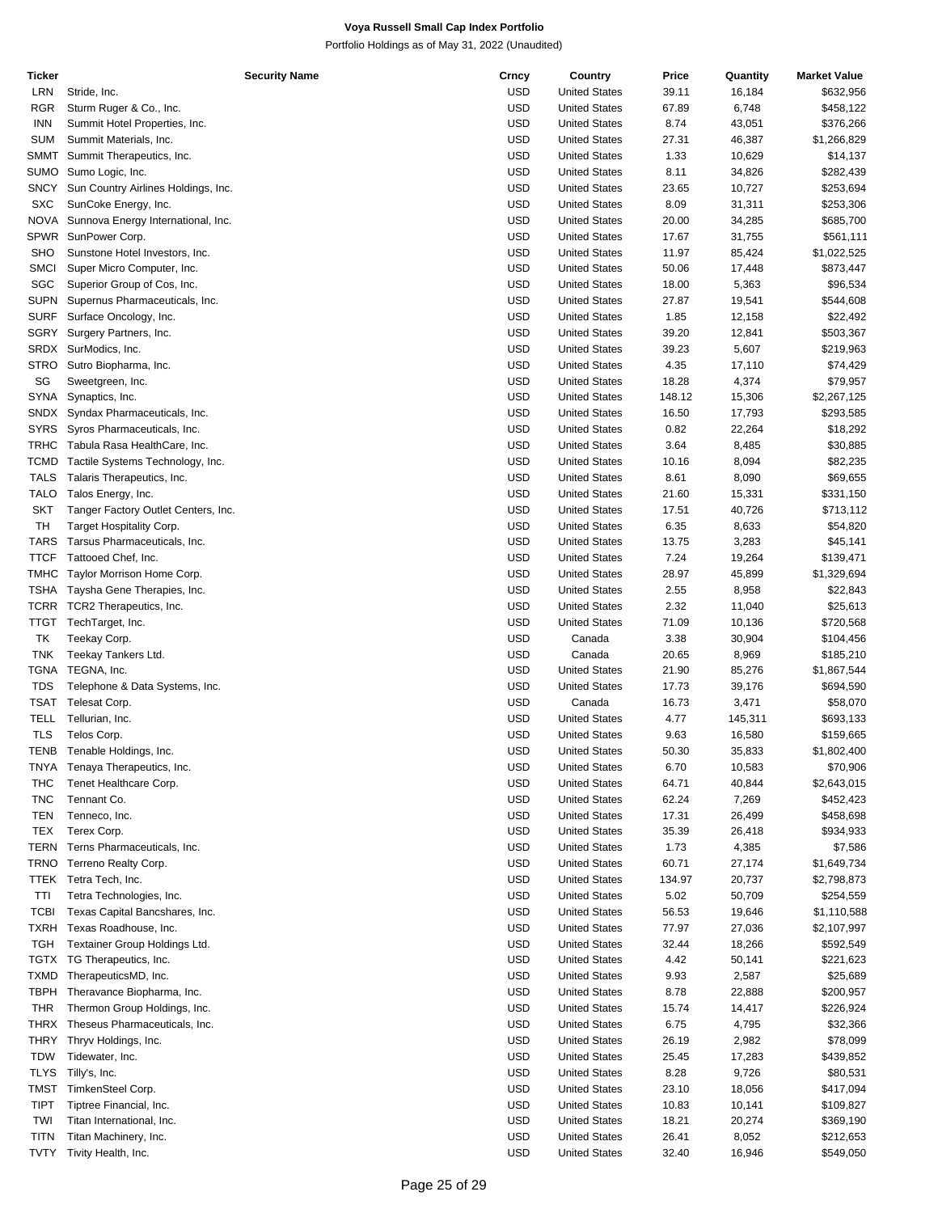| Ticker      |                                     | <b>Security Name</b> | Crncy      | Country              | Price  | Quantity | <b>Market Value</b> |
|-------------|-------------------------------------|----------------------|------------|----------------------|--------|----------|---------------------|
| LRN         | Stride, Inc.                        |                      | USD        | <b>United States</b> | 39.11  | 16,184   | \$632,956           |
| RGR         | Sturm Ruger & Co., Inc.             |                      | USD        | <b>United States</b> | 67.89  | 6,748    | \$458,122           |
| <b>INN</b>  | Summit Hotel Properties, Inc.       |                      | USD        | <b>United States</b> | 8.74   | 43,051   | \$376,266           |
| <b>SUM</b>  | Summit Materials, Inc.              |                      | USD        | <b>United States</b> | 27.31  | 46,387   | \$1,266,829         |
|             |                                     |                      | USD        |                      |        |          |                     |
| SMMT        | Summit Therapeutics, Inc.           |                      |            | <b>United States</b> | 1.33   | 10,629   | \$14,137            |
| <b>SUMO</b> | Sumo Logic, Inc.                    |                      | USD        | <b>United States</b> | 8.11   | 34,826   | \$282,439           |
| SNCY        | Sun Country Airlines Holdings, Inc. |                      | USD        | <b>United States</b> | 23.65  | 10,727   | \$253,694           |
| <b>SXC</b>  | SunCoke Energy, Inc.                |                      | USD        | <b>United States</b> | 8.09   | 31,311   | \$253,306           |
| <b>NOVA</b> | Sunnova Energy International, Inc.  |                      | USD        | <b>United States</b> | 20.00  | 34,285   | \$685,700           |
| <b>SPWR</b> | SunPower Corp.                      |                      | USD        | <b>United States</b> | 17.67  | 31,755   | \$561,111           |
| <b>SHO</b>  | Sunstone Hotel Investors, Inc.      |                      | USD        | <b>United States</b> | 11.97  | 85,424   | \$1,022,525         |
| <b>SMCI</b> | Super Micro Computer, Inc.          |                      | USD        | <b>United States</b> | 50.06  | 17,448   | \$873,447           |
| SGC         | Superior Group of Cos, Inc.         |                      | USD        | <b>United States</b> | 18.00  | 5,363    | \$96,534            |
|             |                                     |                      |            |                      |        |          |                     |
| SUPN        | Supernus Pharmaceuticals, Inc.      |                      | USD        | <b>United States</b> | 27.87  | 19,541   | \$544,608           |
| SURF        | Surface Oncology, Inc.              |                      | USD        | <b>United States</b> | 1.85   | 12,158   | \$22,492            |
| SGRY        | Surgery Partners, Inc.              |                      | USD        | <b>United States</b> | 39.20  | 12,841   | \$503,367           |
| SRDX        | SurModics, Inc.                     |                      | USD        | <b>United States</b> | 39.23  | 5,607    | \$219,963           |
| STRO        | Sutro Biopharma, Inc.               |                      | USD        | <b>United States</b> | 4.35   | 17,110   | \$74,429            |
| SG          | Sweetgreen, Inc.                    |                      | USD        | <b>United States</b> | 18.28  | 4,374    | \$79,957            |
| SYNA        | Synaptics, Inc.                     |                      | USD        | <b>United States</b> | 148.12 | 15,306   | \$2,267,125         |
| SNDX        | Syndax Pharmaceuticals, Inc.        |                      | USD        | <b>United States</b> | 16.50  | 17,793   | \$293,585           |
| <b>SYRS</b> | Syros Pharmaceuticals, Inc.         |                      | USD        | <b>United States</b> | 0.82   | 22,264   | \$18,292            |
|             |                                     |                      |            |                      |        |          |                     |
| <b>TRHC</b> | Tabula Rasa HealthCare, Inc.        |                      | <b>USD</b> | <b>United States</b> | 3.64   | 8,485    | \$30,885            |
| TCMD        | Tactile Systems Technology, Inc.    |                      | USD        | <b>United States</b> | 10.16  | 8,094    | \$82,235            |
| <b>TALS</b> | Talaris Therapeutics, Inc.          |                      | USD        | <b>United States</b> | 8.61   | 8,090    | \$69,655            |
| <b>TALO</b> | Talos Energy, Inc.                  |                      | USD        | <b>United States</b> | 21.60  | 15,331   | \$331,150           |
| <b>SKT</b>  | Tanger Factory Outlet Centers, Inc. |                      | USD        | <b>United States</b> | 17.51  | 40,726   | \$713,112           |
| TH          | Target Hospitality Corp.            |                      | USD        | <b>United States</b> | 6.35   | 8,633    | \$54,820            |
| TARS        | Tarsus Pharmaceuticals, Inc.        |                      | USD        | <b>United States</b> | 13.75  | 3,283    | \$45,141            |
| <b>TTCF</b> | Tattooed Chef, Inc.                 |                      | USD        | <b>United States</b> | 7.24   | 19,264   | \$139,471           |
|             |                                     |                      |            |                      |        |          |                     |
| <b>TMHC</b> | Taylor Morrison Home Corp.          |                      | USD        | <b>United States</b> | 28.97  | 45,899   | \$1,329,694         |
| TSHA        | Taysha Gene Therapies, Inc.         |                      | USD        | <b>United States</b> | 2.55   | 8,958    | \$22,843            |
|             | TCRR TCR2 Therapeutics, Inc.        |                      | USD        | <b>United States</b> | 2.32   | 11,040   | \$25,613            |
|             | TTGT TechTarget, Inc.               |                      | USD        | <b>United States</b> | 71.09  | 10,136   | \$720,568           |
| TK          | Teekay Corp.                        |                      | USD        | Canada               | 3.38   | 30,904   | \$104,456           |
| <b>TNK</b>  | Teekay Tankers Ltd.                 |                      | USD        | Canada               | 20.65  | 8,969    | \$185,210           |
| TGNA        | TEGNA, Inc.                         |                      | USD        | <b>United States</b> | 21.90  | 85,276   | \$1,867,544         |
| <b>TDS</b>  | Telephone & Data Systems, Inc.      |                      | USD        | <b>United States</b> | 17.73  | 39,176   | \$694,590           |
| TSAT        | Telesat Corp.                       |                      | <b>USD</b> | Canada               | 16.73  | 3,471    | \$58,070            |
| TELL        | Tellurian, Inc.                     |                      | USD        | <b>United States</b> | 4.77   |          |                     |
|             |                                     |                      |            |                      |        | 145,311  | \$693,133           |
| <b>TLS</b>  | Telos Corp.                         |                      | USD        | <b>United States</b> | 9.63   | 16,580   | \$159,665           |
| TENB        | Tenable Holdings, Inc.              |                      | USD        | <b>United States</b> | 50.30  | 35,833   | \$1,802,400         |
|             | TNYA Tenaya Therapeutics, Inc.      |                      | USD        | <b>United States</b> | 6.70   | 10,583   | \$70,906            |
| THC         | Tenet Healthcare Corp.              |                      | USD        | <b>United States</b> | 64.71  | 40,844   | \$2,643,015         |
| <b>TNC</b>  | Tennant Co.                         |                      | <b>USD</b> | <b>United States</b> | 62.24  | 7,269    | \$452,423           |
| TEN         | Tenneco, Inc.                       |                      | USD        | <b>United States</b> | 17.31  | 26,499   | \$458,698           |
| TEX         | Terex Corp.                         |                      | <b>USD</b> | <b>United States</b> | 35.39  | 26,418   | \$934,933           |
| TERN        | Terns Pharmaceuticals, Inc.         |                      | USD        | <b>United States</b> | 1.73   | 4,385    | \$7,586             |
| TRNO        | Terreno Realty Corp.                |                      | USD        | <b>United States</b> | 60.71  | 27,174   | \$1,649,734         |
|             |                                     |                      |            |                      |        |          |                     |
| TTEK        | Tetra Tech, Inc.                    |                      | USD        | <b>United States</b> | 134.97 | 20,737   | \$2,798,873         |
| TTI         | Tetra Technologies, Inc.            |                      | <b>USD</b> | <b>United States</b> | 5.02   | 50,709   | \$254,559           |
| <b>TCBI</b> | Texas Capital Bancshares, Inc.      |                      | USD        | <b>United States</b> | 56.53  | 19,646   | \$1,110,588         |
| TXRH        | Texas Roadhouse, Inc.               |                      | <b>USD</b> | <b>United States</b> | 77.97  | 27,036   | \$2,107,997         |
| TGH         | Textainer Group Holdings Ltd.       |                      | USD        | <b>United States</b> | 32.44  | 18,266   | \$592,549           |
| TGTX        | TG Therapeutics, Inc.               |                      | <b>USD</b> | <b>United States</b> | 4.42   | 50,141   | \$221,623           |
| TXMD        | TherapeuticsMD, Inc.                |                      | USD        | <b>United States</b> | 9.93   | 2,587    | \$25,689            |
| TBPH        | Theravance Biopharma, Inc.          |                      | USD        | <b>United States</b> | 8.78   | 22,888   | \$200,957           |
| THR         | Thermon Group Holdings, Inc.        |                      | USD        | <b>United States</b> | 15.74  | 14,417   | \$226,924           |
|             |                                     |                      |            |                      |        |          |                     |
| THRX        | Theseus Pharmaceuticals, Inc.       |                      | <b>USD</b> | <b>United States</b> | 6.75   | 4,795    | \$32,366            |
| THRY        | Thryv Holdings, Inc.                |                      | USD        | <b>United States</b> | 26.19  | 2,982    | \$78,099            |
| <b>TDW</b>  | Tidewater, Inc.                     |                      | <b>USD</b> | <b>United States</b> | 25.45  | 17,283   | \$439,852           |
| <b>TLYS</b> | Tilly's, Inc.                       |                      | USD        | <b>United States</b> | 8.28   | 9,726    | \$80,531            |
| TMST        | TimkenSteel Corp.                   |                      | <b>USD</b> | <b>United States</b> | 23.10  | 18,056   | \$417,094           |
| <b>TIPT</b> | Tiptree Financial, Inc.             |                      | USD        | <b>United States</b> | 10.83  | 10,141   | \$109,827           |
| TWI         | Titan International, Inc.           |                      | USD        | <b>United States</b> | 18.21  | 20,274   | \$369,190           |
| <b>TITN</b> | Titan Machinery, Inc.               |                      | <b>USD</b> | <b>United States</b> | 26.41  | 8,052    | \$212,653           |
| <b>TVTY</b> | Tivity Health, Inc.                 |                      | USD        | <b>United States</b> | 32.40  | 16,946   | \$549,050           |
|             |                                     |                      |            |                      |        |          |                     |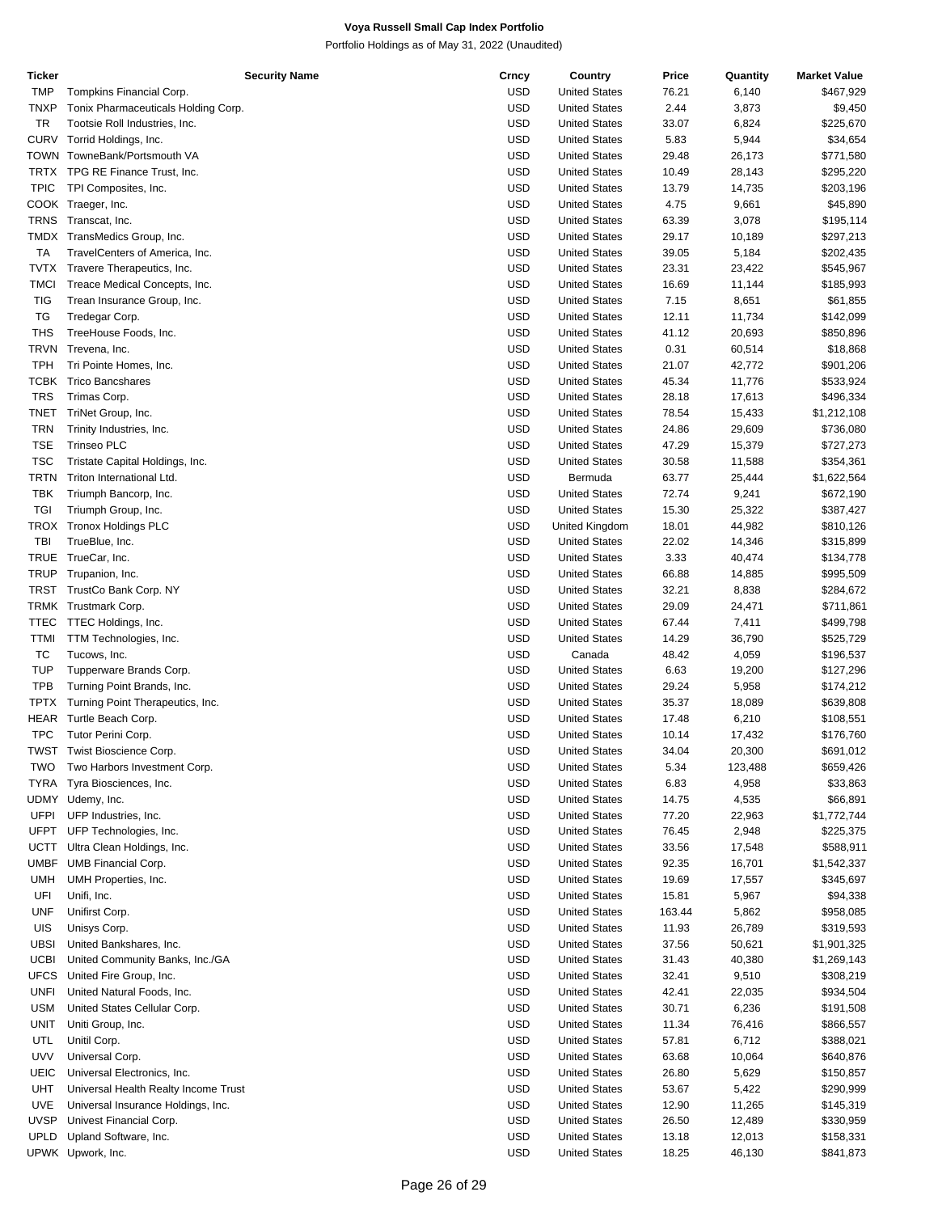| Ticker      | <b>Security Name</b>                       | Crncy                    | Country                                      | Price          | Quantity         | <b>Market Value</b>    |
|-------------|--------------------------------------------|--------------------------|----------------------------------------------|----------------|------------------|------------------------|
| <b>TMP</b>  | Tompkins Financial Corp.                   | <b>USD</b>               | <b>United States</b>                         | 76.21          | 6,140            | \$467,929              |
| <b>TNXP</b> | Tonix Pharmaceuticals Holding Corp.        | <b>USD</b>               | <b>United States</b>                         | 2.44           | 3,873            | \$9,450                |
| TR          |                                            | <b>USD</b>               |                                              |                |                  |                        |
|             | Tootsie Roll Industries, Inc.              |                          | <b>United States</b>                         | 33.07          | 6,824            | \$225,670              |
| <b>CURV</b> | Torrid Holdings, Inc.                      | <b>USD</b>               | <b>United States</b>                         | 5.83           | 5,944            | \$34,654               |
|             | TOWN TowneBank/Portsmouth VA               | <b>USD</b>               | <b>United States</b>                         | 29.48          | 26,173           | \$771,580              |
| TRTX        | TPG RE Finance Trust, Inc.                 | <b>USD</b>               | <b>United States</b>                         | 10.49          | 28,143           | \$295,220              |
| <b>TPIC</b> |                                            | <b>USD</b>               | <b>United States</b>                         | 13.79          |                  |                        |
|             | TPI Composites, Inc.                       |                          |                                              |                | 14,735           | \$203,196              |
|             | COOK Traeger, Inc.                         | <b>USD</b>               | <b>United States</b>                         | 4.75           | 9,661            | \$45,890               |
| <b>TRNS</b> | Transcat, Inc.                             | <b>USD</b>               | <b>United States</b>                         | 63.39          | 3,078            | \$195,114              |
|             | TMDX TransMedics Group, Inc.               | <b>USD</b>               | <b>United States</b>                         | 29.17          | 10,189           | \$297,213              |
| TA          | TravelCenters of America, Inc.             | <b>USD</b>               | <b>United States</b>                         | 39.05          |                  |                        |
|             |                                            |                          |                                              |                | 5,184            | \$202,435              |
| TVTX        | Travere Therapeutics, Inc.                 | <b>USD</b>               | <b>United States</b>                         | 23.31          | 23,422           | \$545,967              |
| TMCI        | Treace Medical Concepts, Inc.              | <b>USD</b>               | <b>United States</b>                         | 16.69          | 11,144           | \$185,993              |
| <b>TIG</b>  | Trean Insurance Group, Inc.                | <b>USD</b>               | <b>United States</b>                         | 7.15           | 8,651            | \$61,855               |
| TG          |                                            | <b>USD</b>               |                                              |                |                  |                        |
|             | Tredegar Corp.                             |                          | <b>United States</b>                         | 12.11          | 11,734           | \$142,099              |
| <b>THS</b>  | TreeHouse Foods, Inc.                      | <b>USD</b>               | <b>United States</b>                         | 41.12          | 20,693           | \$850,896              |
| <b>TRVN</b> | Trevena, Inc.                              | <b>USD</b>               | <b>United States</b>                         | 0.31           | 60,514           | \$18,868               |
| <b>TPH</b>  | Tri Pointe Homes, Inc.                     | <b>USD</b>               | <b>United States</b>                         | 21.07          | 42,772           | \$901,206              |
|             |                                            | <b>USD</b>               |                                              |                |                  |                        |
| <b>TCBK</b> | <b>Trico Bancshares</b>                    |                          | <b>United States</b>                         | 45.34          | 11,776           | \$533,924              |
| <b>TRS</b>  | Trimas Corp.                               | <b>USD</b>               | <b>United States</b>                         | 28.18          | 17,613           | \$496,334              |
| <b>TNET</b> | TriNet Group, Inc.                         | <b>USD</b>               | <b>United States</b>                         | 78.54          | 15,433           | \$1,212,108            |
| <b>TRN</b>  | Trinity Industries, Inc.                   | <b>USD</b>               | <b>United States</b>                         | 24.86          | 29,609           | \$736,080              |
|             |                                            |                          |                                              |                |                  |                        |
| <b>TSE</b>  | <b>Trinseo PLC</b>                         | <b>USD</b>               | <b>United States</b>                         | 47.29          | 15,379           | \$727,273              |
| <b>TSC</b>  | Tristate Capital Holdings, Inc.            | <b>USD</b>               | <b>United States</b>                         | 30.58          | 11,588           | \$354,361              |
| <b>TRTN</b> | Triton International Ltd.                  | <b>USD</b>               | Bermuda                                      | 63.77          | 25,444           | \$1,622,564            |
| <b>TBK</b>  | Triumph Bancorp, Inc.                      | <b>USD</b>               | <b>United States</b>                         | 72.74          | 9,241            | \$672,190              |
|             |                                            |                          |                                              |                |                  |                        |
| TGI         | Triumph Group, Inc.                        | <b>USD</b>               | <b>United States</b>                         | 15.30          | 25,322           | \$387,427              |
| TROX        | <b>Tronox Holdings PLC</b>                 | <b>USD</b>               | United Kingdom                               | 18.01          | 44,982           | \$810,126              |
| TBI         | TrueBlue, Inc.                             | <b>USD</b>               | <b>United States</b>                         | 22.02          | 14,346           | \$315,899              |
| <b>TRUE</b> | TrueCar, Inc.                              | <b>USD</b>               | <b>United States</b>                         | 3.33           | 40,474           | \$134,778              |
|             |                                            |                          |                                              |                |                  |                        |
| <b>TRUP</b> | Trupanion, Inc.                            | <b>USD</b>               | <b>United States</b>                         | 66.88          | 14,885           | \$995,509              |
| <b>TRST</b> | TrustCo Bank Corp. NY                      | <b>USD</b>               | <b>United States</b>                         | 32.21          | 8,838            | \$284,672              |
|             | TRMK Trustmark Corp.                       | <b>USD</b>               | <b>United States</b>                         | 29.09          | 24,471           | \$711,861              |
| <b>TTEC</b> | TTEC Holdings, Inc.                        | <b>USD</b>               | <b>United States</b>                         | 67.44          | 7,411            | \$499,798              |
|             |                                            |                          |                                              |                |                  |                        |
| <b>TTMI</b> | TTM Technologies, Inc.                     | <b>USD</b>               | <b>United States</b>                         | 14.29          | 36,790           | \$525,729              |
| ТC          | Tucows, Inc.                               | <b>USD</b>               | Canada                                       | 48.42          | 4,059            | \$196,537              |
| <b>TUP</b>  | Tupperware Brands Corp.                    | <b>USD</b>               | <b>United States</b>                         | 6.63           | 19,200           | \$127,296              |
| <b>TPB</b>  | Turning Point Brands, Inc.                 | <b>USD</b>               | <b>United States</b>                         | 29.24          | 5,958            | \$174,212              |
|             |                                            |                          |                                              |                |                  |                        |
| TPTX        | Turning Point Therapeutics, Inc.           | <b>USD</b>               | <b>United States</b>                         | 35.37          | 18,089           | \$639,808              |
| HEAR        | Turtle Beach Corp.                         | <b>USD</b>               | <b>United States</b>                         | 17.48          | 6,210            | \$108,551              |
| <b>TPC</b>  | Tutor Perini Corp.                         | <b>USD</b>               | <b>United States</b>                         | 10.14          | 17,432           | \$176,760              |
|             | TWST Twist Bioscience Corp.                | <b>USD</b>               | <b>United States</b>                         | 34.04          | 20,300           | \$691,012              |
|             |                                            |                          |                                              |                |                  |                        |
| <b>TWO</b>  | Two Harbors Investment Corp.               | <b>USD</b>               | <b>United States</b>                         | 5.34           | 123,488          | \$659,426              |
| <b>TYRA</b> | Tyra Biosciences, Inc.                     | <b>USD</b>               | <b>United States</b>                         | 6.83           | 4,958            | \$33,863               |
|             | UDMY Udemy, Inc.                           | USD                      | <b>United States</b>                         | 14.75          | 4,535            | \$66,891               |
| <b>UFPI</b> | UFP Industries, Inc.                       | <b>USD</b>               | <b>United States</b>                         | 77.20          | 22,963           | \$1,772,744            |
|             |                                            |                          |                                              |                |                  |                        |
| <b>UFPT</b> | UFP Technologies, Inc.                     | <b>USD</b>               | <b>United States</b>                         | 76.45          | 2,948            | \$225,375              |
| UCTT        | Ultra Clean Holdings, Inc.                 | <b>USD</b>               | <b>United States</b>                         | 33.56          | 17,548           | \$588,911              |
| <b>UMBF</b> | <b>UMB Financial Corp.</b>                 | <b>USD</b>               | <b>United States</b>                         | 92.35          | 16,701           | \$1,542,337            |
| <b>UMH</b>  | UMH Properties, Inc.                       | <b>USD</b>               | <b>United States</b>                         | 19.69          |                  | \$345,697              |
|             |                                            |                          |                                              |                | 17,557           |                        |
| UFI         | Unifi, Inc.                                | <b>USD</b>               | <b>United States</b>                         | 15.81          | 5,967            | \$94,338               |
| <b>UNF</b>  | Unifirst Corp.                             | <b>USD</b>               | <b>United States</b>                         | 163.44         | 5,862            | \$958,085              |
| UIS         | Unisys Corp.                               | <b>USD</b>               | <b>United States</b>                         | 11.93          | 26,789           | \$319,593              |
| <b>UBSI</b> |                                            | <b>USD</b>               | <b>United States</b>                         |                |                  | \$1,901,325            |
|             | United Bankshares, Inc.                    |                          |                                              | 37.56          | 50,621           |                        |
| <b>UCBI</b> | United Community Banks, Inc./GA            | <b>USD</b>               | <b>United States</b>                         | 31.43          | 40,380           | \$1,269,143            |
| <b>UFCS</b> | United Fire Group, Inc.                    | <b>USD</b>               | <b>United States</b>                         | 32.41          | 9,510            | \$308,219              |
| <b>UNFI</b> | United Natural Foods, Inc.                 | <b>USD</b>               | <b>United States</b>                         | 42.41          | 22,035           | \$934,504              |
|             | United States Cellular Corp.               |                          |                                              |                |                  |                        |
|             |                                            | <b>USD</b>               | <b>United States</b>                         | 30.71          | 6,236            | \$191,508              |
| <b>USM</b>  |                                            |                          |                                              |                |                  |                        |
| <b>UNIT</b> | Uniti Group, Inc.                          | <b>USD</b>               | <b>United States</b>                         | 11.34          | 76,416           | \$866,557              |
| <b>UTL</b>  | Unitil Corp.                               | <b>USD</b>               | <b>United States</b>                         | 57.81          | 6,712            |                        |
|             |                                            |                          |                                              |                |                  | \$388,021              |
| <b>UVV</b>  | Universal Corp.                            | <b>USD</b>               | <b>United States</b>                         | 63.68          | 10,064           | \$640,876              |
| UEIC        | Universal Electronics, Inc.                | <b>USD</b>               | <b>United States</b>                         | 26.80          | 5,629            | \$150,857              |
| <b>UHT</b>  | Universal Health Realty Income Trust       | <b>USD</b>               | <b>United States</b>                         | 53.67          | 5,422            | \$290,999              |
| <b>UVE</b>  | Universal Insurance Holdings, Inc.         | <b>USD</b>               | <b>United States</b>                         | 12.90          | 11,265           | \$145,319              |
|             |                                            |                          |                                              |                |                  |                        |
| <b>UVSP</b> | Univest Financial Corp.                    | <b>USD</b>               | <b>United States</b>                         | 26.50          | 12,489           | \$330,959              |
| <b>UPLD</b> | Upland Software, Inc.<br>UPWK Upwork, Inc. | <b>USD</b><br><b>USD</b> | <b>United States</b><br><b>United States</b> | 13.18<br>18.25 | 12,013<br>46,130 | \$158,331<br>\$841,873 |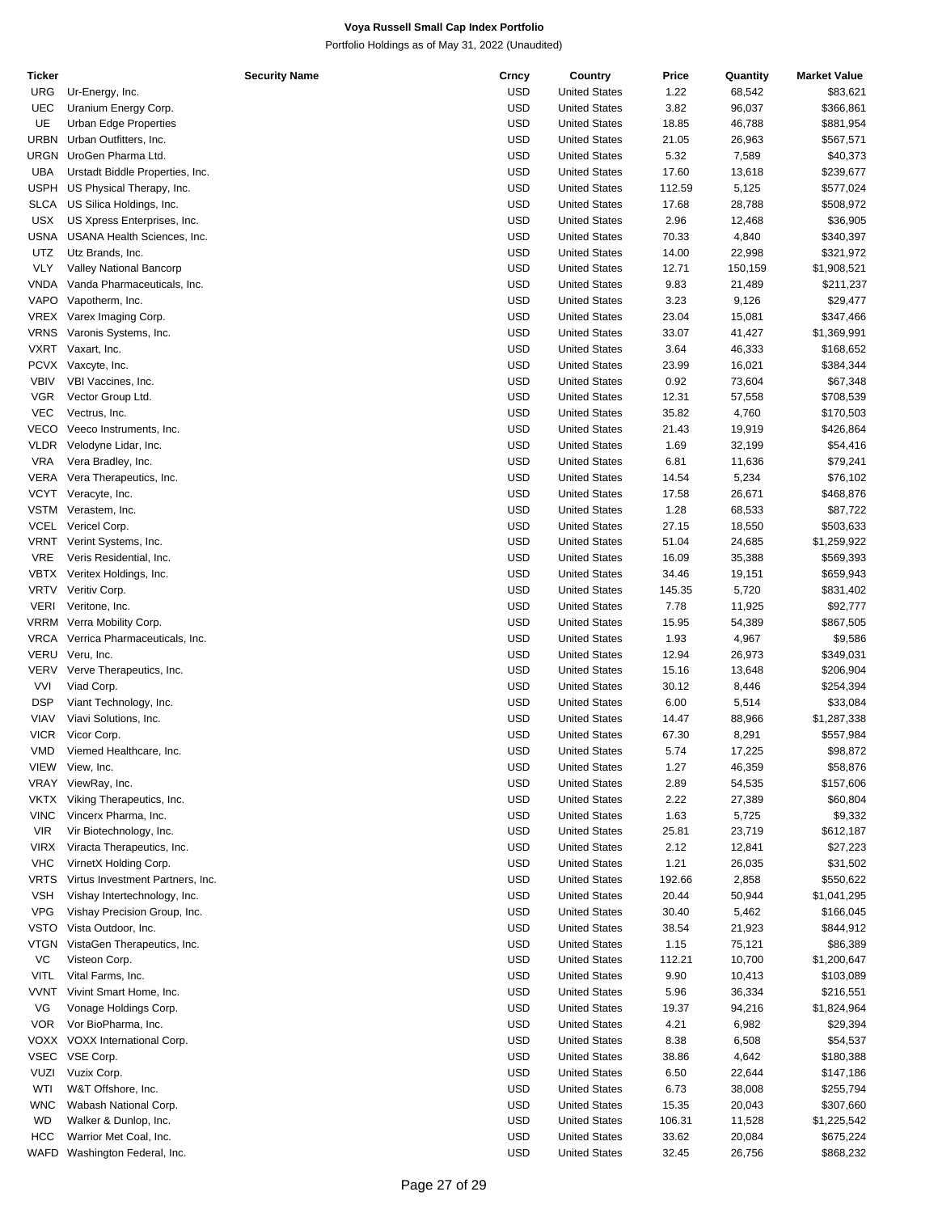| Ticker      | <b>Security Name</b>               | Crncy      | Country              | Price  | Quantity | <b>Market Value</b> |
|-------------|------------------------------------|------------|----------------------|--------|----------|---------------------|
| URG         | Ur-Energy, Inc.                    | <b>USD</b> | <b>United States</b> | 1.22   | 68,542   | \$83,621            |
| <b>UEC</b>  | Uranium Energy Corp.               | <b>USD</b> | <b>United States</b> | 3.82   | 96,037   | \$366,861           |
| UE          | Urban Edge Properties              | <b>USD</b> | <b>United States</b> | 18.85  | 46,788   | \$881,954           |
| URBN        | Urban Outfitters, Inc.             | <b>USD</b> | <b>United States</b> | 21.05  | 26,963   | \$567,571           |
|             | URGN UroGen Pharma Ltd.            | <b>USD</b> | <b>United States</b> | 5.32   | 7,589    | \$40,373            |
| <b>UBA</b>  | Urstadt Biddle Properties, Inc.    | <b>USD</b> | <b>United States</b> | 17.60  | 13,618   | \$239,677           |
| <b>USPH</b> | US Physical Therapy, Inc.          | <b>USD</b> | <b>United States</b> | 112.59 | 5,125    | \$577,024           |
| <b>SLCA</b> | US Silica Holdings, Inc.           | <b>USD</b> | <b>United States</b> | 17.68  | 28,788   | \$508,972           |
| USX         | US Xpress Enterprises, Inc.        | <b>USD</b> | <b>United States</b> | 2.96   | 12,468   | \$36,905            |
| USNA        | USANA Health Sciences, Inc.        | <b>USD</b> | <b>United States</b> | 70.33  | 4,840    | \$340,397           |
|             |                                    | <b>USD</b> | <b>United States</b> |        |          |                     |
| UTZ         | Utz Brands, Inc.                   |            |                      | 14.00  | 22,998   | \$321,972           |
| <b>VLY</b>  | Valley National Bancorp            | <b>USD</b> | <b>United States</b> | 12.71  | 150,159  | \$1,908,521         |
| VNDA        | Vanda Pharmaceuticals, Inc.        | <b>USD</b> | <b>United States</b> | 9.83   | 21,489   | \$211,237           |
|             | VAPO Vapotherm, Inc.               | <b>USD</b> | <b>United States</b> | 3.23   | 9,126    | \$29,477            |
|             | VREX Varex Imaging Corp.           | <b>USD</b> | <b>United States</b> | 23.04  | 15,081   | \$347,466           |
| VRNS        | Varonis Systems, Inc.              | <b>USD</b> | <b>United States</b> | 33.07  | 41,427   | \$1,369,991         |
|             | VXRT Vaxart, Inc.                  | <b>USD</b> | <b>United States</b> | 3.64   | 46,333   | \$168,652           |
|             | PCVX Vaxcyte, Inc.                 | <b>USD</b> | <b>United States</b> | 23.99  | 16,021   | \$384,344           |
| <b>VBIV</b> | VBI Vaccines, Inc.                 | <b>USD</b> | <b>United States</b> | 0.92   | 73,604   | \$67,348            |
| <b>VGR</b>  | Vector Group Ltd.                  | <b>USD</b> | <b>United States</b> | 12.31  | 57,558   | \$708,539           |
| <b>VEC</b>  | Vectrus, Inc.                      | <b>USD</b> | <b>United States</b> | 35.82  | 4,760    | \$170,503           |
| VECO        | Veeco Instruments, Inc.            | <b>USD</b> | <b>United States</b> | 21.43  | 19,919   | \$426,864           |
| <b>VLDR</b> | Velodyne Lidar, Inc.               | <b>USD</b> | <b>United States</b> | 1.69   | 32,199   | \$54,416            |
| <b>VRA</b>  | Vera Bradley, Inc.                 | <b>USD</b> | <b>United States</b> | 6.81   | 11,636   | \$79,241            |
| VERA        | Vera Therapeutics, Inc.            | <b>USD</b> | <b>United States</b> | 14.54  | 5,234    | \$76,102            |
| VCYT        |                                    | <b>USD</b> | <b>United States</b> | 17.58  | 26,671   |                     |
|             | Veracyte, Inc.                     |            |                      |        |          | \$468,876           |
|             | VSTM Verastem, Inc.                | <b>USD</b> | <b>United States</b> | 1.28   | 68,533   | \$87,722            |
| <b>VCEL</b> | Vericel Corp.                      | <b>USD</b> | <b>United States</b> | 27.15  | 18,550   | \$503,633           |
| VRNT        | Verint Systems, Inc.               | <b>USD</b> | <b>United States</b> | 51.04  | 24,685   | \$1,259,922         |
| <b>VRE</b>  | Veris Residential, Inc.            | <b>USD</b> | <b>United States</b> | 16.09  | 35,388   | \$569,393           |
| VBTX        | Veritex Holdings, Inc.             | <b>USD</b> | <b>United States</b> | 34.46  | 19,151   | \$659,943           |
| <b>VRTV</b> | Veritiv Corp.                      | <b>USD</b> | <b>United States</b> | 145.35 | 5,720    | \$831,402           |
| <b>VERI</b> | Veritone, Inc.                     | <b>USD</b> | <b>United States</b> | 7.78   | 11,925   | \$92,777            |
|             | VRRM Verra Mobility Corp.          | <b>USD</b> | <b>United States</b> | 15.95  | 54,389   | \$867,505           |
|             | VRCA Verrica Pharmaceuticals, Inc. | <b>USD</b> | <b>United States</b> | 1.93   | 4,967    | \$9,586             |
| VERU        | Veru, Inc.                         | <b>USD</b> | <b>United States</b> | 12.94  | 26,973   | \$349,031           |
|             | VERV Verve Therapeutics, Inc.      | <b>USD</b> | <b>United States</b> | 15.16  | 13,648   | \$206,904           |
| <b>VVI</b>  | Viad Corp.                         | <b>USD</b> | <b>United States</b> | 30.12  | 8,446    | \$254,394           |
| <b>DSP</b>  | Viant Technology, Inc.             | <b>USD</b> | <b>United States</b> | 6.00   | 5,514    | \$33,084            |
| VIAV        | Viavi Solutions, Inc.              | <b>USD</b> | <b>United States</b> | 14.47  | 88,966   | \$1,287,338         |
| <b>VICR</b> | Vicor Corp.                        | <b>USD</b> | <b>United States</b> | 67.30  |          | \$557,984           |
| <b>VMD</b>  |                                    | <b>USD</b> |                      |        | 8,291    |                     |
|             | Viemed Healthcare, Inc.            |            | <b>United States</b> | 5.74   | 17,225   | \$98,872            |
| VIEW        | View, Inc.                         | <b>USD</b> | <b>United States</b> | 1.27   | 46,359   | \$58,876            |
| VRAY        | ViewRay, Inc.                      | <b>USD</b> | <b>United States</b> | 2.89   | 54,535   | \$157,606           |
| <b>VKTX</b> | Viking Therapeutics, Inc.          | <b>USD</b> | <b>United States</b> | 2.22   | 27,389   | \$60,804            |
| <b>VINC</b> | Vincerx Pharma, Inc.               | <b>USD</b> | <b>United States</b> | 1.63   | 5,725    | \$9,332             |
| <b>VIR</b>  | Vir Biotechnology, Inc.            | <b>USD</b> | <b>United States</b> | 25.81  | 23,719   | \$612,187           |
| <b>VIRX</b> | Viracta Therapeutics, Inc.         | <b>USD</b> | <b>United States</b> | 2.12   | 12,841   | \$27,223            |
| <b>VHC</b>  | VirnetX Holding Corp.              | <b>USD</b> | <b>United States</b> | 1.21   | 26,035   | \$31,502            |
| <b>VRTS</b> | Virtus Investment Partners, Inc.   | <b>USD</b> | <b>United States</b> | 192.66 | 2,858    | \$550,622           |
| <b>VSH</b>  | Vishay Intertechnology, Inc.       | <b>USD</b> | <b>United States</b> | 20.44  | 50,944   | \$1,041,295         |
| <b>VPG</b>  | Vishay Precision Group, Inc.       | <b>USD</b> | <b>United States</b> | 30.40  | 5,462    | \$166,045           |
| <b>VSTO</b> | Vista Outdoor, Inc.                | <b>USD</b> | <b>United States</b> | 38.54  | 21,923   | \$844,912           |
| <b>VTGN</b> | VistaGen Therapeutics, Inc.        | <b>USD</b> | <b>United States</b> | 1.15   | 75,121   | \$86,389            |
| VC          | Visteon Corp.                      | <b>USD</b> | <b>United States</b> | 112.21 | 10,700   | \$1,200,647         |
| <b>VITL</b> | Vital Farms, Inc.                  | <b>USD</b> | <b>United States</b> | 9.90   | 10,413   | \$103,089           |
|             |                                    | <b>USD</b> |                      |        |          |                     |
| <b>VVNT</b> | Vivint Smart Home, Inc.            |            | <b>United States</b> | 5.96   | 36,334   | \$216,551           |
| VG          | Vonage Holdings Corp.              | <b>USD</b> | <b>United States</b> | 19.37  | 94,216   | \$1,824,964         |
| <b>VOR</b>  | Vor BioPharma, Inc.                | <b>USD</b> | <b>United States</b> | 4.21   | 6,982    | \$29,394            |
|             | VOXX VOXX International Corp.      | <b>USD</b> | <b>United States</b> | 8.38   | 6,508    | \$54,537            |
|             | VSEC VSE Corp.                     | <b>USD</b> | <b>United States</b> | 38.86  | 4,642    | \$180,388           |
| <b>VUZI</b> | Vuzix Corp.                        | <b>USD</b> | <b>United States</b> | 6.50   | 22,644   | \$147,186           |
| WTI         | W&T Offshore, Inc.                 | <b>USD</b> | <b>United States</b> | 6.73   | 38,008   | \$255,794           |
| <b>WNC</b>  | Wabash National Corp.              | <b>USD</b> | <b>United States</b> | 15.35  | 20,043   | \$307,660           |
| <b>WD</b>   | Walker & Dunlop, Inc.              | <b>USD</b> | <b>United States</b> | 106.31 | 11,528   | \$1,225,542         |
| <b>HCC</b>  | Warrior Met Coal, Inc.             | <b>USD</b> | <b>United States</b> | 33.62  | 20,084   | \$675,224           |
|             | WAFD Washington Federal, Inc.      | <b>USD</b> | <b>United States</b> | 32.45  | 26,756   | \$868,232           |
|             |                                    |            |                      |        |          |                     |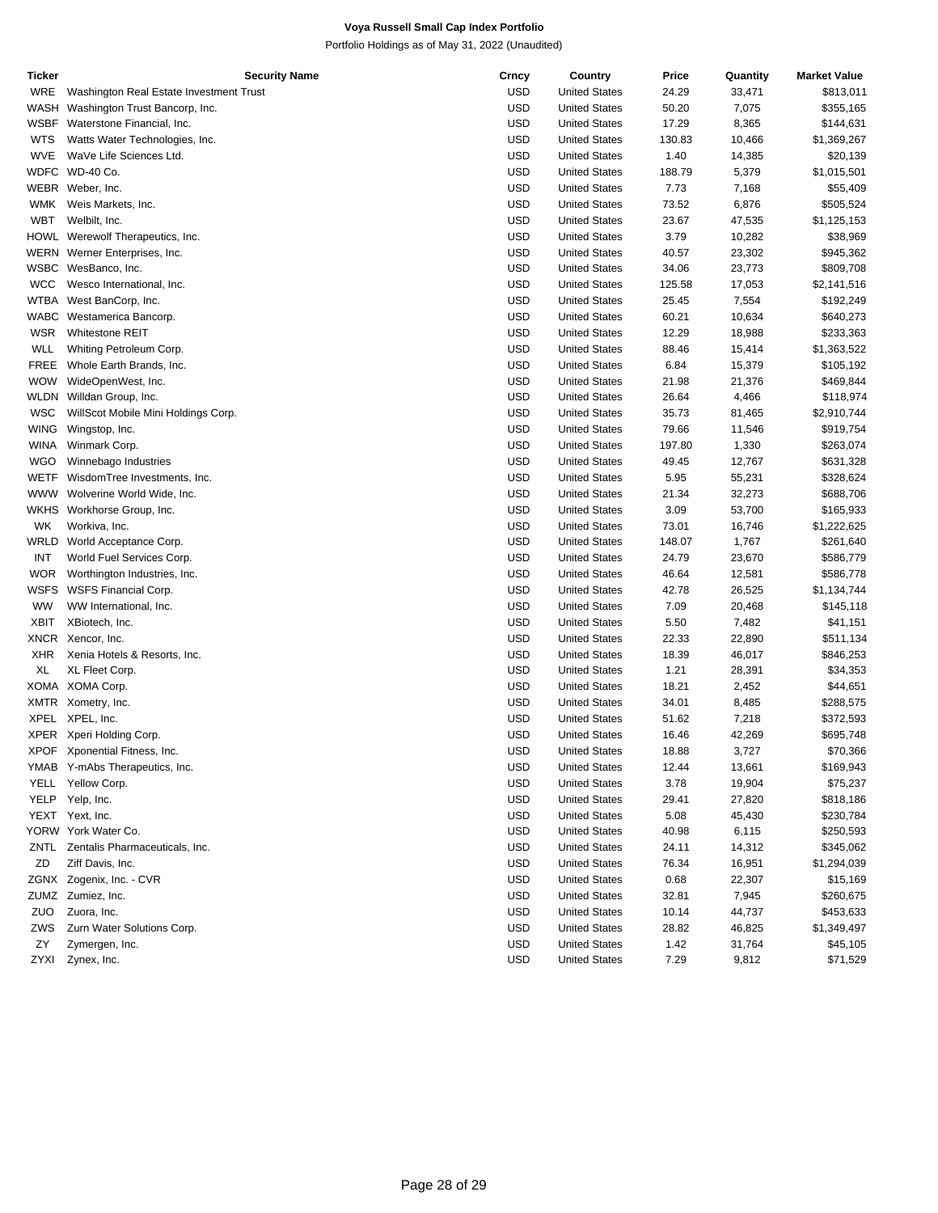| Ticker      |                                         | <b>Security Name</b> | Crncy      | Country              | Price  | Quantity | <b>Market Value</b> |
|-------------|-----------------------------------------|----------------------|------------|----------------------|--------|----------|---------------------|
| WRE         | Washington Real Estate Investment Trust |                      | USD        | <b>United States</b> | 24.29  | 33,471   | \$813,011           |
| WASH        | Washington Trust Bancorp, Inc.          |                      | USD        | <b>United States</b> | 50.20  | 7,075    | \$355,165           |
| WSBF        | Waterstone Financial, Inc.              |                      | <b>USD</b> | <b>United States</b> | 17.29  | 8,365    | \$144,631           |
| <b>WTS</b>  | Watts Water Technologies, Inc.          |                      | <b>USD</b> | <b>United States</b> | 130.83 | 10,466   | \$1,369,267         |
| WVE         | WaVe Life Sciences Ltd.                 |                      | <b>USD</b> | <b>United States</b> | 1.40   | 14,385   | \$20,139            |
|             | WDFC WD-40 Co.                          |                      | <b>USD</b> | <b>United States</b> | 188.79 | 5,379    | \$1,015,501         |
|             | WEBR Weber, Inc.                        |                      | <b>USD</b> | <b>United States</b> | 7.73   | 7,168    | \$55,409            |
| WMK         | Weis Markets, Inc.                      |                      | <b>USD</b> | <b>United States</b> | 73.52  | 6,876    | \$505,524           |
| <b>WBT</b>  | Welbilt, Inc.                           |                      | USD        | <b>United States</b> | 23.67  | 47,535   | \$1,125,153         |
|             | HOWL Werewolf Therapeutics, Inc.        |                      | <b>USD</b> | <b>United States</b> | 3.79   | 10,282   | \$38,969            |
| WERN        | Werner Enterprises, Inc.                |                      | <b>USD</b> | <b>United States</b> | 40.57  | 23,302   | \$945,362           |
| WSBC        | WesBanco, Inc.                          |                      | <b>USD</b> | <b>United States</b> | 34.06  | 23,773   | \$809,708           |
| <b>WCC</b>  | Wesco International, Inc.               |                      | USD        | <b>United States</b> | 125.58 | 17,053   | \$2,141,516         |
| WTBA        | West BanCorp, Inc.                      |                      | <b>USD</b> | <b>United States</b> | 25.45  | 7,554    | \$192,249           |
| WABC        | Westamerica Bancorp.                    |                      | <b>USD</b> | <b>United States</b> | 60.21  | 10,634   | \$640,273           |
| <b>WSR</b>  | <b>Whitestone REIT</b>                  |                      | <b>USD</b> | <b>United States</b> | 12.29  | 18,988   | \$233,363           |
| WLL         | Whiting Petroleum Corp.                 |                      | USD        | <b>United States</b> | 88.46  | 15,414   | \$1,363,522         |
| FREE        | Whole Earth Brands, Inc.                |                      | <b>USD</b> | <b>United States</b> | 6.84   | 15,379   | \$105,192           |
| <b>WOW</b>  | WideOpenWest, Inc.                      |                      | <b>USD</b> | <b>United States</b> | 21.98  | 21,376   | \$469,844           |
| WLDN        | Willdan Group, Inc.                     |                      | <b>USD</b> | <b>United States</b> | 26.64  | 4,466    | \$118,974           |
| WSC         | WillScot Mobile Mini Holdings Corp.     |                      | USD        | <b>United States</b> | 35.73  | 81,465   | \$2,910,744         |
| <b>WING</b> | Wingstop, Inc.                          |                      | <b>USD</b> | <b>United States</b> | 79.66  | 11,546   | \$919,754           |
| <b>WINA</b> | Winmark Corp.                           |                      | <b>USD</b> | <b>United States</b> | 197.80 | 1,330    | \$263,074           |
| <b>WGO</b>  | Winnebago Industries                    |                      | <b>USD</b> | <b>United States</b> | 49.45  | 12,767   | \$631,328           |
| WETF        | WisdomTree Investments, Inc.            |                      | USD        | <b>United States</b> | 5.95   | 55,231   | \$328,624           |
| <b>WWW</b>  | Wolverine World Wide, Inc.              |                      | <b>USD</b> | <b>United States</b> | 21.34  | 32,273   | \$688,706           |
| WKHS        | Workhorse Group, Inc.                   |                      | <b>USD</b> | <b>United States</b> | 3.09   | 53,700   | \$165,933           |
| WK          | Workiva, Inc.                           |                      | <b>USD</b> | <b>United States</b> | 73.01  | 16,746   | \$1,222,625         |
| WRLD        | World Acceptance Corp.                  |                      | USD        | <b>United States</b> | 148.07 | 1,767    | \$261,640           |
| INT         | World Fuel Services Corp.               |                      | <b>USD</b> | <b>United States</b> | 24.79  | 23,670   | \$586,779           |
| <b>WOR</b>  | Worthington Industries, Inc.            |                      | <b>USD</b> | <b>United States</b> | 46.64  | 12,581   | \$586,778           |
| WSFS        | <b>WSFS Financial Corp.</b>             |                      | <b>USD</b> | <b>United States</b> | 42.78  | 26,525   | \$1,134,744         |
| <b>WW</b>   | WW International, Inc.                  |                      | USD        | <b>United States</b> | 7.09   | 20,468   | \$145,118           |
| XBIT        | XBiotech, Inc.                          |                      | USD        | <b>United States</b> | 5.50   | 7,482    | \$41,151            |
| <b>XNCR</b> | Xencor, Inc.                            |                      | <b>USD</b> | <b>United States</b> | 22.33  | 22,890   | \$511,134           |
| <b>XHR</b>  | Xenia Hotels & Resorts, Inc.            |                      | <b>USD</b> | <b>United States</b> | 18.39  | 46,017   | \$846,253           |
| XL          | XL Fleet Corp.                          |                      | USD        | <b>United States</b> | 1.21   | 28,391   | \$34,353            |
|             | XOMA XOMA Corp.                         |                      | <b>USD</b> | <b>United States</b> | 18.21  | 2,452    | \$44,651            |
|             | XMTR Xometry, Inc.                      |                      | <b>USD</b> | <b>United States</b> | 34.01  | 8,485    | \$288,575           |
| XPEL        | XPEL, Inc.                              |                      | <b>USD</b> | <b>United States</b> | 51.62  | 7,218    | \$372,593           |
| XPER        | Xperi Holding Corp.                     |                      | USD        | <b>United States</b> | 16.46  | 42,269   | \$695,748           |
| <b>XPOF</b> | Xponential Fitness, Inc.                |                      | <b>USD</b> | <b>United States</b> | 18.88  | 3,727    | \$70,366            |
|             | YMAB Y-mAbs Therapeutics, Inc.          |                      | USD        | <b>United States</b> | 12.44  | 13,661   | \$169,943           |
|             | YELL Yellow Corp.                       |                      | <b>USD</b> | <b>United States</b> | 3.78   | 19,904   | \$75,237            |
| YELP        | Yelp, Inc.                              |                      | USD        | <b>United States</b> | 29.41  | 27,820   | \$818,186           |
|             | YEXT Yext, Inc.                         |                      | USD        | <b>United States</b> | 5.08   | 45,430   | \$230,784           |
|             | YORW York Water Co.                     |                      | USD        | <b>United States</b> | 40.98  | 6,115    | \$250,593           |
|             | ZNTL Zentalis Pharmaceuticals, Inc.     |                      | USD        | <b>United States</b> | 24.11  | 14,312   | \$345,062           |
| ZD          | Ziff Davis, Inc.                        |                      | USD        | <b>United States</b> | 76.34  | 16,951   | \$1,294,039         |
|             | ZGNX Zogenix, Inc. - CVR                |                      | <b>USD</b> | <b>United States</b> | 0.68   | 22,307   | \$15,169            |
|             | ZUMZ Zumiez, Inc.                       |                      | <b>USD</b> | <b>United States</b> | 32.81  | 7,945    | \$260,675           |
| ZUO         | Zuora, Inc.                             |                      | <b>USD</b> | <b>United States</b> | 10.14  | 44,737   | \$453,633           |
| ZWS         | Zurn Water Solutions Corp.              |                      | USD        | <b>United States</b> | 28.82  | 46,825   | \$1,349,497         |
| ΖY          | Zymergen, Inc.                          |                      | USD        | <b>United States</b> | 1.42   | 31,764   | \$45,105            |
| ZYXI        | Zynex, Inc.                             |                      | <b>USD</b> | <b>United States</b> | 7.29   | 9,812    | \$71,529            |
|             |                                         |                      |            |                      |        |          |                     |